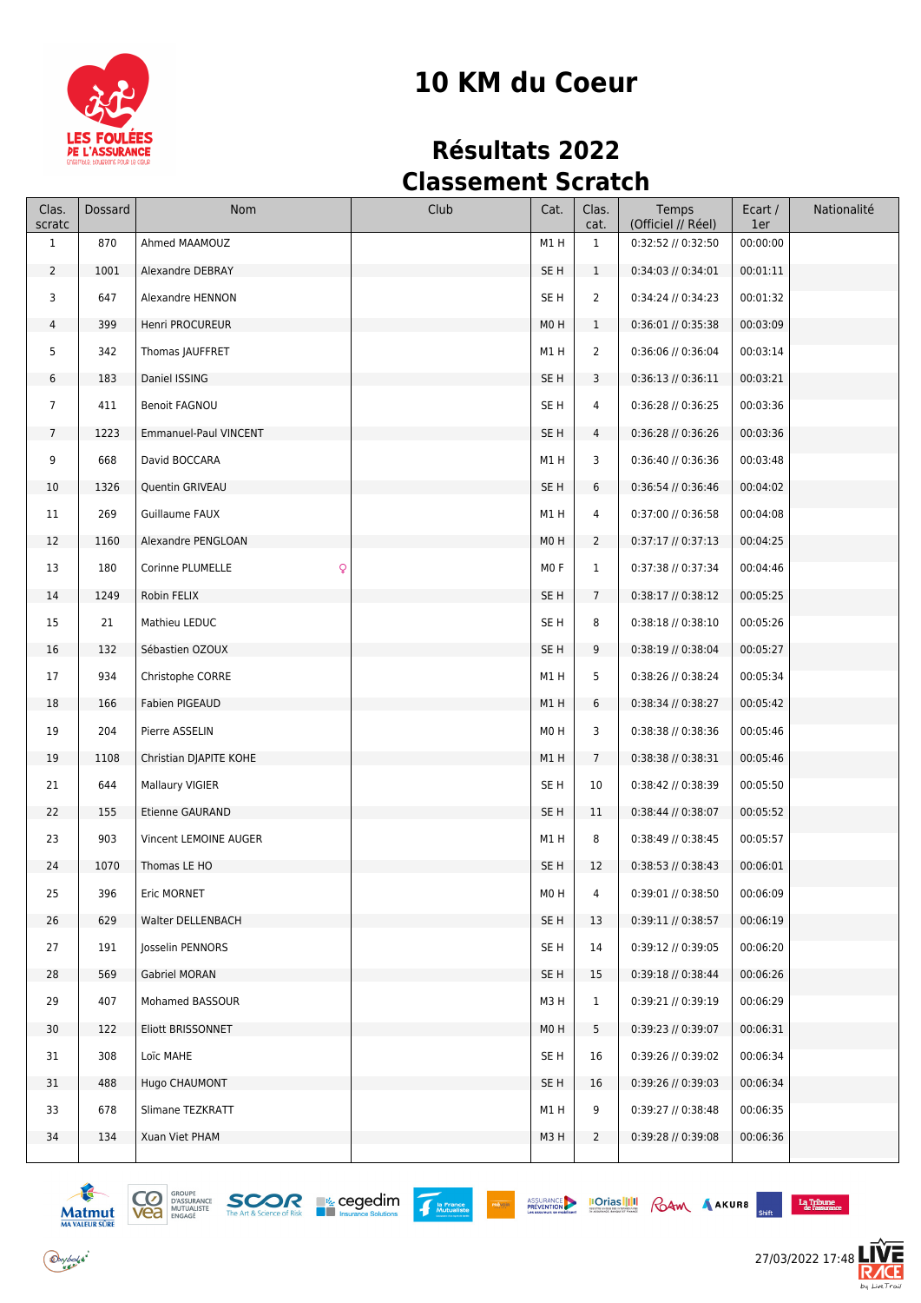

# **10 KM du Coeur**

# **Résultats 2022 Classement Scratch**

| Clas.<br>scratc | Dossard | Nom                    | Club | Cat.             | Clas.<br>cat.   | Temps<br>(Officiel // Réel) | Ecart /<br>1er | Nationalité |
|-----------------|---------|------------------------|------|------------------|-----------------|-----------------------------|----------------|-------------|
| $\mathbf{1}$    | 870     | Ahmed MAAMOUZ          |      | M1 H             | $\mathbf{1}$    | 0:32:52 // 0:32:50          | 00:00:00       |             |
| $\overline{2}$  | 1001    | Alexandre DEBRAY       |      | SE <sub>H</sub>  | $\mathbf{1}$    | $0:34:03$ // $0:34:01$      | 00:01:11       |             |
| 3               | 647     | Alexandre HENNON       |      | SE H             | $\overline{2}$  | 0:34:24 // 0:34:23          | 00:01:32       |             |
| 4               | 399     | Henri PROCUREUR        |      | MO <sub>H</sub>  | $\mathbf{1}$    | $0:36:01$ // $0:35:38$      | 00:03:09       |             |
| 5               | 342     | Thomas JAUFFRET        |      | M1 H             | $\overline{2}$  | $0:36:06$ // $0:36:04$      | 00:03:14       |             |
| 6               | 183     | Daniel ISSING          |      | SE <sub>H</sub>  | 3               | $0:36:13$ // $0:36:11$      | 00:03:21       |             |
| $\overline{7}$  | 411     | <b>Benoit FAGNOU</b>   |      | SE <sub>H</sub>  | 4               | $0:36:28$ // $0:36:25$      | 00:03:36       |             |
| $7\phantom{.0}$ | 1223    | Emmanuel-Paul VINCENT  |      | SE <sub>H</sub>  | 4               | $0:36:28$ // $0:36:26$      | 00:03:36       |             |
| 9               | 668     | David BOCCARA          |      | M1H              | 3               | $0:36:40$ // $0:36:36$      | 00:03:48       |             |
| 10              | 1326    | Quentin GRIVEAU        |      | SE <sub>H</sub>  | 6               | $0:36:54$ // $0:36:46$      | 00:04:02       |             |
| 11              | 269     | Guillaume FAUX         |      | M1H              | 4               | 0:37:00 // 0:36:58          | 00:04:08       |             |
| 12              | 1160    | Alexandre PENGLOAN     |      | M <sub>0</sub> H | $\overline{2}$  | $0:37:17$ // $0:37:13$      | 00:04:25       |             |
| 13              | 180     | Q<br>Corinne PLUMELLE  |      | M <sub>0</sub> F | $\mathbf{1}$    | 0:37:38 // 0:37:34          | 00:04:46       |             |
| 14              | 1249    | Robin FELIX            |      | SE <sub>H</sub>  | $7\overline{ }$ | $0:38:17$ // $0:38:12$      | 00:05:25       |             |
| 15              | 21      | Mathieu LEDUC          |      | SE <sub>H</sub>  | 8               | $0:38:18$ // $0:38:10$      | 00:05:26       |             |
| 16              | 132     | Sébastien OZOUX        |      | SE <sub>H</sub>  | 9               | $0:38:19$ // $0:38:04$      | 00:05:27       |             |
| 17              | 934     | Christophe CORRE       |      | M1H              | 5               | 0:38:26 // 0:38:24          | 00:05:34       |             |
| 18              | 166     | Fabien PIGEAUD         |      | M1H              | 6               | $0:38:34$ // $0:38:27$      | 00:05:42       |             |
| 19              | 204     | Pierre ASSELIN         |      | M <sub>0</sub> H | 3               | $0:38:38$ // $0:38:36$      | 00:05:46       |             |
| 19              | 1108    | Christian DJAPITE KOHE |      | M1H              | $7\overline{ }$ | 0:38:38 // 0:38:31          | 00:05:46       |             |
| 21              | 644     | Mallaury VIGIER        |      | SE H             | 10              | $0:38:42$ // $0:38:39$      | 00:05:50       |             |
| 22              | 155     | Etienne GAURAND        |      | SE <sub>H</sub>  | 11              | $0:38:44$ // $0:38:07$      | 00:05:52       |             |
| 23              | 903     | Vincent LEMOINE AUGER  |      | M1H              | 8               | $0:38:49$ // $0:38:45$      | 00:05:57       |             |
| 24              | 1070    | Thomas LE HO           |      | SE H             | 12              | $0:38:53$ // $0:38:43$      | 00:06:01       |             |
| 25              | 396     | Eric MORNET            |      | M0H              |                 | 0:39:01 // 0:38:50          | 00:06:09       |             |
| 26              | 629     | Walter DELLENBACH      |      | SE H             | 13              | $0:39:11$ // $0:38:57$      | 00:06:19       |             |
| 27              | 191     | Josselin PENNORS       |      | SE H             | 14              | $0:39:12$ // $0:39:05$      | 00:06:20       |             |
| 28              | 569     | Gabriel MORAN          |      | SE H             | 15              | $0:39:18$ // $0:38:44$      | 00:06:26       |             |
| 29              | 407     | Mohamed BASSOUR        |      | M3H              | $\mathbf{1}$    | 0:39:21 // 0:39:19          | 00:06:29       |             |
| 30              | 122     | Eliott BRISSONNET      |      | M <sub>0</sub> H | 5               | $0:39:23$ // $0:39:07$      | 00:06:31       |             |
| 31              | 308     | Loïc MAHE              |      | SE <sub>H</sub>  | 16              | 0:39:26 // 0:39:02          | 00:06:34       |             |
| 31              | 488     | Hugo CHAUMONT          |      | SE <sub>H</sub>  | 16              | $0:39:26$ // $0:39:03$      | 00:06:34       |             |
| 33              | 678     | Slimane TEZKRATT       |      | M1 H             | 9               | 0:39:27 // 0:38:48          | 00:06:35       |             |
| 34              | 134     | Xuan Viet PHAM         |      | M3H              | $\mathbf{2}$    | $0:39:28$ // $0:39:08$      | 00:06:36       |             |
|                 |         |                        |      |                  |                 |                             |                |             |











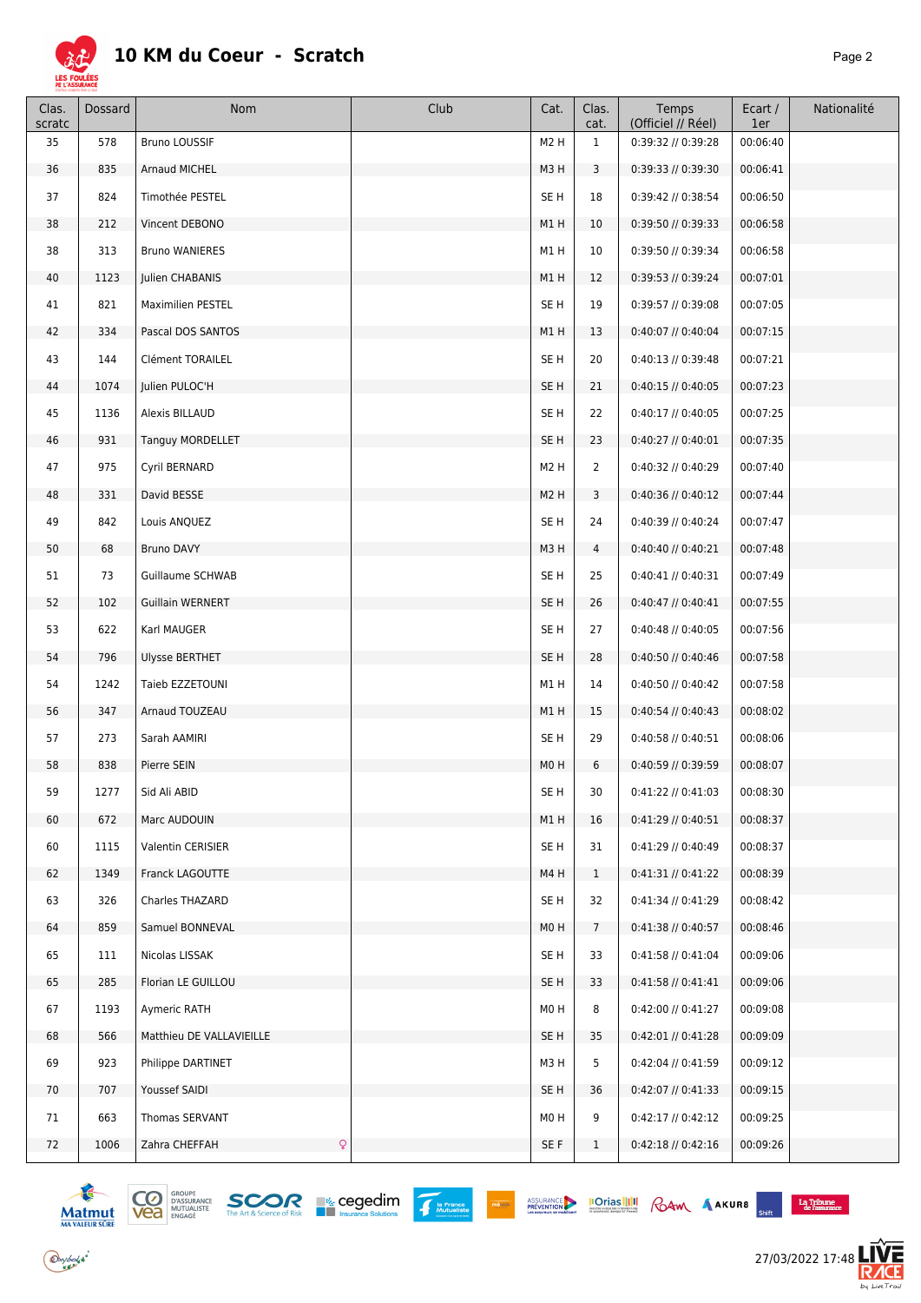

| Clas.<br>scratc | Dossard | Nom                           | Club | Cat.             | Clas.<br>cat.   | Temps<br>(Officiel // Réel) | Ecart /<br>1er | Nationalité |
|-----------------|---------|-------------------------------|------|------------------|-----------------|-----------------------------|----------------|-------------|
| 35              | 578     | Bruno LOUSSIF                 |      | M <sub>2</sub> H | $\mathbf{1}$    | 0:39:32 // 0:39:28          | 00:06:40       |             |
| 36              | 835     | Arnaud MICHEL                 |      | M3H              | 3               | 0:39:33 // 0:39:30          | 00:06:41       |             |
| 37              | 824     | Timothée PESTEL               |      | SE H             | 18              | 0:39:42 // 0:38:54          | 00:06:50       |             |
| 38              | 212     | Vincent DEBONO                |      | M1H              | 10              | 0:39:50 // 0:39:33          | 00:06:58       |             |
| 38              | 313     | <b>Bruno WANIERES</b>         |      | M1H              | 10              | 0:39:50 // 0:39:34          | 00:06:58       |             |
| 40              | 1123    | Julien CHABANIS               |      | M1H              | 12              | 0:39:53 // 0:39:24          | 00:07:01       |             |
| 41              | 821     | Maximilien PESTEL             |      | SE <sub>H</sub>  | 19              | 0:39:57 // 0:39:08          | 00:07:05       |             |
| 42              | 334     | Pascal DOS SANTOS             |      | M1H              | 13              | 0:40:07 // 0:40:04          | 00:07:15       |             |
| 43              | 144     | Clément TORAILEL              |      | SE <sub>H</sub>  | 20              | $0:40:13$ // $0:39:48$      | 00:07:21       |             |
| 44              | 1074    | Julien PULOC'H                |      | SE <sub>H</sub>  | 21              | $0:40:15$ // $0:40:05$      | 00:07:23       |             |
| 45              | 1136    | Alexis BILLAUD                |      | SE <sub>H</sub>  | 22              | 0:40:17 // 0:40:05          | 00:07:25       |             |
| 46              | 931     | Tanguy MORDELLET              |      | SE <sub>H</sub>  | 23              | $0:40:27$ // $0:40:01$      | 00:07:35       |             |
| 47              | 975     | Cyril BERNARD                 |      | M <sub>2</sub> H | $\overline{2}$  | 0:40:32 // 0:40:29          | 00:07:40       |             |
| 48              | 331     | David BESSE                   |      | M <sub>2</sub> H | 3               | 0:40:36 // 0:40:12          | 00:07:44       |             |
| 49              | 842     | Louis ANQUEZ                  |      | SE <sub>H</sub>  | 24              | 0:40:39 // 0:40:24          | 00:07:47       |             |
| 50              | 68      | Bruno DAVY                    |      | M3H              | $\overline{4}$  | $0:40:40$ // $0:40:21$      | 00:07:48       |             |
| 51              | 73      | Guillaume SCHWAB              |      | SE <sub>H</sub>  | 25              | 0:40:41 // 0:40:31          | 00:07:49       |             |
| 52              | 102     | Guillain WERNERT              |      | SE <sub>H</sub>  | 26              | $0:40:47$ // $0:40:41$      | 00:07:55       |             |
| 53              | 622     | Karl MAUGER                   |      | SE <sub>H</sub>  | 27              | 0:40:48 // 0:40:05          | 00:07:56       |             |
| 54              | 796     | Ulysse BERTHET                |      | SE <sub>H</sub>  | 28              | 0:40:50 // 0:40:46          | 00:07:58       |             |
| 54              | 1242    | Taieb EZZETOUNI               |      | M1H              | 14              | 0:40:50 // 0:40:42          | 00:07:58       |             |
| 56              | 347     | Arnaud TOUZEAU                |      | M1H              | 15              | $0:40:54$ // $0:40:43$      | 00:08:02       |             |
| 57              | 273     | Sarah AAMIRI                  |      | SE H             | 29              | 0:40:58 // 0:40:51          | 00:08:06       |             |
| 58              | 838     | Pierre SEIN                   |      | M <sub>0</sub> H | 6               | 0:40:59 // 0:39:59          | 00:08:07       |             |
| 59              | 1277    | Sid Ali ABID                  |      | SE H             | 30              | $0:41:22$ // $0:41:03$      | 00:08:30       |             |
| 60              | 672     | Marc AUDOUIN                  |      | M1H              | 16              | 0:41:29 // 0:40:51          | 00:08:37       |             |
| 60              | 1115    | Valentin CERISIER             |      | SE <sub>H</sub>  | 31              | 0:41:29 // 0:40:49          | 00:08:37       |             |
| 62              | 1349    | Franck LAGOUTTE               |      | M4H              | $\mathbf{1}$    | 0:41:31 // 0:41:22          | 00:08:39       |             |
| 63              | 326     | Charles THAZARD               |      | SE <sub>H</sub>  | 32              | 0:41:34 // 0:41:29          | 00:08:42       |             |
| 64              | 859     | Samuel BONNEVAL               |      | M <sub>0</sub> H | $7\overline{ }$ | $0:41:38$ // $0:40:57$      | 00:08:46       |             |
| 65              | 111     | Nicolas LISSAK                |      | SE <sub>H</sub>  | 33              | $0:41:58$ // $0:41:04$      | 00:09:06       |             |
| 65              | 285     | Florian LE GUILLOU            |      | SE H             | 33              | $0:41:58$ // $0:41:41$      | 00:09:06       |             |
| 67              | 1193    | Aymeric RATH                  |      | M0H              | 8               | 0:42:00 // 0:41:27          | 00:09:08       |             |
| 68              | 566     | Matthieu DE VALLAVIEILLE      |      | SE H             | 35              | $0:42:01$ // $0:41:28$      | 00:09:09       |             |
| 69              | 923     | Philippe DARTINET             |      | M3H              | 5               | 0:42:04 // 0:41:59          | 00:09:12       |             |
| 70              | 707     | Youssef SAIDI                 |      | SE <sub>H</sub>  | 36              | 0:42:07 // 0:41:33          | 00:09:15       |             |
| 71              | 663     | Thomas SERVANT                |      | M0H              | 9               | $0:42:17$ // $0:42:12$      | 00:09:25       |             |
| 72              | 1006    | $\mathsf{Q}$<br>Zahra CHEFFAH |      | SE F             | $\mathbf{1}$    | 0:42:18 // 0:42:16          | 00:09:26       |             |







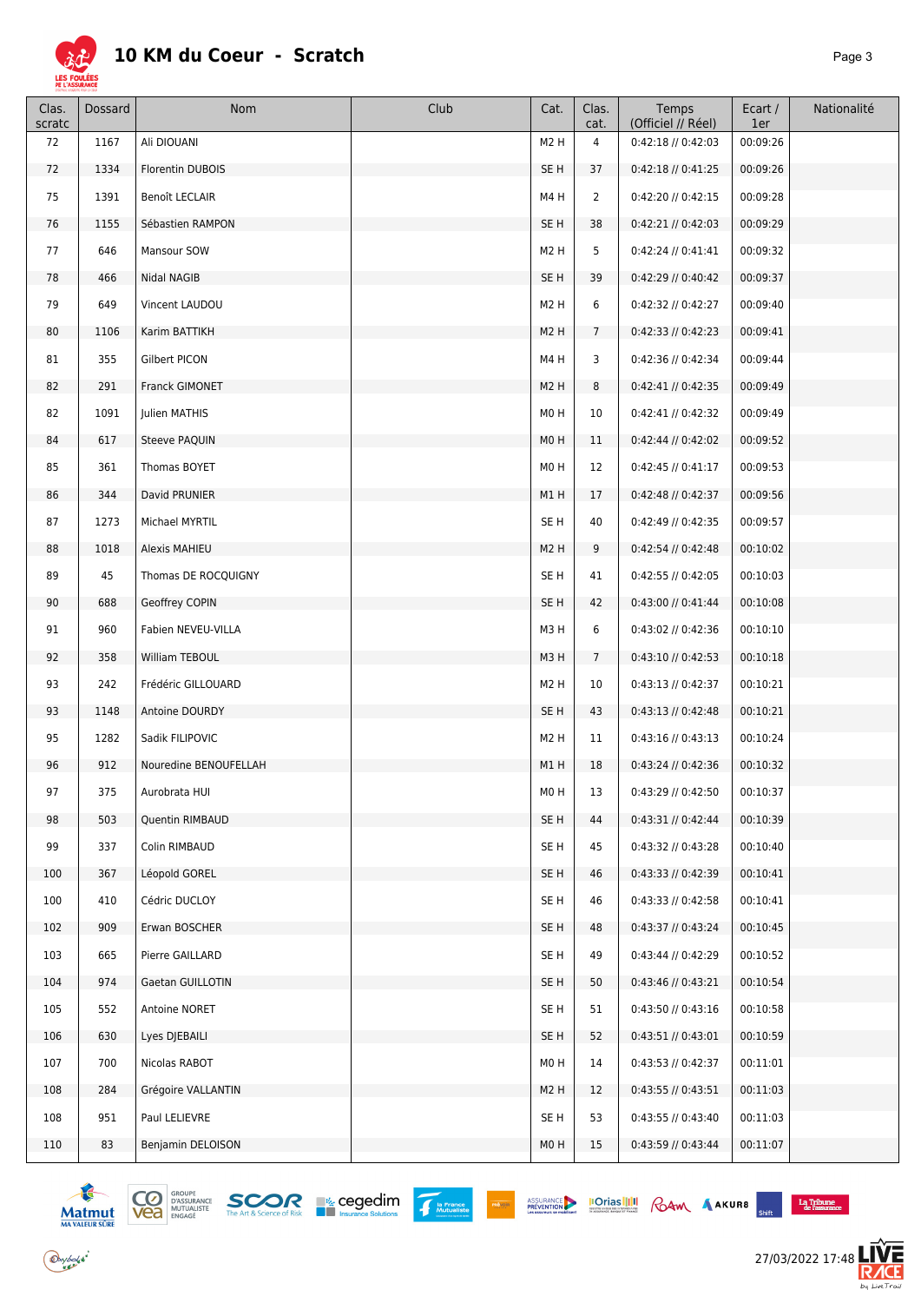

| Clas.<br>scratc | Dossard | Nom                   | Club | Cat.             | Clas.<br>cat.   | Temps<br>(Officiel // Réel) | Ecart /<br>1er | Nationalité |
|-----------------|---------|-----------------------|------|------------------|-----------------|-----------------------------|----------------|-------------|
| 72              | 1167    | Ali DIOUANI           |      | M <sub>2</sub> H | 4               | 0:42:18 // 0:42:03          | 00:09:26       |             |
| 72              | 1334    | Florentin DUBOIS      |      | SE <sub>H</sub>  | 37              | $0:42:18$ // $0:41:25$      | 00:09:26       |             |
| 75              | 1391    | Benoît LECLAIR        |      | M4H              | $\overline{2}$  | 0:42:20 // 0:42:15          | 00:09:28       |             |
| 76              | 1155    | Sébastien RAMPON      |      | SE <sub>H</sub>  | 38              | $0:42:21$ // $0:42:03$      | 00:09:29       |             |
| 77              | 646     | Mansour SOW           |      | M <sub>2</sub> H | 5               | $0:42:24$ // $0:41:41$      | 00:09:32       |             |
| 78              | 466     | Nidal NAGIB           |      | SE <sub>H</sub>  | 39              | $0:42:29$ // $0:40:42$      | 00:09:37       |             |
| 79              | 649     | Vincent LAUDOU        |      | M <sub>2</sub> H | 6               | 0:42:32 // 0:42:27          | 00:09:40       |             |
| 80              | 1106    | Karim BATTIKH         |      | M <sub>2</sub> H | $7\overline{ }$ | $0:42:33$ // $0:42:23$      | 00:09:41       |             |
| 81              | 355     | Gilbert PICON         |      | M4H              | 3               | 0:42:36 // 0:42:34          | 00:09:44       |             |
| 82              | 291     | Franck GIMONET        |      | M <sub>2</sub> H | 8               | $0:42:41$ // $0:42:35$      | 00:09:49       |             |
| 82              | 1091    | Julien MATHIS         |      | M0H              | 10              | $0:42:41$ // $0:42:32$      | 00:09:49       |             |
| 84              | 617     | Steeve PAQUIN         |      | M0H              | 11              | $0:42:44$ // $0:42:02$      | 00:09:52       |             |
| 85              | 361     | Thomas BOYET          |      | M <sub>0</sub> H | 12              | $0:42:45$ // $0:41:17$      | 00:09:53       |             |
| 86              | 344     | David PRUNIER         |      | M1H              | 17              | $0:42:48$ // $0:42:37$      | 00:09:56       |             |
| 87              | 1273    | Michael MYRTIL        |      | SE <sub>H</sub>  | 40              | 0:42:49 // 0:42:35          | 00:09:57       |             |
| 88              | 1018    | Alexis MAHIEU         |      | M <sub>2</sub> H | 9               | $0:42:54$ // $0:42:48$      | 00:10:02       |             |
| 89              | 45      | Thomas DE ROCQUIGNY   |      | SE <sub>H</sub>  | 41              | $0:42:55$ // $0:42:05$      | 00:10:03       |             |
| 90              | 688     | Geoffrey COPIN        |      | SE <sub>H</sub>  | 42              | $0:43:00$ // $0:41:44$      | 00:10:08       |             |
| 91              | 960     | Fabien NEVEU-VILLA    |      | M3H              | 6               | 0:43:02 // 0:42:36          | 00:10:10       |             |
| 92              | 358     | William TEBOUL        |      | M3H              | $\overline{7}$  | $0:43:10$ // $0:42:53$      | 00:10:18       |             |
| 93              | 242     | Frédéric GILLOUARD    |      | M <sub>2</sub> H | 10              | $0:43:13$ // $0:42:37$      | 00:10:21       |             |
| 93              | 1148    | Antoine DOURDY        |      | SE <sub>H</sub>  | 43              | $0:43:13$ // $0:42:48$      | 00:10:21       |             |
| 95              | 1282    | Sadik FILIPOVIC       |      | M <sub>2</sub> H | 11              | $0:43:16$ // $0:43:13$      | 00:10:24       |             |
| 96              | 912     | Nouredine BENOUFELLAH |      | M1H              | 18              | 0:43:24 // 0:42:36          | 00:10:32       |             |
| 97              | 375     | Aurobrata HUI         |      | M0H              | 13              | 0:43:29 // 0:42:50          | 00:10:37       |             |
| 98              | 503     | Quentin RIMBAUD       |      | SE H             | 44              | $0:43:31$ // $0:42:44$      | 00:10:39       |             |
| 99              | 337     | Colin RIMBAUD         |      | SE <sub>H</sub>  | 45              | 0:43:32 // 0:43:28          | 00:10:40       |             |
| 100             | 367     | Léopold GOREL         |      | SE H             | 46              | $0:43:33$ // $0:42:39$      | 00:10:41       |             |
| 100             | 410     | Cédric DUCLOY         |      | SE <sub>H</sub>  | 46              | $0:43:33$ // $0:42:58$      | 00:10:41       |             |
| 102             | 909     | Erwan BOSCHER         |      | SE H             | 48              | $0:43:37$ // $0:43:24$      | 00:10:45       |             |
| 103             | 665     | Pierre GAILLARD       |      | SE <sub>H</sub>  | 49              | $0:43:44$ // $0:42:29$      | 00:10:52       |             |
| 104             | 974     | Gaetan GUILLOTIN      |      | SE H             | 50              | $0:43:46$ // $0:43:21$      | 00:10:54       |             |
| 105             | 552     | Antoine NORET         |      | SE <sub>H</sub>  | 51              | $0:43:50$ // $0:43:16$      | 00:10:58       |             |
| 106             | 630     | Lyes DJEBAILI         |      | SE <sub>H</sub>  | 52              | $0:43:51$ // $0:43:01$      | 00:10:59       |             |
| 107             | 700     | Nicolas RABOT         |      | M0H              | 14              | $0:43:53$ // $0:42:37$      | 00:11:01       |             |
| 108             | 284     | Grégoire VALLANTIN    |      | M <sub>2</sub> H | 12              | $0:43:55$ // $0:43:51$      | 00:11:03       |             |
| 108             | 951     | Paul LELIEVRE         |      | SE <sub>H</sub>  | 53              | $0:43:55$ // $0:43:40$      | 00:11:03       |             |
| 110             | 83      | Benjamin DELOISON     |      | M0H              | 15              | $0:43:59$ // $0:43:44$      | 00:11:07       |             |
|                 |         |                       |      |                  |                 |                             |                |             |







 $\begin{array}{c}\n\textbf{La Tribune} \\
\textbf{de l'assurance}\n\end{array}$ 



 $\bigodot$ ybolsk<sup>\*</sup>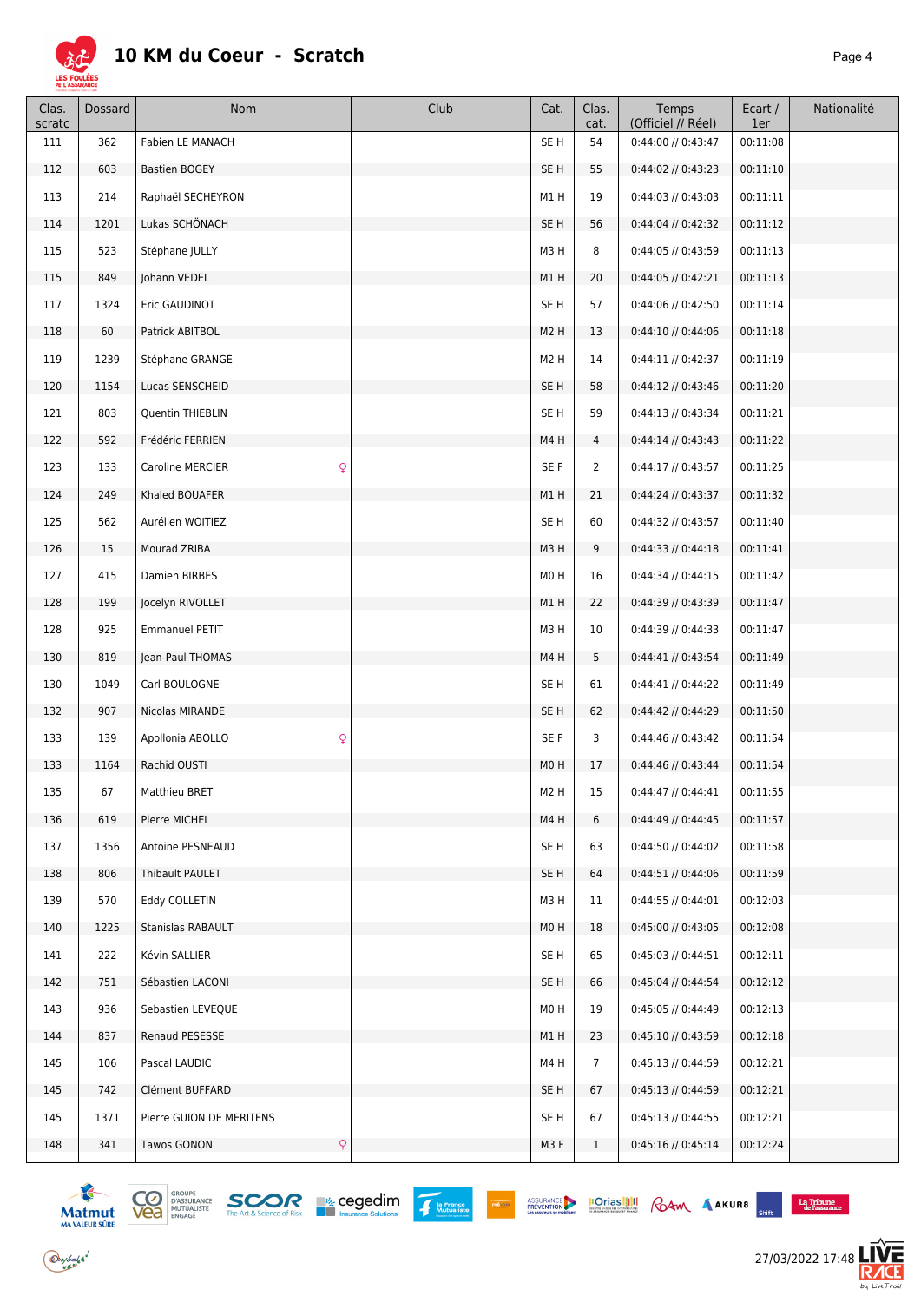

| Clas.<br>scratc | Dossard | Nom                        | Club | Cat.             | Clas.<br>cat.  | Temps<br>(Officiel // Réel) | Ecart /<br>1er | Nationalité |
|-----------------|---------|----------------------------|------|------------------|----------------|-----------------------------|----------------|-------------|
| 111             | 362     | Fabien LE MANACH           |      | SE <sub>H</sub>  | 54             | 0:44:00 // 0:43:47          | 00:11:08       |             |
| 112             | 603     | <b>Bastien BOGEY</b>       |      | SE <sub>H</sub>  | 55             | 0:44:02 // 0:43:23          | 00:11:10       |             |
| 113             | 214     | Raphaël SECHEYRON          |      | M1H              | 19             | $0:44:03$ // $0:43:03$      | 00:11:11       |             |
| 114             | 1201    | Lukas SCHÖNACH             |      | SE <sub>H</sub>  | 56             | 0:44:04 // 0:42:32          | 00:11:12       |             |
| 115             | 523     | Stéphane JULLY             |      | M3H              | 8              | 0:44:05 // 0:43:59          | 00:11:13       |             |
| 115             | 849     | Johann VEDEL               |      | M1H              | 20             | $0:44:05$ // $0:42:21$      | 00:11:13       |             |
| 117             | 1324    | Eric GAUDINOT              |      | SE <sub>H</sub>  | 57             | 0:44:06 // 0:42:50          | 00:11:14       |             |
| 118             | 60      | Patrick ABITBOL            |      | M <sub>2</sub> H | 13             | $0:44:10$ // $0:44:06$      | 00:11:18       |             |
| 119             | 1239    | Stéphane GRANGE            |      | M <sub>2</sub> H | 14             | $0:44:11$ // $0:42:37$      | 00:11:19       |             |
| 120             | 1154    | Lucas SENSCHEID            |      | SE <sub>H</sub>  | 58             | $0:44:12$ // $0:43:46$      | 00:11:20       |             |
| 121             | 803     | Quentin THIEBLIN           |      | SE <sub>H</sub>  | 59             | 0:44:13 // 0:43:34          | 00:11:21       |             |
| 122             | 592     | Frédéric FERRIEN           |      | M4H              | 4              | $0:44:14$ // $0:43:43$      | 00:11:22       |             |
| 123             | 133     | Q<br>Caroline MERCIER      |      | SE F             | 2              | 0:44:17 // 0:43:57          | 00:11:25       |             |
| 124             | 249     | Khaled BOUAFER             |      | M1H              | 21             | $0:44:24$ // $0:43:37$      | 00:11:32       |             |
| 125             | 562     | Aurélien WOITIEZ           |      | SE <sub>H</sub>  | 60             | 0:44:32 // 0:43:57          | 00:11:40       |             |
| 126             | 15      | Mourad ZRIBA               |      | M3H              | 9              | $0:44:33$ // $0:44:18$      | 00:11:41       |             |
| 127             | 415     | Damien BIRBES              |      | M0H              | 16             | 0:44:34 // 0:44:15          | 00:11:42       |             |
| 128             | 199     | Jocelyn RIVOLLET           |      | M1H              | 22             | 0:44:39 // 0:43:39          | 00:11:47       |             |
| 128             | 925     | <b>Emmanuel PETIT</b>      |      | M3H              | 10             | 0:44:39 // 0:44:33          | 00:11:47       |             |
| 130             | 819     | Jean-Paul THOMAS           |      | M4H              | 5              | $0:44:41$ // $0:43:54$      | 00:11:49       |             |
| 130             | 1049    | Carl BOULOGNE              |      | SE <sub>H</sub>  | 61             | 0:44:41 // 0:44:22          | 00:11:49       |             |
| 132             | 907     | Nicolas MIRANDE            |      | SE <sub>H</sub>  | 62             | 0:44:42 // 0:44:29          | 00:11:50       |             |
| 133             | 139     | Q<br>Apollonia ABOLLO      |      | SE F             | 3              | 0:44:46 // 0:43:42          | 00:11:54       |             |
| 133             | 1164    | Rachid OUSTI               |      | M0H              | 17             | $0:44:46$ // $0:43:44$      | 00:11:54       |             |
| 135             | 67      | Matthieu BRET              |      | M <sub>2</sub> H | 15             | $0:44:47$ // $0:44:41$      | 00:11:55       |             |
| 136             | 619     | Pierre MICHEL              |      | M4H              | 6              | $0:44:49$ // $0:44:45$      | 00:11:57       |             |
| 137             | 1356    | Antoine PESNEAUD           |      | SE <sub>H</sub>  | 63             | 0:44:50 // 0:44:02          | 00:11:58       |             |
| 138             | 806     | Thibault PAULET            |      | SE <sub>H</sub>  | 64             | $0:44:51$ // $0:44:06$      | 00:11:59       |             |
| 139             | 570     | Eddy COLLETIN              |      | M3H              | 11             | $0:44:55$ // $0:44:01$      | 00:12:03       |             |
| 140             | 1225    | Stanislas RABAULT          |      | M0H              | 18             | $0:45:00$ // $0:43:05$      | 00:12:08       |             |
| 141             | 222     | Kévin SALLIER              |      | SE <sub>H</sub>  | 65             | $0:45:03$ // $0:44:51$      | 00:12:11       |             |
| 142             | 751     | Sébastien LACONI           |      | SE <sub>H</sub>  | 66             | $0:45:04$ // $0:44:54$      | 00:12:12       |             |
| 143             | 936     | Sebastien LEVEQUE          |      | M0H              | 19             | 0:45:05 // 0:44:49          | 00:12:13       |             |
| 144             | 837     | Renaud PESESSE             |      | M1H              | 23             | 0:45:10 // 0:43:59          | 00:12:18       |             |
| 145             | 106     | Pascal LAUDIC              |      | M4H              | $\overline{7}$ | $0:45:13$ // $0:44:59$      | 00:12:21       |             |
| 145             | 742     | Clément BUFFARD            |      | SE <sub>H</sub>  | 67             | $0:45:13$ // $0:44:59$      | 00:12:21       |             |
| 145             | 1371    | Pierre GUION DE MERITENS   |      | SE H             | 67             | $0:45:13$ // $0:44:55$      | 00:12:21       |             |
| 148             | 341     | Tawos GONON<br>$\mathsf Q$ |      | M3F              | $\mathbf{1}$   | $0:45:16$ // $0:45:14$      | 00:12:24       |             |









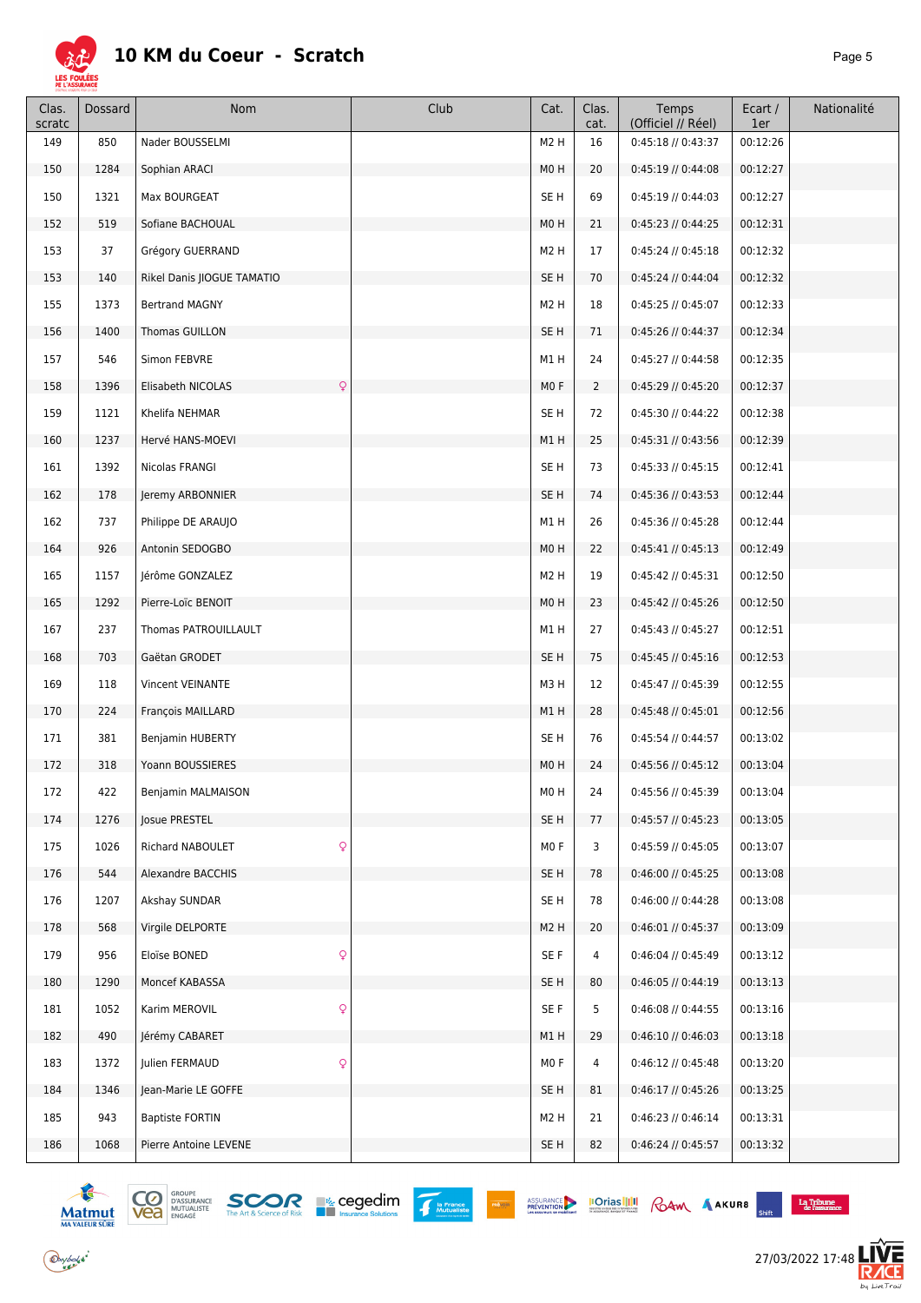

| Clas.<br>scratc | Dossard | Nom                        | Club | Cat.             | Clas.<br>cat.  | Temps<br>(Officiel // Réel) | Ecart /<br>1er | Nationalité |
|-----------------|---------|----------------------------|------|------------------|----------------|-----------------------------|----------------|-------------|
| 149             | 850     | Nader BOUSSELMI            |      | M <sub>2</sub> H | 16             | $0:45:18$ // $0:43:37$      | 00:12:26       |             |
| 150             | 1284    | Sophian ARACI              |      | M <sub>0</sub> H | 20             | $0:45:19$ // $0:44:08$      | 00:12:27       |             |
| 150             | 1321    | Max BOURGEAT               |      | SE <sub>H</sub>  | 69             | $0:45:19$ // $0:44:03$      | 00:12:27       |             |
| 152             | 519     | Sofiane BACHOUAL           |      | M0H              | 21             | $0:45:23$ // $0:44:25$      | 00:12:31       |             |
| 153             | 37      | Grégory GUERRAND           |      | M <sub>2</sub> H | 17             | 0:45:24 // 0:45:18          | 00:12:32       |             |
| 153             | 140     | Rikel Danis JIOGUE TAMATIO |      | SE H             | 70             | $0:45:24$ // $0:44:04$      | 00:12:32       |             |
| 155             | 1373    | <b>Bertrand MAGNY</b>      |      | M <sub>2</sub> H | 18             | 0:45:25 // 0:45:07          | 00:12:33       |             |
| 156             | 1400    | Thomas GUILLON             |      | SE H             | 71             | 0:45:26 // 0:44:37          | 00:12:34       |             |
| 157             | 546     | Simon FEBVRE               |      | M1H              | 24             | 0:45:27 // 0:44:58          | 00:12:35       |             |
| 158             | 1396    | Q<br>Elisabeth NICOLAS     |      | MO F             | $\overline{2}$ | 0:45:29 // 0:45:20          | 00:12:37       |             |
| 159             | 1121    | Khelifa NEHMAR             |      | SE <sub>H</sub>  | 72             | 0:45:30 // 0:44:22          | 00:12:38       |             |
| 160             | 1237    | Hervé HANS-MOEVI           |      | M1H              | 25             | 0:45:31 // 0:43:56          | 00:12:39       |             |
| 161             | 1392    | Nicolas FRANGI             |      | SE <sub>H</sub>  | 73             | 0:45:33 // 0:45:15          | 00:12:41       |             |
| 162             | 178     | Jeremy ARBONNIER           |      | SE <sub>H</sub>  | 74             | 0:45:36 // 0:43:53          | 00:12:44       |             |
| 162             | 737     | Philippe DE ARAUJO         |      | M1H              | 26             | 0:45:36 // 0:45:28          | 00:12:44       |             |
| 164             | 926     | Antonin SEDOGBO            |      | M <sub>0</sub> H | 22             | $0:45:41$ // $0:45:13$      | 00:12:49       |             |
| 165             | 1157    | Jérôme GONZALEZ            |      | M <sub>2</sub> H | 19             | 0:45:42 // 0:45:31          | 00:12:50       |             |
| 165             | 1292    | Pierre-Loïc BENOIT         |      | M0H              | 23             | 0:45:42 // 0:45:26          | 00:12:50       |             |
| 167             | 237     | Thomas PATROUILLAULT       |      | M1H              | 27             | 0:45:43 // 0:45:27          | 00:12:51       |             |
| 168             | 703     | Gaëtan GRODET              |      | SE <sub>H</sub>  | 75             | $0:45:45$ // $0:45:16$      | 00:12:53       |             |
| 169             | 118     | Vincent VEINANTE           |      | M3H              | 12             | 0:45:47 // 0:45:39          | 00:12:55       |             |
| 170             | 224     | François MAILLARD          |      | M1H              | 28             | $0:45:48$ // $0:45:01$      | 00:12:56       |             |
| 171             | 381     | Benjamin HUBERTY           |      | SE <sub>H</sub>  | 76             | 0:45:54 // 0:44:57          | 00:13:02       |             |
| 172             | 318     | Yoann BOUSSIERES           |      | M0H              | 24             | $0:45:56$ // $0:45:12$      | 00:13:04       |             |
| 172             | 422     | Benjamin MALMAISON         |      | M0H              | 24             | 0:45:56 // 0:45:39          | 00:13:04       |             |
| 174             | 1276    | Josue PRESTEL              |      | SE H             | 77             | $0:45:57$ // $0:45:23$      | 00:13:05       |             |
| 175             | 1026    | Q<br>Richard NABOULET      |      | MO F             | 3              | 0:45:59 // 0:45:05          | 00:13:07       |             |
| 176             | 544     | Alexandre BACCHIS          |      | SE H             | 78             | 0:46:00 // 0:45:25          | 00:13:08       |             |
| 176             | 1207    | Akshay SUNDAR              |      | SE <sub>H</sub>  | 78             | 0:46:00 // 0:44:28          | 00:13:08       |             |
| 178             | 568     | Virgile DELPORTE           |      | M <sub>2</sub> H | 20             | $0:46:01$ // $0:45:37$      | 00:13:09       |             |
| 179             | 956     | Q<br>Eloïse BONED          |      | SE F             | 4              | 0:46:04 // 0:45:49          | 00:13:12       |             |
| 180             | 1290    | Moncef KABASSA             |      | SE <sub>H</sub>  | 80             | $0:46:05$ // $0:44:19$      | 00:13:13       |             |
| 181             | 1052    | Q<br>Karim MEROVIL         |      | SE F             | 5              | $0:46:08$ // $0:44:55$      | 00:13:16       |             |
| 182             | 490     | Jérémy CABARET             |      | M1H              | 29             | 0:46:10 // 0:46:03          | 00:13:18       |             |
| 183             | 1372    | Julien FERMAUD<br>Q        |      | MO F             | 4              | $0:46:12$ // $0:45:48$      | 00:13:20       |             |
| 184             | 1346    | Jean-Marie LE GOFFE        |      | SE <sub>H</sub>  | 81             | 0:46:17 // 0:45:26          | 00:13:25       |             |
| 185             | 943     | <b>Baptiste FORTIN</b>     |      | M <sub>2</sub> H | 21             | 0:46:23 // 0:46:14          | 00:13:31       |             |
| 186             | 1068    | Pierre Antoine LEVENE      |      | SE H             | 82             | $0:46:24$ // $0:45:57$      | 00:13:32       |             |



 $\bigodot$ ybolsk<sup>\*</sup>





**Executive Execution**<br> *Chift* **Cassurance** 

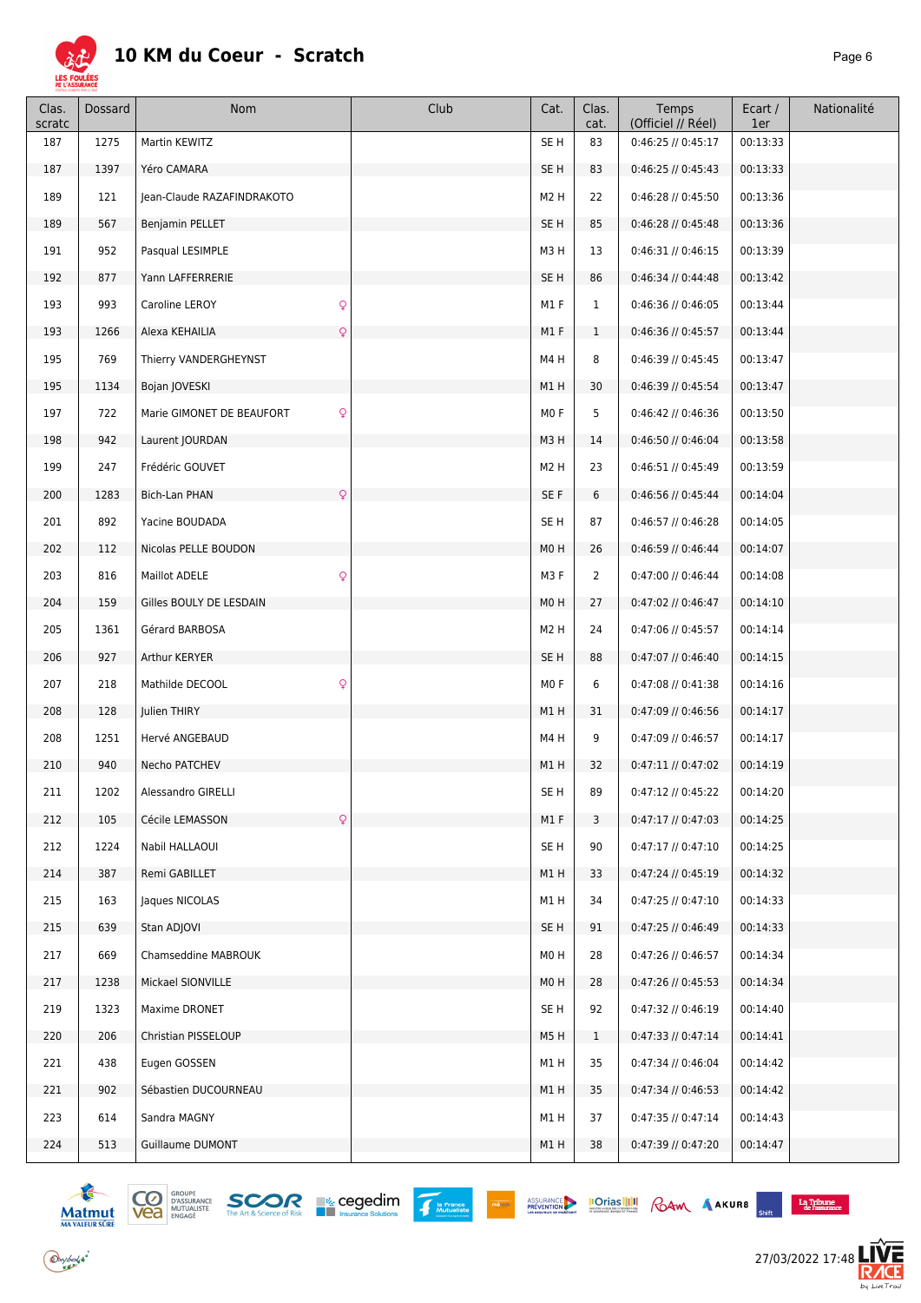

| Clas.<br>scratc | Dossard | Nom                             | Club | Cat.             | Clas.<br>cat.  | Temps<br>(Officiel // Réel) | Ecart /<br>1er | Nationalité |
|-----------------|---------|---------------------------------|------|------------------|----------------|-----------------------------|----------------|-------------|
| 187             | 1275    | Martin KEWITZ                   |      | SE <sub>H</sub>  | 83             | $0:46:25$ // $0:45:17$      | 00:13:33       |             |
| 187             | 1397    | Yéro CAMARA                     |      | SE H             | 83             | 0:46:25 // 0:45:43          | 00:13:33       |             |
| 189             | 121     | Jean-Claude RAZAFINDRAKOTO      |      | M <sub>2</sub> H | 22             | $0:46:28$ // $0:45:50$      | 00:13:36       |             |
| 189             | 567     | Benjamin PELLET                 |      | SE <sub>H</sub>  | 85             | $0:46:28$ // $0:45:48$      | 00:13:36       |             |
| 191             | 952     | Pasqual LESIMPLE                |      | M3H              | 13             | $0:46:31$ // $0:46:15$      | 00:13:39       |             |
| 192             | 877     | Yann LAFFERRERIE                |      | SE <sub>H</sub>  | 86             | $0:46:34$ // $0:44:48$      | 00:13:42       |             |
| 193             | 993     | $\mathsf{Q}$<br>Caroline LEROY  |      | M1F              | $\mathbf{1}$   | 0:46:36 // 0:46:05          | 00:13:44       |             |
| 193             | 1266    | Alexa KEHAILIA<br>Q             |      | M1F              | $\mathbf{1}$   | 0:46:36 // 0:45:57          | 00:13:44       |             |
| 195             | 769     | Thierry VANDERGHEYNST           |      | M4H              | 8              | $0:46:39$ // $0:45:45$      | 00:13:47       |             |
| 195             | 1134    | Bojan JOVESKI                   |      | M1H              | 30             | 0:46:39 // 0:45:54          | 00:13:47       |             |
| 197             | 722     | Q<br>Marie GIMONET DE BEAUFORT  |      | M <sub>0</sub> F | 5              | $0:46:42$ // $0:46:36$      | 00:13:50       |             |
| 198             | 942     | Laurent JOURDAN                 |      | M3H              | 14             | 0:46:50 // 0:46:04          | 00:13:58       |             |
| 199             | 247     | Frédéric GOUVET                 |      | M <sub>2</sub> H | 23             | 0:46:51 // 0:45:49          | 00:13:59       |             |
| 200             | 1283    | Bich-Lan PHAN<br>Q              |      | SE F             | 6              | $0:46:56$ // $0:45:44$      | 00:14:04       |             |
| 201             | 892     | Yacine BOUDADA                  |      | SE <sub>H</sub>  | 87             | 0:46:57 // 0:46:28          | 00:14:05       |             |
| 202             | 112     | Nicolas PELLE BOUDON            |      | MO <sub>H</sub>  | 26             | $0:46:59$ // $0:46:44$      | 00:14:07       |             |
| 203             | 816     | $\mathsf{Q}$<br>Maillot ADELE   |      | M3F              | $\overline{2}$ | 0:47:00 // 0:46:44          | 00:14:08       |             |
| 204             | 159     | Gilles BOULY DE LESDAIN         |      | M <sub>0</sub> H | 27             | $0:47:02$ // $0:46:47$      | 00:14:10       |             |
| 205             | 1361    | Gérard BARBOSA                  |      | M <sub>2</sub> H | 24             | 0:47:06 // 0:45:57          | 00:14:14       |             |
| 206             | 927     | Arthur KERYER                   |      | SE <sub>H</sub>  | 88             | 0:47:07 // 0:46:40          | 00:14:15       |             |
| 207             | 218     | $\mathsf{Q}$<br>Mathilde DECOOL |      | MO F             | 6              | 0:47:08 // 0:41:38          | 00:14:16       |             |
| 208             | 128     | Julien THIRY                    |      | M1H              | 31             | $0:47:09$ // $0:46:56$      | 00:14:17       |             |
| 208             | 1251    | Hervé ANGEBAUD                  |      | M4H              | 9              | 0:47:09 // 0:46:57          | 00:14:17       |             |
| 210             | 940     | Necho PATCHEV                   |      | M1H              | 32             | $0:47:11$ // $0:47:02$      | 00:14:19       |             |
| 211             | 1202    | Alessandro GIRELLI              |      | SE H             | 89             | 0:47:12 // 0:45:22          | 00:14:20       |             |
| 212             | 105     | Q<br>Cécile LEMASSON            |      | M1 F             | 3              | $0:47:17$ // $0:47:03$      | 00:14:25       |             |
| 212             | 1224    | Nabil HALLAOUI                  |      | SE H             | 90             | $0:47:17$ // $0:47:10$      | 00:14:25       |             |
| 214             | 387     | Remi GABILLET                   |      | M1H              | 33             | $0:47:24$ // $0:45:19$      | 00:14:32       |             |
| 215             | 163     | Jaques NICOLAS                  |      | M1H              | 34             | $0:47:25$ // $0:47:10$      | 00:14:33       |             |
| 215             | 639     | Stan ADJOVI                     |      | SE <sub>H</sub>  | 91             | $0:47:25$ // $0:46:49$      | 00:14:33       |             |
| 217             | 669     | Chamseddine MABROUK             |      | M <sub>0</sub> H | 28             | $0:47:26$ // $0:46:57$      | 00:14:34       |             |
| 217             | 1238    | Mickael SIONVILLE               |      | M <sub>0</sub> H | 28             | $0:47:26$ // $0:45:53$      | 00:14:34       |             |
| 219             | 1323    | Maxime DRONET                   |      | SE H             | 92             | $0:47:32$ // $0:46:19$      | 00:14:40       |             |
| 220             | 206     | Christian PISSELOUP             |      | M5H              | $\mathbf{1}$   | $0:47:33$ // $0:47:14$      | 00:14:41       |             |
| 221             | 438     | Eugen GOSSEN                    |      | M1H              | 35             | $0:47:34$ // $0:46:04$      | 00:14:42       |             |
| 221             | 902     | Sébastien DUCOURNEAU            |      | M1 H             | 35             | $0:47:34$ // $0:46:53$      | 00:14:42       |             |
| 223             | 614     | Sandra MAGNY                    |      | M1 H             | 37             | $0:47:35$ // $0:47:14$      | 00:14:43       |             |
| 224             | 513     | Guillaume DUMONT                |      | M1 H             | 38             | $0:47:39$ // $0:47:20$      | 00:14:47       |             |



 $\bigodot$ ybolsk<sup>\*</sup>





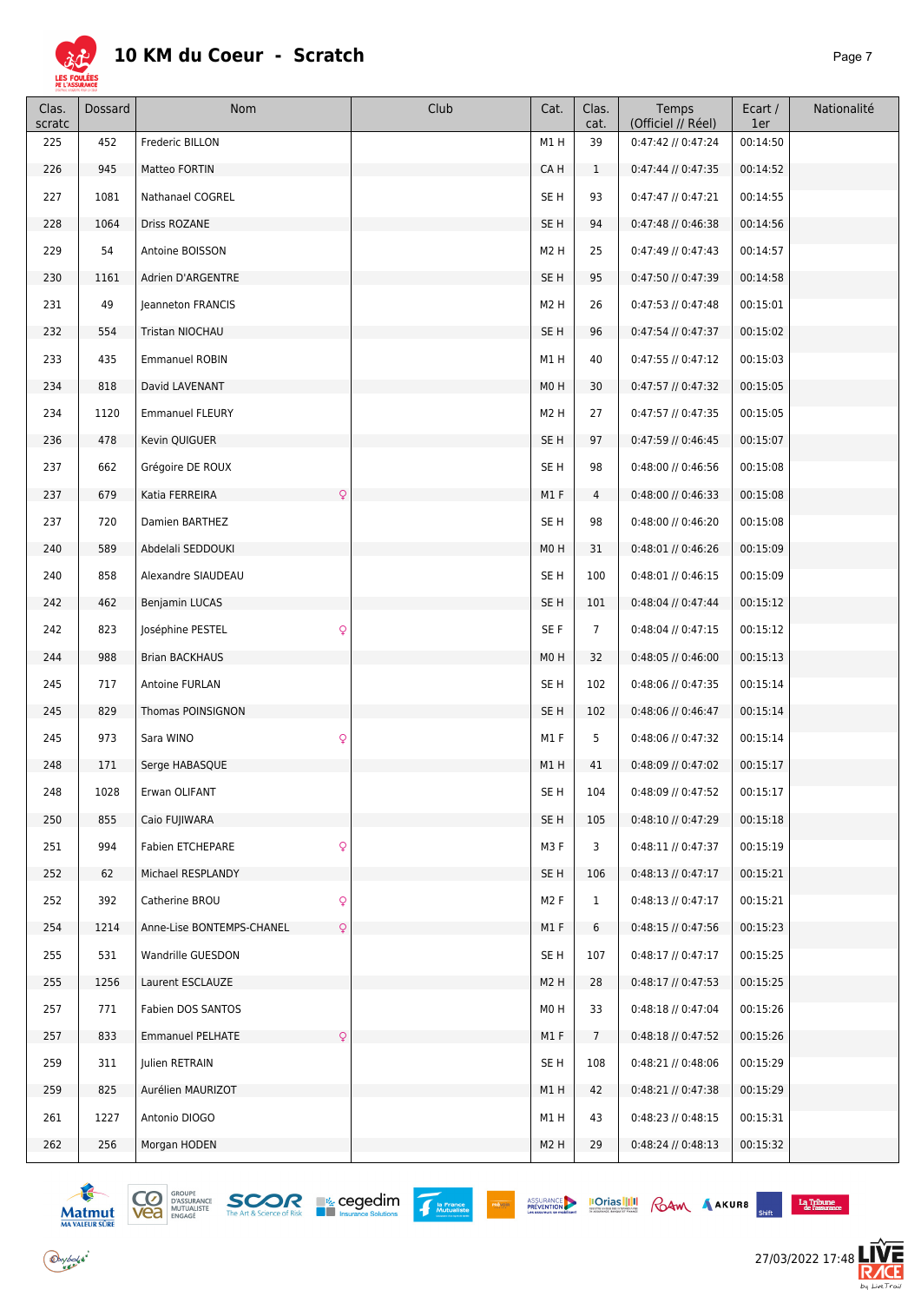

| Clas.<br>scratc | Dossard | Nom                                       | Club | Cat.             | Clas.<br>cat.  | Temps<br>(Officiel // Réel) | Ecart /<br>1er | Nationalité |
|-----------------|---------|-------------------------------------------|------|------------------|----------------|-----------------------------|----------------|-------------|
| 225             | 452     | <b>Frederic BILLON</b>                    |      | M1H              | 39             | 0:47:42 // 0:47:24          | 00:14:50       |             |
| 226             | 945     | Matteo FORTIN                             |      | CA H             | $\mathbf{1}$   | 0:47:44 // 0:47:35          | 00:14:52       |             |
| 227             | 1081    | Nathanael COGREL                          |      | SE <sub>H</sub>  | 93             | $0:47:47$ // $0:47:21$      | 00:14:55       |             |
| 228             | 1064    | Driss ROZANE                              |      | SE <sub>H</sub>  | 94             | $0:47:48$ // $0:46:38$      | 00:14:56       |             |
| 229             | 54      | Antoine BOISSON                           |      | M <sub>2</sub> H | 25             | $0:47:49$ // $0:47:43$      | 00:14:57       |             |
| 230             | 1161    | Adrien D'ARGENTRE                         |      | SE <sub>H</sub>  | 95             | 0:47:50 // 0:47:39          | 00:14:58       |             |
| 231             | 49      | Jeanneton FRANCIS                         |      | M <sub>2</sub> H | 26             | $0:47:53$ // $0:47:48$      | 00:15:01       |             |
| 232             | 554     | Tristan NIOCHAU                           |      | SE <sub>H</sub>  | 96             | $0:47:54$ // $0:47:37$      | 00:15:02       |             |
| 233             | 435     | <b>Emmanuel ROBIN</b>                     |      | M1H              | 40             | $0:47:55$ // $0:47:12$      | 00:15:03       |             |
| 234             | 818     | David LAVENANT                            |      | M <sub>0</sub> H | 30             | 0:47:57 // 0:47:32          | 00:15:05       |             |
| 234             | 1120    | <b>Emmanuel FLEURY</b>                    |      | M <sub>2</sub> H | 27             | 0:47:57 // 0:47:35          | 00:15:05       |             |
| 236             | 478     | Kevin QUIGUER                             |      | SE <sub>H</sub>  | 97             | $0:47:59$ // $0:46:45$      | 00:15:07       |             |
| 237             | 662     | Grégoire DE ROUX                          |      | SE <sub>H</sub>  | 98             | 0:48:00 // 0:46:56          | 00:15:08       |             |
| 237             | 679     | Katia FERREIRA<br>Q                       |      | M1F              | $\overline{4}$ | $0:48:00$ // $0:46:33$      | 00:15:08       |             |
| 237             | 720     | Damien BARTHEZ                            |      | SE <sub>H</sub>  | 98             | 0:48:00 // 0:46:20          | 00:15:08       |             |
| 240             | 589     | Abdelali SEDDOUKI                         |      | MO <sub>H</sub>  | 31             | $0:48:01$ // $0:46:26$      | 00:15:09       |             |
| 240             | 858     | Alexandre SIAUDEAU                        |      | SE <sub>H</sub>  | 100            | $0:48:01$ // $0:46:15$      | 00:15:09       |             |
| 242             | 462     | Benjamin LUCAS                            |      | SE <sub>H</sub>  | 101            | $0:48:04$ // $0:47:44$      | 00:15:12       |             |
| 242             | 823     | Q<br>Joséphine PESTEL                     |      | SE F             | $\overline{7}$ | $0:48:04$ // $0:47:15$      | 00:15:12       |             |
| 244             | 988     | <b>Brian BACKHAUS</b>                     |      | MO <sub>H</sub>  | 32             | $0:48:05$ // $0:46:00$      | 00:15:13       |             |
| 245             | 717     | Antoine FURLAN                            |      | SE <sub>H</sub>  | 102            | 0:48:06 // 0:47:35          | 00:15:14       |             |
| 245             | 829     | Thomas POINSIGNON                         |      | SE <sub>H</sub>  | 102            | 0:48:06 // 0:46:47          | 00:15:14       |             |
| 245             | 973     | Q<br>Sara WINO                            |      | M1F              | 5              | 0:48:06 // 0:47:32          | 00:15:14       |             |
| 248             | 171     | Serge HABASQUE                            |      | M1H              | 41             | 0:48:09 // 0:47:02          | 00:15:17       |             |
| 248             | 1028    | Erwan OLIFANT                             |      | SE H             | 104            | 0:48:09 // 0:47:52          | 00:15:17       |             |
| 250             | 855     | Caio FUJIWARA                             |      | SE H             | 105            | $0:48:10$ // $0:47:29$      | 00:15:18       |             |
| 251             | 994     | Q<br>Fabien ETCHEPARE                     |      | M3F              | 3              | $0:48:11$ // $0:47:37$      | 00:15:19       |             |
| 252             | 62      | Michael RESPLANDY                         |      | SE <sub>H</sub>  | 106            | $0:48:13$ // $0:47:17$      | 00:15:21       |             |
| 252             | 392     | Q<br>Catherine BROU                       |      | M <sub>2</sub> F | $\mathbf{1}$   | $0:48:13$ // $0:47:17$      | 00:15:21       |             |
| 254             | 1214    | $\mathsf{Q}$<br>Anne-Lise BONTEMPS-CHANEL |      | M1F              | 6              | 0:48:15 // 0:47:56          | 00:15:23       |             |
| 255             | 531     | Wandrille GUESDON                         |      | SE <sub>H</sub>  | 107            | $0:48:17$ // $0:47:17$      | 00:15:25       |             |
| 255             | 1256    | Laurent ESCLAUZE                          |      | M <sub>2</sub> H | 28             | $0:48:17$ // $0:47:53$      | 00:15:25       |             |
| 257             | 771     | Fabien DOS SANTOS                         |      | M <sub>0</sub> H | 33             | $0:48:18$ // $0:47:04$      | 00:15:26       |             |
| 257             | 833     | Q<br><b>Emmanuel PELHATE</b>              |      | M1F              | 7              | $0:48:18$ // $0:47:52$      | 00:15:26       |             |
| 259             | 311     | Julien RETRAIN                            |      | SE <sub>H</sub>  | 108            | $0:48:21$ // $0:48:06$      | 00:15:29       |             |
| 259             | 825     | Aurélien MAURIZOT                         |      | M1H              | 42             | $0:48:21$ // $0:47:38$      | 00:15:29       |             |
| 261             | 1227    | Antonio DIOGO                             |      | M1H              | 43             | $0:48:23$ // $0:48:15$      | 00:15:31       |             |
| 262             | 256     | Morgan HODEN                              |      | M <sub>2</sub> H | 29             | $0:48:24$ // $0:48:13$      | 00:15:32       |             |



 $\bigodot$ ybolsk<sup>\*</sup>







**Executive Execution**<br> *Chift* **Cassurance** 

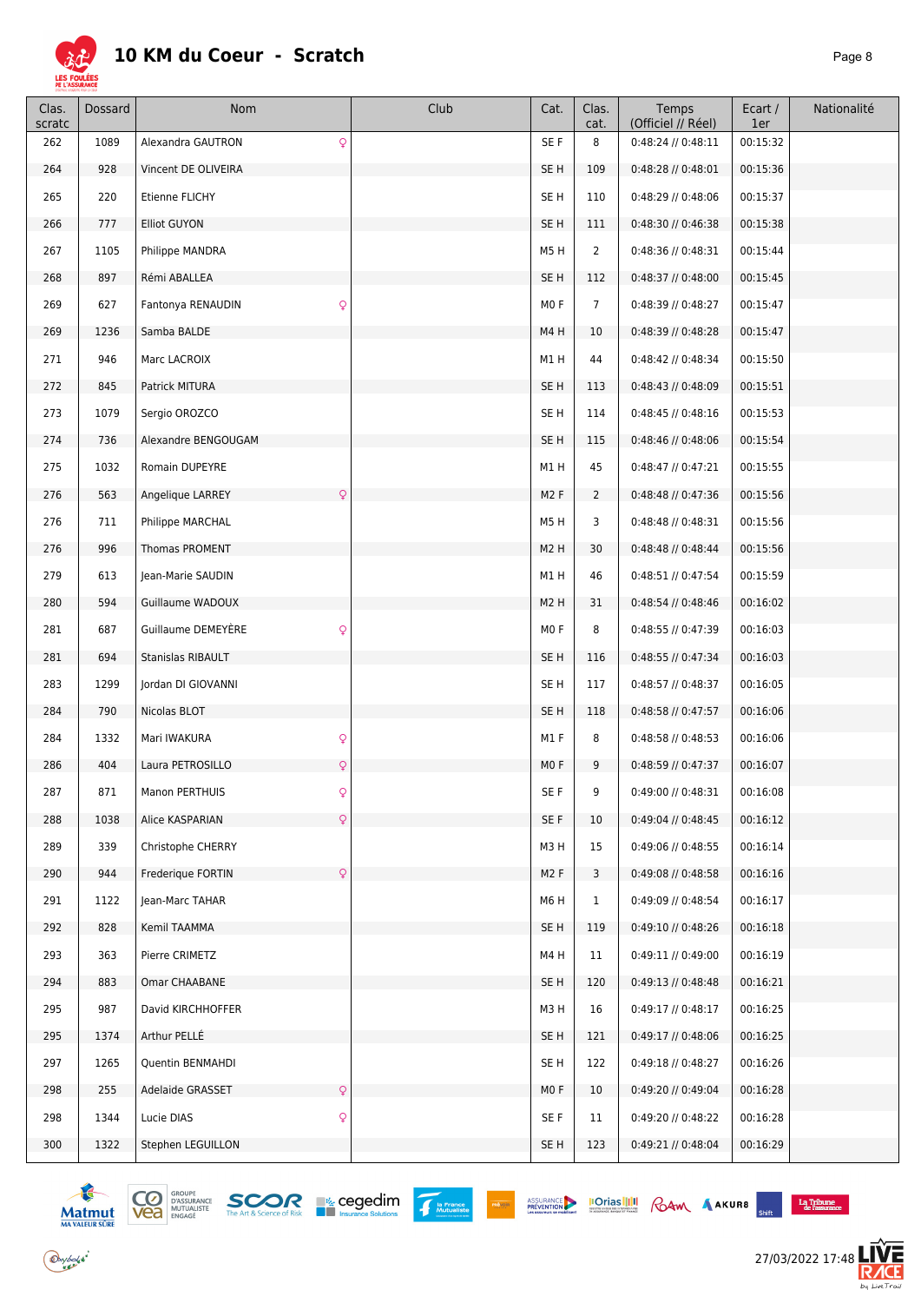

| Clas.<br>scratc | Dossard | Nom                              | Club | Cat.             | Clas.<br>cat.   | Temps<br>(Officiel // Réel) | Ecart /<br>1er | Nationalité |
|-----------------|---------|----------------------------------|------|------------------|-----------------|-----------------------------|----------------|-------------|
| 262             | 1089    | Q<br>Alexandra GAUTRON           |      | SE F             | 8               | $0:48:24$ // $0:48:11$      | 00:15:32       |             |
| 264             | 928     | Vincent DE OLIVEIRA              |      | SE <sub>H</sub>  | 109             | $0:48:28$ // $0:48:01$      | 00:15:36       |             |
| 265             | 220     | Etienne FLICHY                   |      | SE <sub>H</sub>  | 110             | 0:48:29 // 0:48:06          | 00:15:37       |             |
| 266             | 777     | <b>Elliot GUYON</b>              |      | SE <sub>H</sub>  | 111             | 0:48:30 // 0:46:38          | 00:15:38       |             |
| 267             | 1105    | Philippe MANDRA                  |      | M5H              | $\overline{2}$  | $0:48:36$ // $0:48:31$      | 00:15:44       |             |
| 268             | 897     | Rémi ABALLEA                     |      | SE H             | 112             | $0:48:37$ // $0:48:00$      | 00:15:45       |             |
| 269             | 627     | Q<br>Fantonya RENAUDIN           |      | MO <sub>F</sub>  | $\overline{7}$  | 0:48:39 // 0:48:27          | 00:15:47       |             |
| 269             | 1236    | Samba BALDE                      |      | M4H              | 10              | $0:48:39$ // $0:48:28$      | 00:15:47       |             |
| 271             | 946     | Marc LACROIX                     |      | M1H              | 44              | 0:48:42 // 0:48:34          | 00:15:50       |             |
| 272             | 845     | Patrick MITURA                   |      | SE <sub>H</sub>  | 113             | $0:48:43$ // $0:48:09$      | 00:15:51       |             |
| 273             | 1079    | Sergio OROZCO                    |      | SE <sub>H</sub>  | 114             | $0:48:45$ // $0:48:16$      | 00:15:53       |             |
| 274             | 736     | Alexandre BENGOUGAM              |      | SE <sub>H</sub>  | 115             | $0:48:46$ // $0:48:06$      | 00:15:54       |             |
| 275             | 1032    | Romain DUPEYRE                   |      | M1H              | 45              | $0:48:47$ // $0:47:21$      | 00:15:55       |             |
| 276             | 563     | Angelique LARREY<br>$\mathsf{Q}$ |      | M <sub>2</sub> F | $\overline{2}$  | 0:48:48 // 0:47:36          | 00:15:56       |             |
| 276             | 711     | Philippe MARCHAL                 |      | M5H              | 3               | $0:48:48$ // $0:48:31$      | 00:15:56       |             |
| 276             | 996     | Thomas PROMENT                   |      | M <sub>2</sub> H | 30              | $0:48:48$ // $0:48:44$      | 00:15:56       |             |
| 279             | 613     | Jean-Marie SAUDIN                |      | M1H              | 46              | 0:48:51 // 0:47:54          | 00:15:59       |             |
| 280             | 594     | Guillaume WADOUX                 |      | M <sub>2</sub> H | 31              | 0:48:54 // 0:48:46          | 00:16:02       |             |
| 281             | 687     | Q<br>Guillaume DEMEYERE          |      | MO F             | 8               | 0:48:55 // 0:47:39          | 00:16:03       |             |
| 281             | 694     | Stanislas RIBAULT                |      | SE <sub>H</sub>  | 116             | 0:48:55 // 0:47:34          | 00:16:03       |             |
| 283             | 1299    | Jordan DI GIOVANNI               |      | SE <sub>H</sub>  | 117             | 0:48:57 // 0:48:37          | 00:16:05       |             |
| 284             | 790     | Nicolas BLOT                     |      | SE <sub>H</sub>  | 118             | 0:48:58 // 0:47:57          | 00:16:06       |             |
| 284             | 1332    | Q<br>Mari IWAKURA                |      | M1 F             | 8               | $0:48:58$ // $0:48:53$      | 00:16:06       |             |
| 286             | 404     | $\mathsf{Q}$<br>Laura PETROSILLO |      | MO F             | 9               | $0:48:59$ // $0:47:37$      | 00:16:07       |             |
| 287             | 871     | Q<br><b>Manon PERTHUIS</b>       |      | SE F             | 9               | 0:49:00 // 0:48:31          | 00:16:08       |             |
| 288             | 1038    | $\mathsf{Q}$<br>Alice KASPARIAN  |      | SE F             | 10              | $0:49:04$ // $0:48:45$      | 00:16:12       |             |
| 289             | 339     | Christophe CHERRY                |      | M3H              | 15              | 0:49:06 // 0:48:55          | 00:16:14       |             |
| 290             | 944     | Frederique FORTIN<br>Q           |      | M <sub>2</sub> F | 3               | $0:49:08$ // $0:48:58$      | 00:16:16       |             |
| 291             | 1122    | Jean-Marc TAHAR                  |      | M6H              | $\mathbf{1}$    | 0:49:09 // 0:48:54          | 00:16:17       |             |
| 292             | 828     | Kemil TAAMMA                     |      | SE H             | 119             | 0:49:10 // 0:48:26          | 00:16:18       |             |
| 293             | 363     | Pierre CRIMETZ                   |      | M4H              | 11              | 0:49:11 // 0:49:00          | 00:16:19       |             |
| 294             | 883     | Omar CHAABANE                    |      | SE <sub>H</sub>  | 120             | $0:49:13$ // $0:48:48$      | 00:16:21       |             |
| 295             | 987     | David KIRCHHOFFER                |      | M3H              | 16              | $0:49:17$ // $0:48:17$      | 00:16:25       |             |
| 295             | 1374    | Arthur PELLÉ                     |      | SE <sub>H</sub>  | 121             | $0:49:17$ // $0:48:06$      | 00:16:25       |             |
| 297             | 1265    | Quentin BENMAHDI                 |      | SE H             | 122             | $0:49:18$ // $0:48:27$      | 00:16:26       |             |
| 298             | 255     | $\mathsf{Q}$<br>Adelaide GRASSET |      | MO F             | 10 <sup>°</sup> | 0:49:20 // 0:49:04          | 00:16:28       |             |
| 298             | 1344    | Q<br>Lucie DIAS                  |      | SE F             | 11              | $0:49:20$ // $0:48:22$      | 00:16:28       |             |
| 300             | 1322    | Stephen LEGUILLON                |      | SE <sub>H</sub>  | 123             | 0:49:21 // 0:48:04          | 00:16:29       |             |





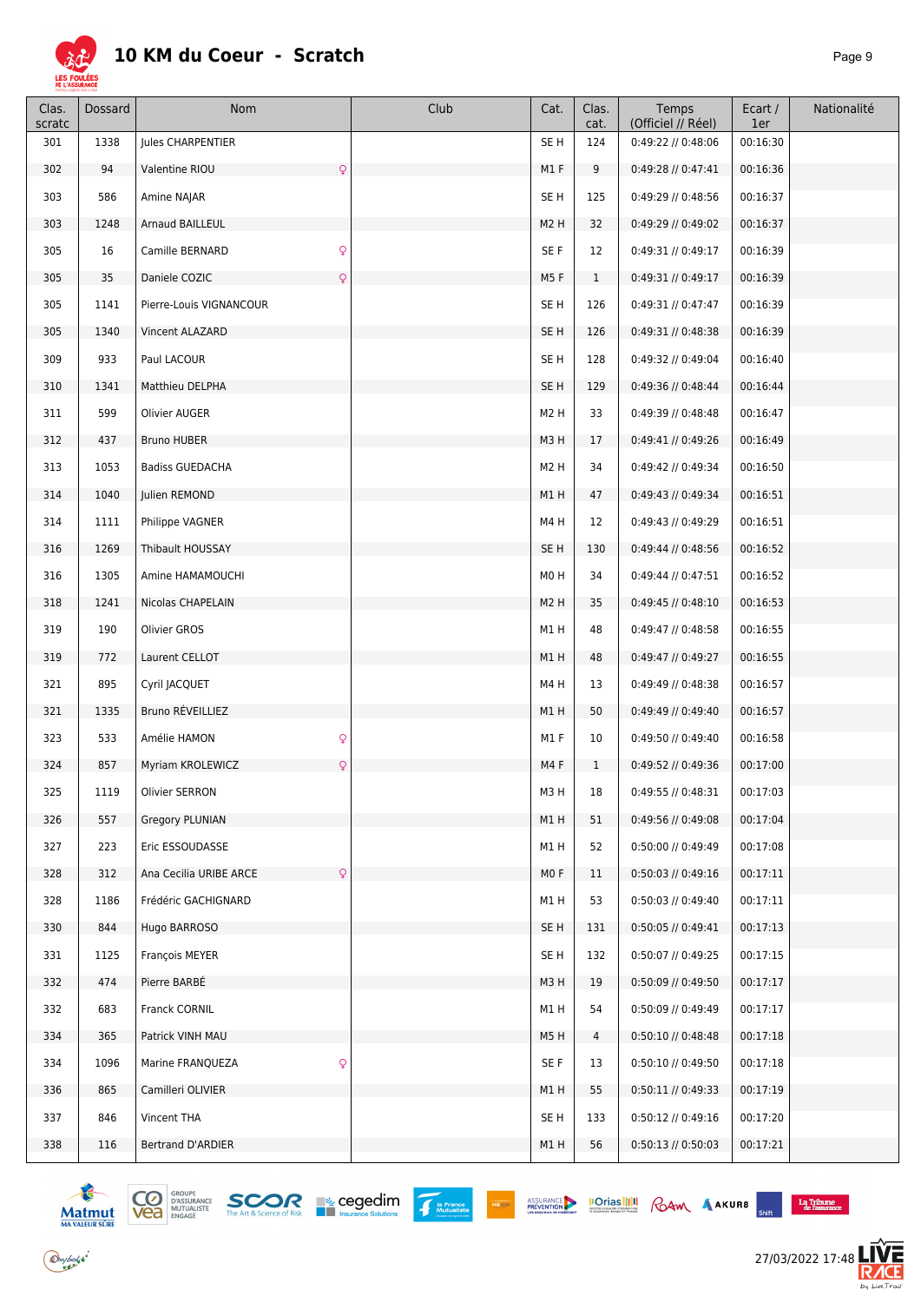

| Clas.<br>scratc | Dossard | Nom                              | Club | Cat.             | Clas.<br>cat. | Temps<br>(Officiel // Réel) | Ecart /<br>1er | Nationalité |
|-----------------|---------|----------------------------------|------|------------------|---------------|-----------------------------|----------------|-------------|
| 301             | 1338    | Jules CHARPENTIER                |      | SE <sub>H</sub>  | 124           | 0:49:22 // 0:48:06          | 00:16:30       |             |
| 302             | 94      | Valentine RIOU<br>Q              |      | M1 F             | 9             | $0:49:28$ // $0:47:41$      | 00:16:36       |             |
| 303             | 586     | Amine NAJAR                      |      | SE H             | 125           | 0:49:29 // 0:48:56          | 00:16:37       |             |
| 303             | 1248    | Arnaud BAILLEUL                  |      | M <sub>2</sub> H | 32            | $0:49:29$ // $0:49:02$      | 00:16:37       |             |
| 305             | 16      | Q<br>Camille BERNARD             |      | SE F             | 12            | 0:49:31 // 0:49:17          | 00:16:39       |             |
| 305             | 35      | Q<br>Daniele COZIC               |      | M5F              | $\mathbf{1}$  | $0:49:31$ // $0:49:17$      | 00:16:39       |             |
| 305             | 1141    | Pierre-Louis VIGNANCOUR          |      | SE <sub>H</sub>  | 126           | 0:49:31 // 0:47:47          | 00:16:39       |             |
| 305             | 1340    | Vincent ALAZARD                  |      | SE H             | 126           | 0:49:31 // 0:48:38          | 00:16:39       |             |
| 309             | 933     | Paul LACOUR                      |      | SE <sub>H</sub>  | 128           | 0:49:32 // 0:49:04          | 00:16:40       |             |
| 310             | 1341    | Matthieu DELPHA                  |      | SE H             | 129           | 0:49:36 // 0:48:44          | 00:16:44       |             |
| 311             | 599     | Olivier AUGER                    |      | M <sub>2</sub> H | 33            | 0:49:39 // 0:48:48          | 00:16:47       |             |
| 312             | 437     | <b>Bruno HUBER</b>               |      | M3H              | 17            | $0:49:41$ // $0:49:26$      | 00:16:49       |             |
| 313             | 1053    | <b>Badiss GUEDACHA</b>           |      | M <sub>2</sub> H | 34            | 0:49:42 // 0:49:34          | 00:16:50       |             |
| 314             | 1040    | Julien REMOND                    |      | M1H              | 47            | 0:49:43 // 0:49:34          | 00:16:51       |             |
| 314             | 1111    | Philippe VAGNER                  |      | M4H              | 12            | 0:49:43 // 0:49:29          | 00:16:51       |             |
| 316             | 1269    | Thibault HOUSSAY                 |      | SE <sub>H</sub>  | 130           | $0:49:44$ // $0:48:56$      | 00:16:52       |             |
| 316             | 1305    | Amine HAMAMOUCHI                 |      | M <sub>0</sub> H | 34            | $0:49:44$ // $0:47:51$      | 00:16:52       |             |
| 318             | 1241    | Nicolas CHAPELAIN                |      | M <sub>2</sub> H | 35            | $0:49:45$ // $0:48:10$      | 00:16:53       |             |
| 319             | 190     | Olivier GROS                     |      | M1H              | 48            | 0:49:47 // 0:48:58          | 00:16:55       |             |
| 319             | 772     | Laurent CELLOT                   |      | M1H              | 48            | 0:49:47 // 0:49:27          | 00:16:55       |             |
| 321             | 895     | Cyril JACQUET                    |      | M4H              | 13            | 0:49:49 // 0:48:38          | 00:16:57       |             |
| 321             | 1335    | Bruno RÉVEILLIEZ                 |      | M1H              | 50            | $0:49:49$ // $0:49:40$      | 00:16:57       |             |
| 323             | 533     | Q<br>Amélie HAMON                |      | M1 F             | 10            | 0:49:50 // 0:49:40          | 00:16:58       |             |
| 324             | 857     | Q<br>Myriam KROLEWICZ            |      | M4F              | $\mathbf{1}$  | $0:49:52$ // $0:49:36$      | 00:17:00       |             |
| 325             | 1119    | Olivier SERRON                   |      | M3H              | 18            | 0:49:55 // 0:48:31          | 00:17:03       |             |
| 326             | 557     | <b>Gregory PLUNIAN</b>           |      | M1 H             | 51            | 0:49:56 // 0:49:08          | 00:17:04       |             |
| 327             | 223     | Eric ESSOUDASSE                  |      | M1H              | 52            | 0:50:00 // 0:49:49          | 00:17:08       |             |
| 328             | 312     | Q<br>Ana Cecilia URIBE ARCE      |      | MO F             | 11            | $0:50:03$ // $0:49:16$      | 00:17:11       |             |
| 328             | 1186    | Frédéric GACHIGNARD              |      | M1H              | 53            | $0:50:03$ // $0:49:40$      | 00:17:11       |             |
| 330             | 844     | Hugo BARROSO                     |      | SE <sub>H</sub>  | 131           | 0:50:05 // 0:49:41          | 00:17:13       |             |
| 331             | 1125    | François MEYER                   |      | SE <sub>H</sub>  | 132           | 0:50:07 // 0:49:25          | 00:17:15       |             |
| 332             | 474     | Pierre BARBÉ                     |      | M3H              | 19            | $0:50:09$ // $0:49:50$      | 00:17:17       |             |
| 332             | 683     | Franck CORNIL                    |      | M1H              | 54            | 0:50:09 // 0:49:49          | 00:17:17       |             |
| 334             | 365     | Patrick VINH MAU                 |      | M5H              | 4             | 0:50:10 // 0:48:48          | 00:17:18       |             |
| 334             | 1096    | $\mathsf{Q}$<br>Marine FRANQUEZA |      | SE F             | 13            | 0:50:10 // 0:49:50          | 00:17:18       |             |
| 336             | 865     | Camilleri OLIVIER                |      | M1H              | 55            | $0:50:11$ // $0:49:33$      | 00:17:19       |             |
| 337             | 846     | Vincent THA                      |      | SE H             | 133           | $0:50:12$ // $0:49:16$      | 00:17:20       |             |
| 338             | 116     | Bertrand D'ARDIER                |      | M1H              | 56            | $0:50:13$ // $0:50:03$      | 00:17:21       |             |





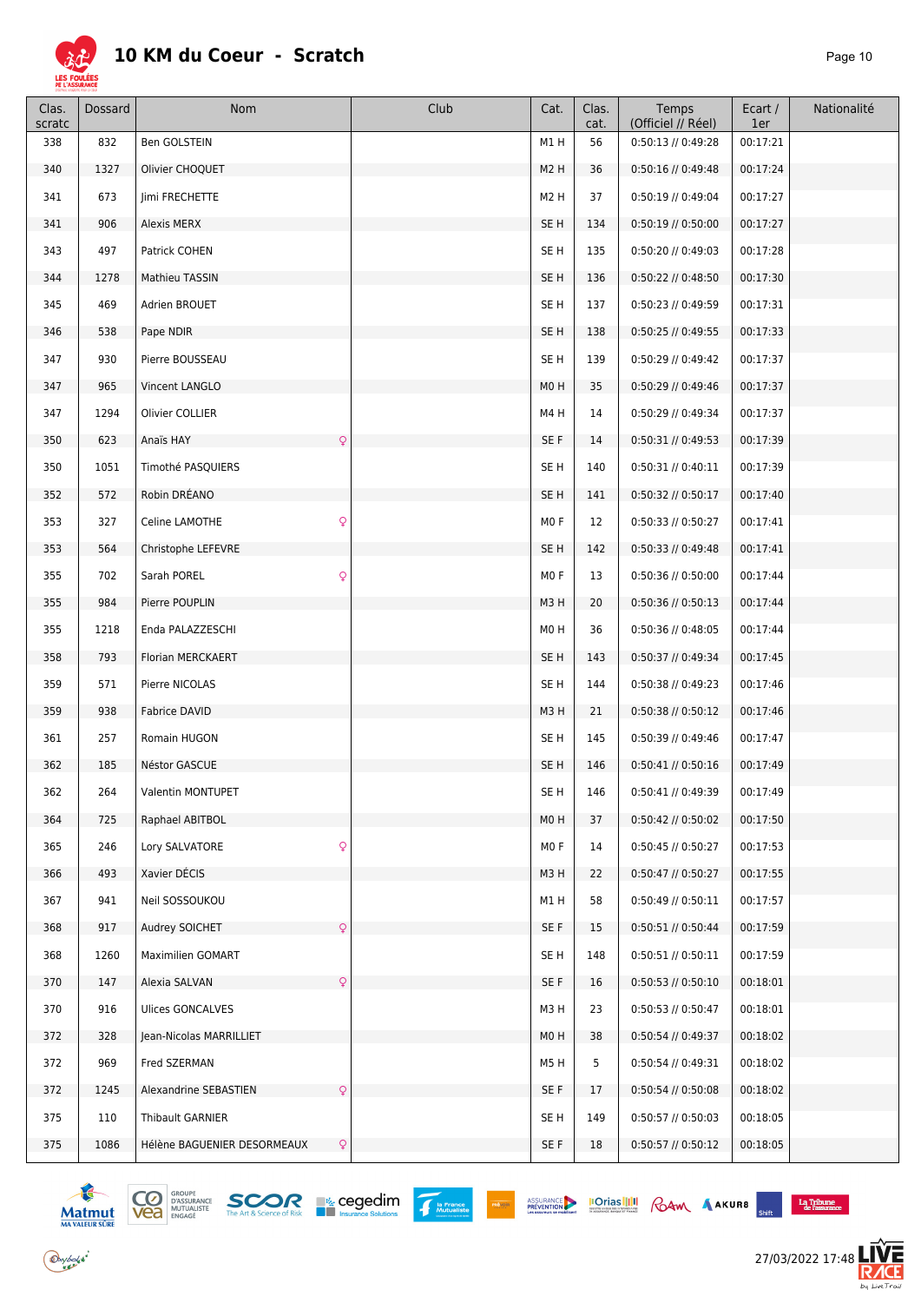

| Clas.<br>scratc | Dossard | Nom                                         | Club | Cat.             | Clas.<br>cat. | Temps<br>(Officiel // Réel) | Ecart /<br>1er | Nationalité |
|-----------------|---------|---------------------------------------------|------|------------------|---------------|-----------------------------|----------------|-------------|
| 338             | 832     | Ben GOLSTEIN                                |      | M1H              | 56            | 0:50:13 // 0:49:28          | 00:17:21       |             |
| 340             | 1327    | Olivier CHOQUET                             |      | M <sub>2</sub> H | 36            | 0:50:16 // 0:49:48          | 00:17:24       |             |
| 341             | 673     | Jimi FRECHETTE                              |      | M <sub>2</sub> H | 37            | $0:50:19$ // $0:49:04$      | 00:17:27       |             |
| 341             | 906     | Alexis MERX                                 |      | SE <sub>H</sub>  | 134           | $0:50:19$ // $0:50:00$      | 00:17:27       |             |
| 343             | 497     | Patrick COHEN                               |      | SE <sub>H</sub>  | 135           | $0:50:20$ // $0:49:03$      | 00:17:28       |             |
| 344             | 1278    | Mathieu TASSIN                              |      | SE <sub>H</sub>  | 136           | 0:50:22 // 0:48:50          | 00:17:30       |             |
| 345             | 469     | Adrien BROUET                               |      | SE <sub>H</sub>  | 137           | 0:50:23 // 0:49:59          | 00:17:31       |             |
| 346             | 538     | Pape NDIR                                   |      | SE <sub>H</sub>  | 138           | $0:50:25$ // $0:49:55$      | 00:17:33       |             |
| 347             | 930     | Pierre BOUSSEAU                             |      | SE <sub>H</sub>  | 139           | $0:50:29$ // $0:49:42$      | 00:17:37       |             |
| 347             | 965     | Vincent LANGLO                              |      | M0H              | 35            | $0:50:29$ // $0:49:46$      | 00:17:37       |             |
| 347             | 1294    | Olivier COLLIER                             |      | M4H              | 14            | 0:50:29 // 0:49:34          | 00:17:37       |             |
| 350             | 623     | Anaïs HAY<br>Q                              |      | SE F             | 14            | $0:50:31$ // $0:49:53$      | 00:17:39       |             |
| 350             | 1051    | Timothé PASQUIERS                           |      | SE H             | 140           | $0:50:31$ // $0:40:11$      | 00:17:39       |             |
| 352             | 572     | Robin DRÉANO                                |      | SE <sub>H</sub>  | 141           | $0:50:32$ // $0:50:17$      | 00:17:40       |             |
| 353             | 327     | Celine LAMOTHE<br>Q                         |      | M <sub>0</sub> F | 12            | $0:50:33$ // $0:50:27$      | 00:17:41       |             |
| 353             | 564     | Christophe LEFEVRE                          |      | SE <sub>H</sub>  | 142           | $0:50:33$ // $0:49:48$      | 00:17:41       |             |
| 355             | 702     | $\mathsf{Q}$<br>Sarah POREL                 |      | MO <sub>F</sub>  | 13            | $0:50:36$ // $0:50:00$      | 00:17:44       |             |
| 355             | 984     | Pierre POUPLIN                              |      | M3H              | 20            | $0:50:36$ // $0:50:13$      | 00:17:44       |             |
| 355             | 1218    | Enda PALAZZESCHI                            |      | M <sub>0</sub> H | 36            | $0:50:36$ // $0:48:05$      | 00:17:44       |             |
| 358             | 793     | Florian MERCKAERT                           |      | SE <sub>H</sub>  | 143           | 0:50:37 // 0:49:34          | 00:17:45       |             |
| 359             | 571     | Pierre NICOLAS                              |      | SE H             | 144           | 0:50:38 // 0:49:23          | 00:17:46       |             |
| 359             | 938     | Fabrice DAVID                               |      | M3H              | 21            | $0:50:38$ // $0:50:12$      | 00:17:46       |             |
| 361             | 257     | Romain HUGON                                |      | SE H             | 145           | 0:50:39 // 0:49:46          | 00:17:47       |             |
| 362             | 185     | Néstor GASCUE                               |      | SE <sub>H</sub>  | 146           | $0:50:41$ // $0:50:16$      | 00:17:49       |             |
| 362             | 264     | Valentin MONTUPET                           |      | SE H             | 146           | 0:50:41 // 0:49:39          | 00:17:49       |             |
| 364             | 725     | Raphael ABITBOL                             |      | M0H              | 37            | $0:50:42$ // $0:50:02$      | 00:17:50       |             |
| 365             | 246     | $\mathsf{Q}$<br>Lory SALVATORE              |      | MO F             | 14            | 0:50:45 // 0:50:27          | 00:17:53       |             |
| 366             | 493     | Xavier DÉCIS                                |      | M3H              | 22            | $0:50:47$ // $0:50:27$      | 00:17:55       |             |
| 367             | 941     | Neil SOSSOUKOU                              |      | M1H              | 58            | $0:50:49$ // $0:50:11$      | 00:17:57       |             |
| 368             | 917     | Audrey SOICHET<br>$\mathsf{Q}$              |      | SE F             | 15            | 0:50:51 // 0:50:44          | 00:17:59       |             |
| 368             | 1260    | Maximilien GOMART                           |      | SE H             | 148           | $0:50:51$ // $0:50:11$      | 00:17:59       |             |
| 370             | 147     | Alexia SALVAN<br>$\mathsf{Q}$               |      | SE F             | 16            | $0:50:53$ // $0:50:10$      | 00:18:01       |             |
| 370             | 916     | <b>Ulices GONCALVES</b>                     |      | M3H              | 23            | $0:50:53$ // $0:50:47$      | 00:18:01       |             |
| 372             | 328     | Jean-Nicolas MARRILLIET                     |      | M0H              | 38            | 0:50:54 // 0:49:37          | 00:18:02       |             |
| 372             | 969     | Fred SZERMAN                                |      | M5H              | 5             | 0:50:54 // 0:49:31          | 00:18:02       |             |
| 372             | 1245    | Alexandrine SEBASTIEN<br>Q                  |      | SE F             | 17            | $0:50:54$ // $0:50:08$      | 00:18:02       |             |
| 375             | 110     | Thibault GARNIER                            |      | SE H             | 149           | 0:50:57 // 0:50:03          | 00:18:05       |             |
| 375             | 1086    | Hélène BAGUENIER DESORMEAUX<br>$\mathsf{Q}$ |      | SE F             | 18            | 0:50:57 // 0:50:12          | 00:18:05       |             |





PRÉVOIR

 $\begin{array}{c} \textbf{La Tribume} \\ \textbf{de l'assurance} \end{array}$  $\mathcal{L}^{\mathcal{L}}$ 

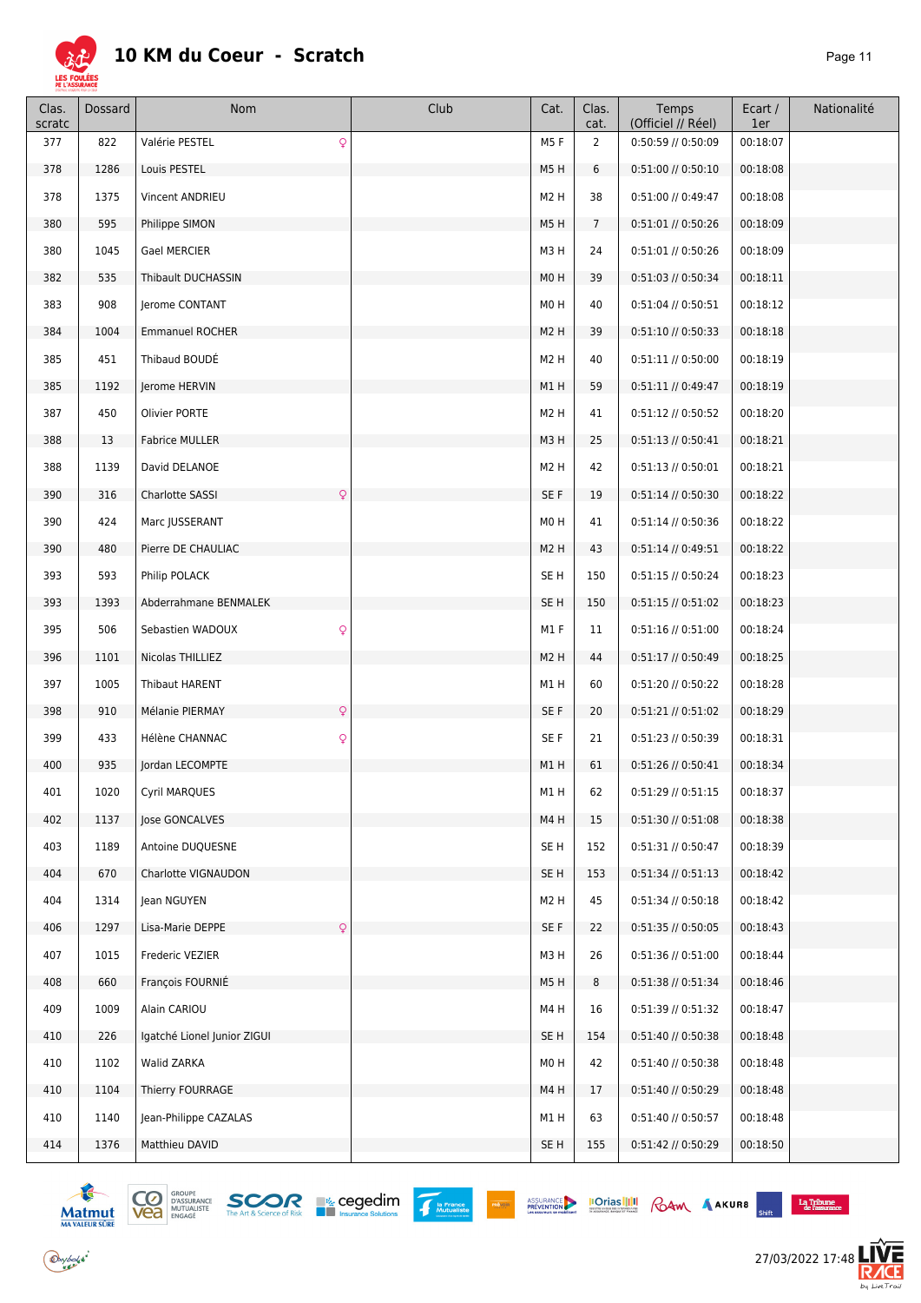

| (Officiel // Réel)<br>scratc<br>cat.<br>1er                                                           | Nationalité<br>Ecart / |
|-------------------------------------------------------------------------------------------------------|------------------------|
| Q<br>$\overline{2}$<br>377<br>822<br>Valérie PESTEL<br>M5F<br>0:50:59 // 0:50:09<br>00:18:07          |                        |
| 378<br>1286<br>Louis PESTEL<br>M5H<br>6<br>0:51:00 // 0:50:10<br>00:18:08                             |                        |
| 378<br>1375<br>Vincent ANDRIEU<br>M <sub>2</sub> H<br>38<br>0:51:00 // 0:49:47<br>00:18:08            |                        |
| 595<br>$7\overline{ }$<br>380<br>Philippe SIMON<br>M5H<br>$0:51:01$ // $0:50:26$<br>00:18:09          |                        |
| M3H<br>380<br>1045<br>Gael MERCIER<br>24<br>0:51:01 // 0:50:26<br>00:18:09                            |                        |
| 382<br>535<br>Thibault DUCHASSIN<br>M <sub>0</sub> H<br>39<br>$0:51:03$ // $0:50:34$<br>00:18:11      |                        |
| 908<br>Jerome CONTANT<br>M <sub>0</sub> H<br>40<br>$0:51:04$ // $0:50:51$<br>00:18:12<br>383          |                        |
| 384<br>1004<br><b>Emmanuel ROCHER</b><br>M <sub>2</sub> H<br>39<br>$0:51:10$ // $0:50:33$<br>00:18:18 |                        |
| Thibaud BOUDÉ<br>M <sub>2</sub> H<br>385<br>451<br>40<br>$0:51:11$ // $0:50:00$<br>00:18:19           |                        |
| 385<br>1192<br>Jerome HERVIN<br>M1H<br>59<br>$0:51:11$ // $0:49:47$<br>00:18:19                       |                        |
| 450<br>M <sub>2</sub> H<br>387<br>Olivier PORTE<br>41<br>0:51:12 // 0:50:52<br>00:18:20               |                        |
| 388<br>13<br><b>Fabrice MULLER</b><br>M3H<br>25<br>$0:51:13$ // $0:50:41$<br>00:18:21                 |                        |
| M <sub>2</sub> H<br>42<br>1139<br>David DELANOE<br>$0:51:13$ // $0:50:01$<br>00:18:21<br>388          |                        |
| 390<br>316<br>Charlotte SASSI<br>Q<br>SE F<br>19<br>$0:51:14$ // $0:50:30$<br>00:18:22                |                        |
| 390<br>424<br>Marc JUSSERANT<br>M <sub>0</sub> H<br>41<br>$0:51:14$ // $0:50:36$<br>00:18:22          |                        |
| 480<br>Pierre DE CHAULIAC<br>M <sub>2</sub> H<br>43<br>$0:51:14$ // $0:49:51$<br>00:18:22<br>390      |                        |
| 593<br>SE <sub>H</sub><br>393<br>Philip POLACK<br>150<br>$0:51:15$ // $0:50:24$<br>00:18:23           |                        |
| SE <sub>H</sub><br>393<br>1393<br>Abderrahmane BENMALEK<br>150<br>$0:51:15$ // $0:51:02$<br>00:18:23  |                        |
| M1F<br>506<br>Sebastien WADOUX<br>Q<br>11<br>$0:51:16$ // $0:51:00$<br>00:18:24<br>395                |                        |
| 1101<br>M <sub>2</sub> H<br>44<br>396<br>Nicolas THILLIEZ<br>$0:51:17$ // $0:50:49$<br>00:18:25       |                        |
| 397<br>1005<br>Thibaut HARENT<br>M1H<br>60<br>0:51:20 // 0:50:22<br>00:18:28                          |                        |
| $\mathsf{Q}$<br>SE F<br>398<br>910<br>Mélanie PIERMAY<br>20<br>$0:51:21$ // $0:51:02$<br>00:18:29     |                        |
| SE F<br>399<br>433<br>Hélène CHANNAC<br>Q<br>21<br>0:51:23 // 0:50:39<br>00:18:31                     |                        |
| 935<br>Jordan LECOMPTE<br>M1H<br>61<br>0:51:26 // 0:50:41<br>00:18:34<br>400                          |                        |
| Cyril MARQUES<br>0:51:29 // 0:51:15<br>1020<br>M1H<br>00:18:37<br>401<br>62                           |                        |
| 402<br>1137<br>15<br>0:51:30 // 0:51:08<br>00:18:38<br>Jose GONCALVES<br>M4H                          |                        |
| SE <sub>H</sub><br>403<br>1189<br>Antoine DUQUESNE<br>152<br>0:51:31 // 0:50:47<br>00:18:39           |                        |
| SE <sub>H</sub><br>404<br>670<br>Charlotte VIGNAUDON<br>153<br>0:51:34 // 0:51:13<br>00:18:42         |                        |
| M <sub>2</sub> H<br>45<br>404<br>1314<br>$0:51:34$ // $0:50:18$<br>00:18:42<br>Jean NGUYEN            |                        |
| Q<br>406<br>1297<br>Lisa-Marie DEPPE<br>SE F<br>22<br>0:51:35 // 0:50:05<br>00:18:43                  |                        |
| M3H<br>407<br>1015<br>26<br>0:51:36 // 0:51:00<br>00:18:44<br>Frederic VEZIER                         |                        |
| 660<br>François FOURNIÉ<br>M5H<br>8<br>408<br>0:51:38 // 0:51:34<br>00:18:46                          |                        |
| 409<br>M4H<br>0:51:39 // 0:51:32<br>1009<br>Alain CARIOU<br>16<br>00:18:47                            |                        |
| SE H<br>410<br>226<br>Igatché Lionel Junior ZIGUI<br>154<br>0:51:40 // 0:50:38<br>00:18:48            |                        |
| 410<br>42<br>0:51:40 // 0:50:38<br>1102<br>M <sub>0</sub> H<br>00:18:48<br>Walid ZARKA                |                        |
| Thierry FOURRAGE<br>M4H<br>0:51:40 // 0:50:29<br>00:18:48<br>410<br>1104<br>17                        |                        |
| 410<br>1140<br>Jean-Philippe CAZALAS<br>M1H<br>0:51:40 // 0:50:57<br>00:18:48<br>63                   |                        |
| 414<br>1376<br>SE <sub>H</sub><br>0:51:42 // 0:50:29<br>00:18:50<br>Matthieu DAVID<br>155             |                        |







PRÉVOIR

ASSURANCE **IOTIAS III** RAM AAKURB



 $b_4$  Live  $Tr \in i$ 

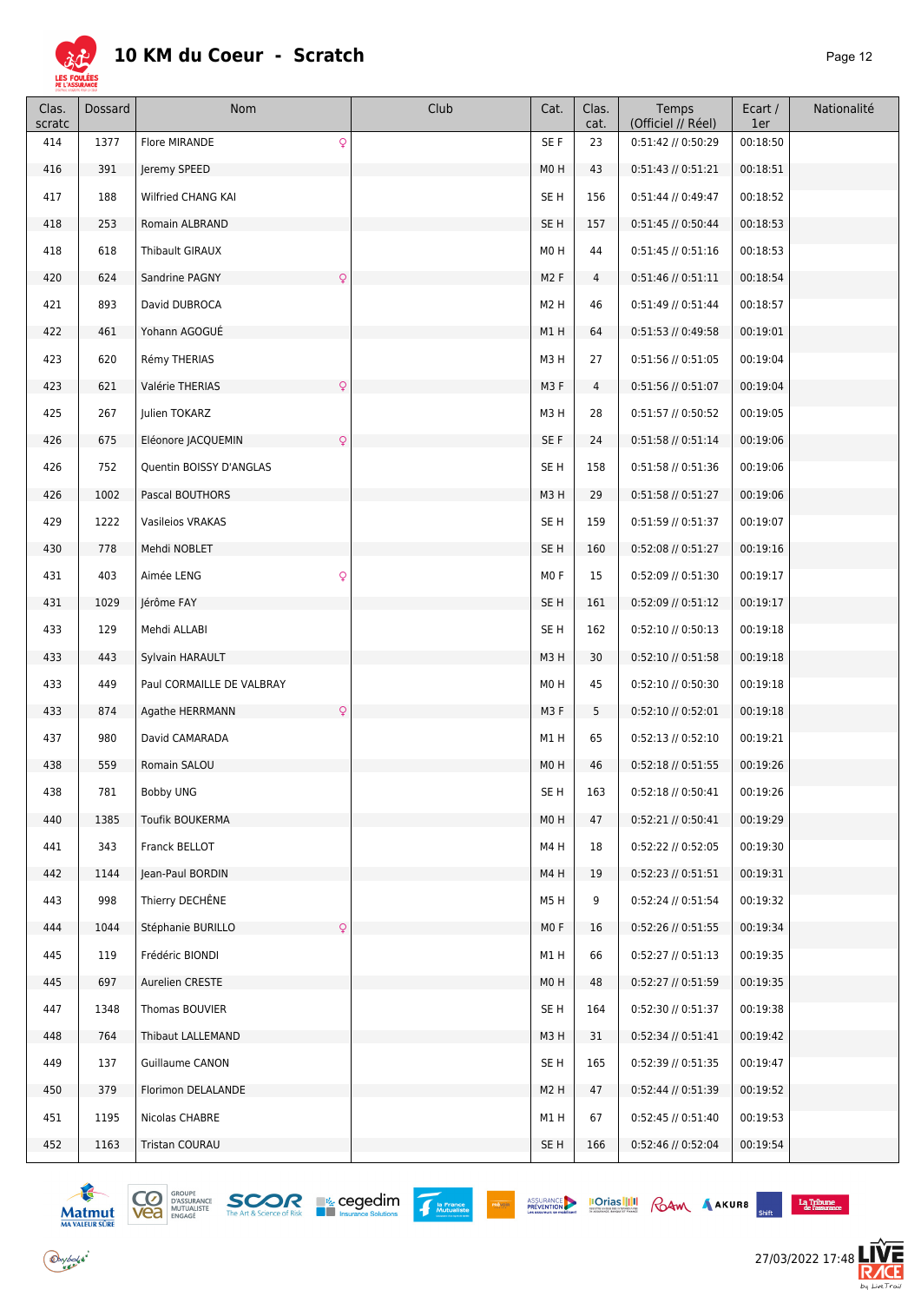

| Clas.<br>scratc | Dossard | Nom                                | Club | Cat.             | Clas.<br>cat. | Temps<br>(Officiel // Réel) | Ecart /<br>1er | Nationalité |
|-----------------|---------|------------------------------------|------|------------------|---------------|-----------------------------|----------------|-------------|
| 414             | 1377    | $\mathsf{Q}$<br>Flore MIRANDE      |      | SE F             | 23            | 0:51:42 // 0:50:29          | 00:18:50       |             |
| 416             | 391     | Jeremy SPEED                       |      | M <sub>0</sub> H | 43            | $0:51:43$ // $0:51:21$      | 00:18:51       |             |
| 417             | 188     | Wilfried CHANG KAI                 |      | SE <sub>H</sub>  | 156           | $0:51:44$ // $0:49:47$      | 00:18:52       |             |
| 418             | 253     | Romain ALBRAND                     |      | SE <sub>H</sub>  | 157           | $0:51:45$ // $0:50:44$      | 00:18:53       |             |
| 418             | 618     | Thibault GIRAUX                    |      | M0H              | 44            | $0:51:45$ // $0:51:16$      | 00:18:53       |             |
| 420             | 624     | Sandrine PAGNY<br>$\mathsf{Q}$     |      | M <sub>2</sub> F | 4             | $0:51:46$ // $0:51:11$      | 00:18:54       |             |
| 421             | 893     | David DUBROCA                      |      | M <sub>2</sub> H | 46            | $0:51:49$ // $0:51:44$      | 00:18:57       |             |
| 422             | 461     | Yohann AGOGUE                      |      | M1H              | 64            | 0:51:53 // 0:49:58          | 00:19:01       |             |
| 423             | 620     | Rémy THERIAS                       |      | M3H              | 27            | 0:51:56 // 0:51:05          | 00:19:04       |             |
| 423             | 621     | $\mathsf{Q}$<br>Valérie THERIAS    |      | M3F              | 4             | $0:51:56$ // $0:51:07$      | 00:19:04       |             |
| 425             | 267     | Julien TOKARZ                      |      | M3H              | 28            | 0:51:57 // 0:50:52          | 00:19:05       |             |
| 426             | 675     | Eléonore JACQUEMIN<br>$\mathsf{Q}$ |      | SE F             | 24            | 0:51:58 // 0:51:14          | 00:19:06       |             |
| 426             | 752     | Quentin BOISSY D'ANGLAS            |      | SE <sub>H</sub>  | 158           | 0:51:58 // 0:51:36          | 00:19:06       |             |
| 426             | 1002    | Pascal BOUTHORS                    |      | M3H              | 29            | 0:51:58 // 0:51:27          | 00:19:06       |             |
| 429             | 1222    | Vasileios VRAKAS                   |      | SE <sub>H</sub>  | 159           | 0:51:59 // 0:51:37          | 00:19:07       |             |
| 430             | 778     | Mehdi NOBLET                       |      | SE <sub>H</sub>  | 160           | 0:52:08 // 0:51:27          | 00:19:16       |             |
| 431             | 403     | $\mathsf{Q}$<br>Aimée LENG         |      | MO <sub>F</sub>  | 15            | 0:52:09 // 0:51:30          | 00:19:17       |             |
| 431             | 1029    | Jérôme FAY                         |      | SE <sub>H</sub>  | 161           | 0:52:09 // 0:51:12          | 00:19:17       |             |
| 433             | 129     | Mehdi ALLABI                       |      | SE <sub>H</sub>  | 162           | $0:52:10$ // $0:50:13$      | 00:19:18       |             |
| 433             | 443     | Sylvain HARAULT                    |      | M3H              | 30            | 0:52:10 // 0:51:58          | 00:19:18       |             |
| 433             | 449     | Paul CORMAILLE DE VALBRAY          |      | M0H              | 45            | 0:52:10 // 0:50:30          | 00:19:18       |             |
| 433             | 874     | $\mathsf{Q}$<br>Agathe HERRMANN    |      | M3F              | 5             | $0:52:10$ // $0:52:01$      | 00:19:18       |             |
| 437             | 980     | David CAMARADA                     |      | M1H              | 65            | $0:52:13$ // $0:52:10$      | 00:19:21       |             |
| 438             | 559     | Romain SALOU                       |      | M0H              | 46            | 0:52:18 // 0:51:55          | 00:19:26       |             |
| 438             | 781     | <b>Bobby UNG</b>                   |      | SE H             | 163           | 0:52:18 // 0:50:41          | 00:19:26       |             |
| 440             | 1385    | Toufik BOUKERMA                    |      | M0H              | 47            | $0:52:21$ // $0:50:41$      | 00:19:29       |             |
| 441             | 343     | Franck BELLOT                      |      | M4H              | 18            | 0:52:22 // 0:52:05          | 00:19:30       |             |
| 442             | 1144    | Jean-Paul BORDIN                   |      | M4H              | 19            | $0:52:23$ // $0:51:51$      | 00:19:31       |             |
| 443             | 998     | Thierry DECHÊNE                    |      | M5H              | 9             | 0:52:24 // 0:51:54          | 00:19:32       |             |
| 444             | 1044    | $\mathsf{Q}$<br>Stéphanie BURILLO  |      | MO F             | 16            | 0:52:26 // 0:51:55          | 00:19:34       |             |
| 445             | 119     | Frédéric BIONDI                    |      | M1H              | 66            | $0:52:27$ // $0:51:13$      | 00:19:35       |             |
| 445             | 697     | Aurelien CRESTE                    |      | M <sub>0</sub> H | 48            | 0:52:27 // 0:51:59          | 00:19:35       |             |
| 447             | 1348    | Thomas BOUVIER                     |      | SE H             | 164           | 0:52:30 // 0:51:37          | 00:19:38       |             |
| 448             | 764     | Thibaut LALLEMAND                  |      | M3H              | 31            | $0:52:34$ // $0:51:41$      | 00:19:42       |             |
| 449             | 137     | Guillaume CANON                    |      | SE <sub>H</sub>  | 165           | 0:52:39 // 0:51:35          | 00:19:47       |             |
| 450             | 379     | Florimon DELALANDE                 |      | M <sub>2</sub> H | 47            | 0:52:44 // 0:51:39          | 00:19:52       |             |
| 451             | 1195    | Nicolas CHABRE                     |      | M1H              | 67            | 0:52:45 // 0:51:40          | 00:19:53       |             |
| 452             | 1163    | Tristan COURAU                     |      | SE H             | 166           | 0:52:46 // 0:52:04          | 00:19:54       |             |



 $\bigodot$ ybolsk<sup>\*</sup>



ASSURANCE **IOTIAS III** RAM AAKURB

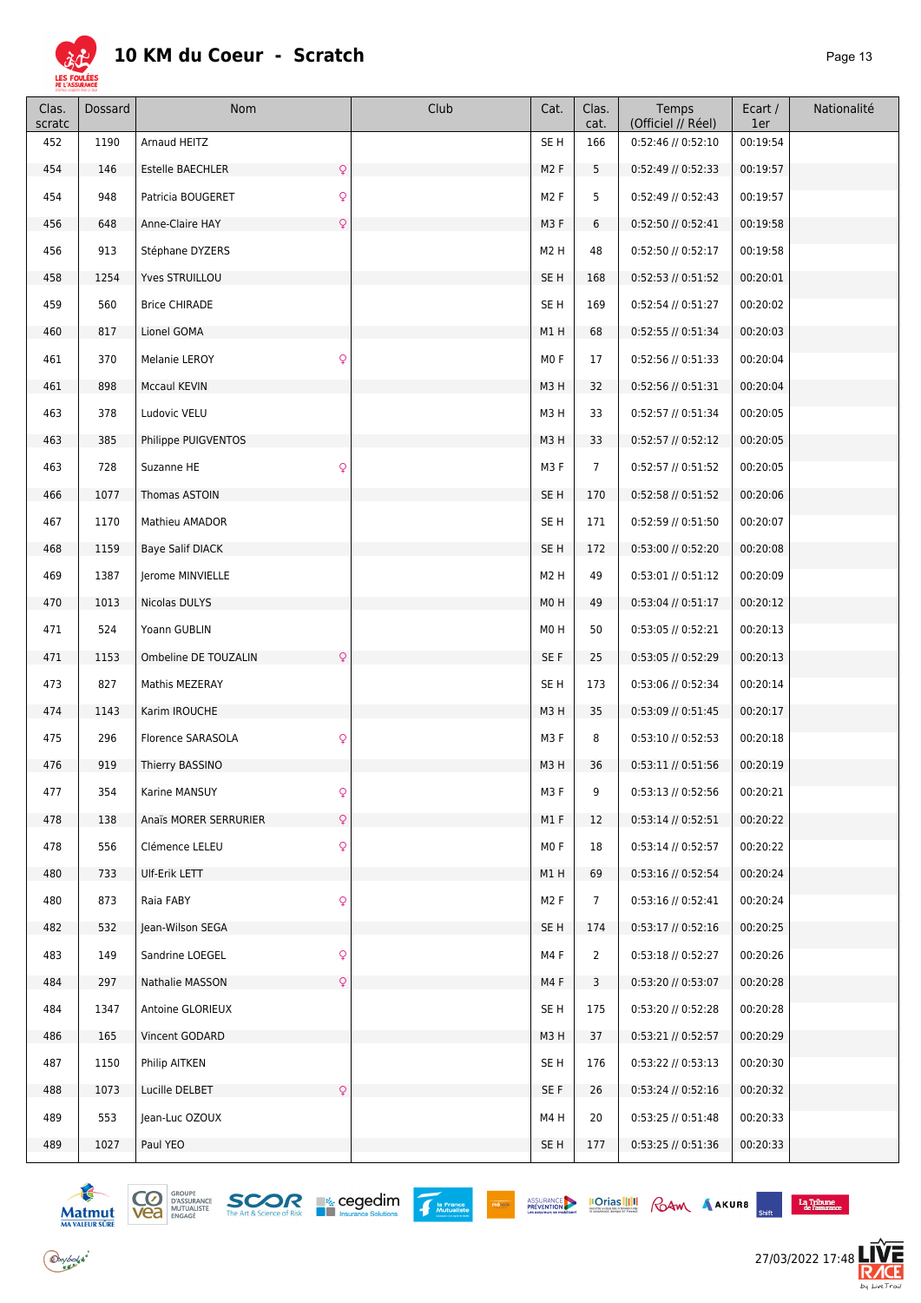

| Clas.<br>scratc | Dossard | Nom                                  | Club | Cat.             | Clas.<br>cat.  | Temps<br>(Officiel // Réel) | Ecart /<br>1er | Nationalité |
|-----------------|---------|--------------------------------------|------|------------------|----------------|-----------------------------|----------------|-------------|
| 452             | 1190    | Arnaud HEITZ                         |      | SE <sub>H</sub>  | 166            | 0:52:46 // 0:52:10          | 00:19:54       |             |
| 454             | 146     | Estelle BAECHLER<br>$\mathsf{Q}$     |      | M <sub>2</sub> F | 5              | 0:52:49 // 0:52:33          | 00:19:57       |             |
| 454             | 948     | $\mathsf{Q}$<br>Patricia BOUGERET    |      | M <sub>2</sub> F | 5              | $0:52:49$ // $0:52:43$      | 00:19:57       |             |
| 456             | 648     | $\mathsf{Q}$<br>Anne-Claire HAY      |      | M3F              | 6              | $0:52:50$ // $0:52:41$      | 00:19:58       |             |
| 456             | 913     | Stéphane DYZERS                      |      | M <sub>2</sub> H | 48             | 0:52:50 // 0:52:17          | 00:19:58       |             |
| 458             | 1254    | Yves STRUILLOU                       |      | SE <sub>H</sub>  | 168            | 0:52:53 // 0:51:52          | 00:20:01       |             |
| 459             | 560     | <b>Brice CHIRADE</b>                 |      | SE <sub>H</sub>  | 169            | 0:52:54 // 0:51:27          | 00:20:02       |             |
| 460             | 817     | Lionel GOMA                          |      | M1H              | 68             | 0:52:55 // 0:51:34          | 00:20:03       |             |
| 461             | 370     | $\mathsf{Q}$<br>Melanie LEROY        |      | MO <sub>F</sub>  | 17             | 0:52:56 // 0:51:33          | 00:20:04       |             |
| 461             | 898     | Mccaul KEVIN                         |      | M3H              | 32             | $0:52:56$ // $0:51:31$      | 00:20:04       |             |
| 463             | 378     | Ludovic VELU                         |      | M3H              | 33             | 0:52:57 // 0:51:34          | 00:20:05       |             |
| 463             | 385     | Philippe PUIGVENTOS                  |      | M3H              | 33             | 0:52:57 // 0:52:12          | 00:20:05       |             |
| 463             | 728     | Suzanne HE<br>$\mathsf{Q}$           |      | M3F              | $\overline{7}$ | 0:52:57 // 0:51:52          | 00:20:05       |             |
| 466             | 1077    | Thomas ASTOIN                        |      | SE <sub>H</sub>  | 170            | 0:52:58 // 0:51:52          | 00:20:06       |             |
| 467             | 1170    | Mathieu AMADOR                       |      | SE <sub>H</sub>  | 171            | 0:52:59 // 0:51:50          | 00:20:07       |             |
| 468             | 1159    | <b>Baye Salif DIACK</b>              |      | SE <sub>H</sub>  | 172            | 0:53:00 // 0:52:20          | 00:20:08       |             |
| 469             | 1387    | Jerome MINVIELLE                     |      | M <sub>2</sub> H | 49             | $0:53:01$ // $0:51:12$      | 00:20:09       |             |
| 470             | 1013    | Nicolas DULYS                        |      | M <sub>0</sub> H | 49             | 0:53:04 // 0:51:17          | 00:20:12       |             |
| 471             | 524     | Yoann GUBLIN                         |      | M0H              | 50             | $0:53:05$ // $0:52:21$      | 00:20:13       |             |
| 471             | 1153    | $\mathsf{Q}$<br>Ombeline DE TOUZALIN |      | SE F             | 25             | $0:53:05$ // $0:52:29$      | 00:20:13       |             |
| 473             | 827     | Mathis MEZERAY                       |      | SE <sub>H</sub>  | 173            | 0:53:06 // 0:52:34          | 00:20:14       |             |
| 474             | 1143    | Karim IROUCHE                        |      | M3H              | 35             | 0:53:09 // 0:51:45          | 00:20:17       |             |
| 475             | 296     | $\mathsf{Q}$<br>Florence SARASOLA    |      | M3F              | 8              | $0:53:10$ // $0:52:53$      | 00:20:18       |             |
| 476             | 919     | Thierry BASSINO                      |      | M3H              | 36             | 0:53:11 // 0:51:56          | 00:20:19       |             |
| 477             | 354     | Karine MANSUY<br>¥                   |      | M3 F             | 9              | 0:53:13 // 0:52:56          | 00:20:21       |             |
| 478             | 138     | Q<br>Anaïs MORER SERRURIER           |      | M1 F             | 12             | $0:53:14$ // $0:52:51$      | 00:20:22       |             |
| 478             | 556     | $\mathsf{Q}$<br>Clémence LELEU       |      | MO F             | 18             | 0:53:14 // 0:52:57          | 00:20:22       |             |
| 480             | 733     | Ulf-Erik LETT                        |      | M1H              | 69             | $0:53:16$ // $0:52:54$      | 00:20:24       |             |
| 480             | 873     | $\mathsf{Q}$<br>Raia FABY            |      | M <sub>2</sub> F | $\overline{7}$ | $0:53:16$ // $0:52:41$      | 00:20:24       |             |
| 482             | 532     | Jean-Wilson SEGA                     |      | SE <sub>H</sub>  | 174            | 0:53:17 // 0:52:16          | 00:20:25       |             |
| 483             | 149     | $\mathsf{Q}$<br>Sandrine LOEGEL      |      | M4F              | $\overline{2}$ | 0:53:18 // 0:52:27          | 00:20:26       |             |
| 484             | 297     | Nathalie MASSON<br>$\mathsf{Q}$      |      | M4 F             | 3              | 0:53:20 // 0:53:07          | 00:20:28       |             |
| 484             | 1347    | Antoine GLORIEUX                     |      | SE <sub>H</sub>  | 175            | 0:53:20 // 0:52:28          | 00:20:28       |             |
| 486             | 165     | Vincent GODARD                       |      | M3H              | 37             | 0:53:21 // 0:52:57          | 00:20:29       |             |
| 487             | 1150    | Philip AITKEN                        |      | SE <sub>H</sub>  | 176            | $0:53:22$ // $0:53:13$      | 00:20:30       |             |
| 488             | 1073    | $\mathsf{Q}$<br>Lucille DELBET       |      | SE F             | 26             | $0:53:24$ // $0:52:16$      | 00:20:32       |             |
| 489             | 553     | Jean-Luc OZOUX                       |      | M4H              | 20             | 0:53:25 // 0:51:48          | 00:20:33       |             |
| 489             | 1027    | Paul YEO                             |      | SE <sub>H</sub>  | 177            | 0:53:25 // 0:51:36          | 00:20:33       |             |





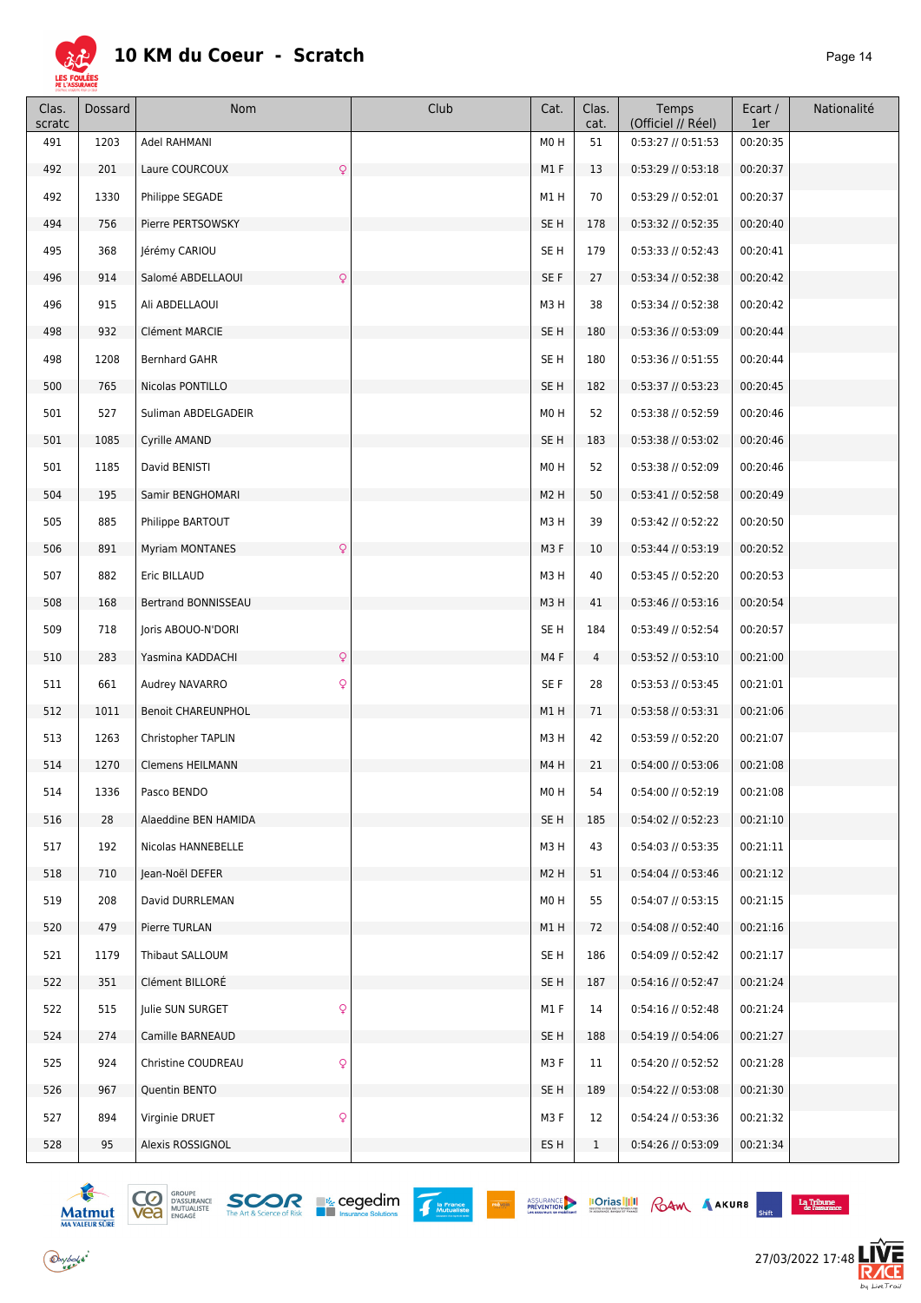

| Clas.<br>scratc | <b>Dossard</b> | Nom                                    | Club | Cat.             | Clas.<br>cat.  | Temps<br>(Officiel // Réel) | Ecart /<br>1er | Nationalité |
|-----------------|----------------|----------------------------------------|------|------------------|----------------|-----------------------------|----------------|-------------|
| 491             | 1203           | Adel RAHMANI                           |      | M0H              | 51             | $0:53:27$ // $0:51:53$      | 00:20:35       |             |
| 492             | 201            | Laure COURCOUX<br>$\mathsf{Q}$         |      | M1F              | 13             | 0:53:29 // 0:53:18          | 00:20:37       |             |
| 492             | 1330           | Philippe SEGADE                        |      | M1H              | 70             | $0:53:29$ // $0:52:01$      | 00:20:37       |             |
| 494             | 756            | Pierre PERTSOWSKY                      |      | SE <sub>H</sub>  | 178            | 0:53:32 // 0:52:35          | 00:20:40       |             |
| 495             | 368            | Jérémy CARIOU                          |      | SE <sub>H</sub>  | 179            | $0:53:33$ // $0:52:43$      | 00:20:41       |             |
| 496             | 914            | Salomé ABDELLAOUI<br>$\mathsf{Q}$      |      | SE F             | 27             | 0:53:34 // 0:52:38          | 00:20:42       |             |
| 496             | 915            | Ali ABDELLAOUI                         |      | M3H              | 38             | 0:53:34 // 0:52:38          | 00:20:42       |             |
| 498             | 932            | Clément MARCIE                         |      | SE <sub>H</sub>  | 180            | 0:53:36 // 0:53:09          | 00:20:44       |             |
| 498             | 1208           | Bernhard GAHR                          |      | SE H             | 180            | 0:53:36 // 0:51:55          | 00:20:44       |             |
| 500             | 765            | Nicolas PONTILLO                       |      | SE <sub>H</sub>  | 182            | 0:53:37 // 0:53:23          | 00:20:45       |             |
| 501             | 527            | Suliman ABDELGADEIR                    |      | M0H              | 52             | 0:53:38 // 0:52:59          | 00:20:46       |             |
| 501             | 1085           | Cyrille AMAND                          |      | SE H             | 183            | 0:53:38 // 0:53:02          | 00:20:46       |             |
| 501             | 1185           | David BENISTI                          |      | M0H              | 52             | 0:53:38 // 0:52:09          | 00:20:46       |             |
| 504             | 195            | Samir BENGHOMARI                       |      | M <sub>2</sub> H | 50             | $0:53:41$ // $0:52:58$      | 00:20:49       |             |
| 505             | 885            | Philippe BARTOUT                       |      | M3H              | 39             | 0:53:42 // 0:52:22          | 00:20:50       |             |
| 506             | 891            | <b>Myriam MONTANES</b><br>$\mathsf{Q}$ |      | M3F              | 10             | $0:53:44$ // $0:53:19$      | 00:20:52       |             |
| 507             | 882            | Eric BILLAUD                           |      | M3H              | 40             | 0:53:45 // 0:52:20          | 00:20:53       |             |
| 508             | 168            | Bertrand BONNISSEAU                    |      | M3H              | 41             | $0:53:46$ // $0:53:16$      | 00:20:54       |             |
| 509             | 718            | Joris ABOUO-N'DORI                     |      | SE H             | 184            | 0:53:49 // 0:52:54          | 00:20:57       |             |
| 510             | 283            | $\mathsf{Q}$<br>Yasmina KADDACHI       |      | M4F              | $\overline{4}$ | 0:53:52 // 0:53:10          | 00:21:00       |             |
| 511             | 661            | Q<br>Audrey NAVARRO                    |      | SE F             | 28             | 0:53:53 // 0:53:45          | 00:21:01       |             |
| 512             | 1011           | <b>Benoit CHAREUNPHOL</b>              |      | M1 H             | 71             | 0:53:58 // 0:53:31          | 00:21:06       |             |
| 513             | 1263           | Christopher TAPLIN                     |      | M3H              | 42             | 0:53:59 // 0:52:20          | 00:21:07       |             |
| 514             | 1270           | <b>Clemens HEILMANN</b>                |      | M4H              | 21             | 0:54:00 // 0:53:06          | 00:21:08       |             |
| 514             | 1336           | Pasco BENDO                            |      | MO H             | 54             | 0:54:00 // 0:52:19          | 00:21:08       |             |
| 516             | 28             | Alaeddine BEN HAMIDA                   |      | SE H             | 185            | $0:54:02$ // $0:52:23$      | 00:21:10       |             |
| 517             | 192            | Nicolas HANNEBELLE                     |      | M3H              | 43             | $0:54:03$ // $0:53:35$      | 00:21:11       |             |
| 518             | 710            | Jean-Noël DEFER                        |      | M <sub>2</sub> H | 51             | $0:54:04$ // $0:53:46$      | 00:21:12       |             |
| 519             | 208            | David DURRLEMAN                        |      | M0H              | 55             | 0:54:07 // 0:53:15          | 00:21:15       |             |
| 520             | 479            | Pierre TURLAN                          |      | M1H              | 72             | 0:54:08 // 0:52:40          | 00:21:16       |             |
| 521             | 1179           | Thibaut SALLOUM                        |      | SE H             | 186            | 0:54:09 // 0:52:42          | 00:21:17       |             |
| 522             | 351            | Clément BILLORE                        |      | SE <sub>H</sub>  | 187            | 0:54:16 // 0:52:47          | 00:21:24       |             |
| 522             | 515            | $\mathsf{Q}$<br>Julie SUN SURGET       |      | M1 F             | 14             | 0:54:16 // 0:52:48          | 00:21:24       |             |
| 524             | 274            | Camille BARNEAUD                       |      | SE H             | 188            | 0:54:19 // 0:54:06          | 00:21:27       |             |
| 525             | 924            | $\mathsf{Q}$<br>Christine COUDREAU     |      | M3F              | 11             | 0:54:20 // 0:52:52          | 00:21:28       |             |
| 526             | 967            | Quentin BENTO                          |      | SE H             | 189            | $0:54:22$ // $0:53:08$      | 00:21:30       |             |
| 527             | 894            | $\mathsf{Q}$<br>Virginie DRUET         |      | M3F              | 12             | 0:54:24 // 0:53:36          | 00:21:32       |             |
| 528             | 95             | Alexis ROSSIGNOL                       |      | ES H             | $\mathbf{1}$   | 0:54:26 // 0:53:09          | 00:21:34       |             |



 $\bigodot$ ybolsk<sup>\*</sup>





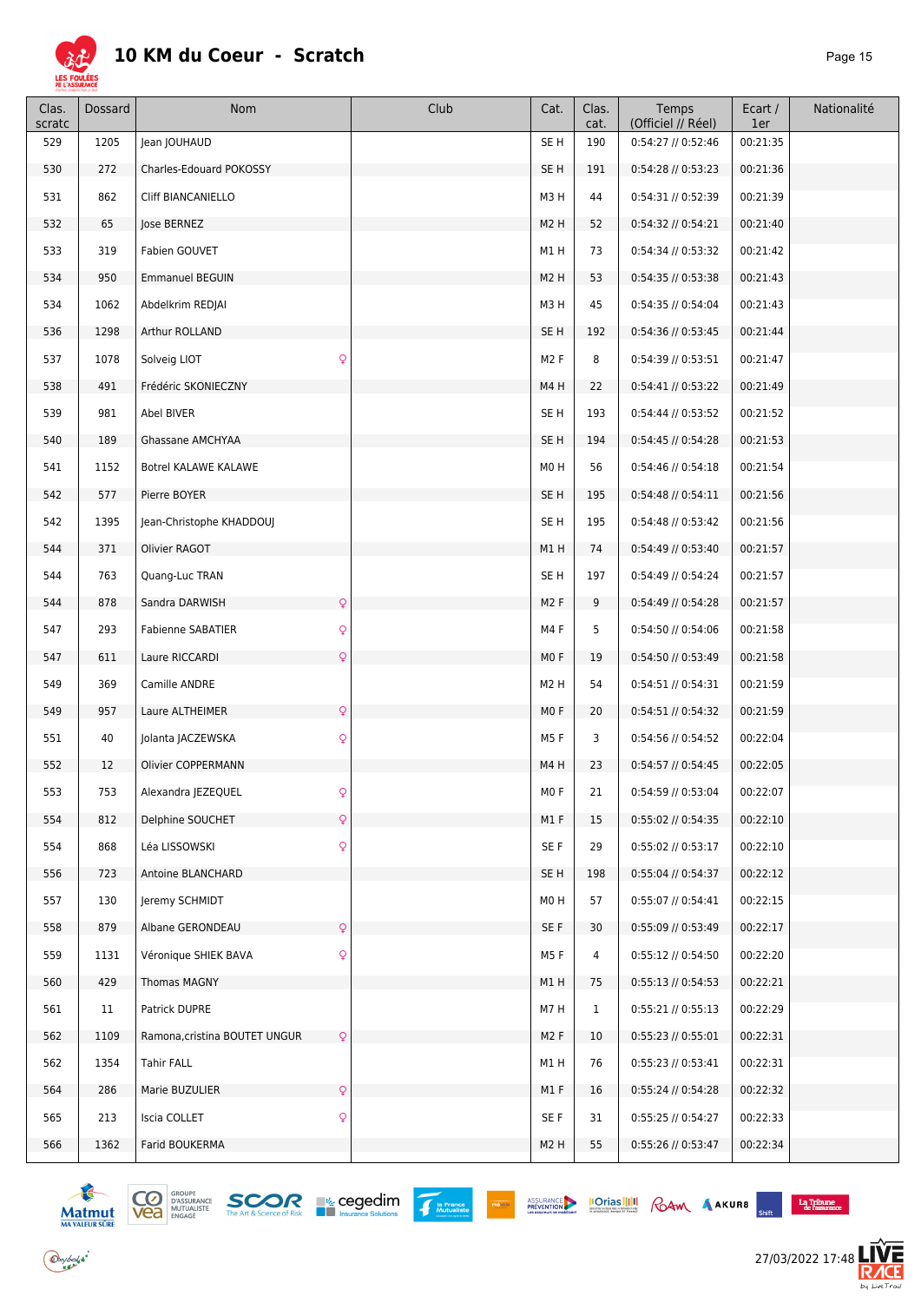

| Clas.<br>scratc | <b>Dossard</b> | Nom                           | Club         | Cat.             | Clas.<br>cat. | Temps<br>(Officiel // Réel) | Ecart /<br>1er | Nationalité |
|-----------------|----------------|-------------------------------|--------------|------------------|---------------|-----------------------------|----------------|-------------|
| 529             | 1205           | Jean JOUHAUD                  |              | SE <sub>H</sub>  | 190           | 0:54:27 // 0:52:46          | 00:21:35       |             |
| 530             | 272            | Charles-Edouard POKOSSY       |              | SE <sub>H</sub>  | 191           | 0:54:28 // 0:53:23          | 00:21:36       |             |
| 531             | 862            | <b>Cliff BIANCANIELLO</b>     |              | M3H              | 44            | 0:54:31 // 0:52:39          | 00:21:39       |             |
| 532             | 65             | Jose BERNEZ                   |              | M <sub>2</sub> H | 52            | $0:54:32$ // $0:54:21$      | 00:21:40       |             |
| 533             | 319            | Fabien GOUVET                 |              | M1H              | 73            | 0:54:34 // 0:53:32          | 00:21:42       |             |
| 534             | 950            | <b>Emmanuel BEGUIN</b>        |              | M <sub>2</sub> H | 53            | 0:54:35 // 0:53:38          | 00:21:43       |             |
| 534             | 1062           | Abdelkrim REDJAI              |              | M3H              | 45            | 0:54:35 // 0:54:04          | 00:21:43       |             |
| 536             | 1298           | Arthur ROLLAND                |              | SE <sub>H</sub>  | 192           | 0:54:36 // 0:53:45          | 00:21:44       |             |
| 537             | 1078           | Solveig LIOT                  | Q            | M <sub>2</sub> F | 8             | 0:54:39 // 0:53:51          | 00:21:47       |             |
| 538             | 491            | Frédéric SKONIECZNY           |              | M4H              | 22            | 0:54:41 // 0:53:22          | 00:21:49       |             |
| 539             | 981            | Abel BIVER                    |              | SE <sub>H</sub>  | 193           | 0:54:44 // 0:53:52          | 00:21:52       |             |
| 540             | 189            | Ghassane AMCHYAA              |              | SE <sub>H</sub>  | 194           | 0:54:45 // 0:54:28          | 00:21:53       |             |
| 541             | 1152           | Botrel KALAWE KALAWE          |              | M0H              | 56            | $0:54:46$ // $0:54:18$      | 00:21:54       |             |
| 542             | 577            | Pierre BOYER                  |              | SE <sub>H</sub>  | 195           | $0:54:48$ // $0:54:11$      | 00:21:56       |             |
| 542             | 1395           | Jean-Christophe KHADDOUJ      |              | SE <sub>H</sub>  | 195           | 0:54:48 // 0:53:42          | 00:21:56       |             |
| 544             | 371            | Olivier RAGOT                 |              | M1H              | 74            | $0:54:49$ // $0:53:40$      | 00:21:57       |             |
| 544             | 763            | Quang-Luc TRAN                |              | SE <sub>H</sub>  | 197           | 0:54:49 // 0:54:24          | 00:21:57       |             |
| 544             | 878            | Sandra DARWISH                | Q            | M <sub>2</sub> F | 9             | 0:54:49 // 0:54:28          | 00:21:57       |             |
| 547             | 293            | <b>Fabienne SABATIER</b>      | Q            | M4 F             | 5             | 0:54:50 // 0:54:06          | 00:21:58       |             |
| 547             | 611            | Laure RICCARDI                | Q            | MO F             | 19            | 0:54:50 // 0:53:49          | 00:21:58       |             |
| 549             | 369            | Camille ANDRE                 |              | M <sub>2</sub> H | 54            | $0:54:51$ // $0:54:31$      | 00:21:59       |             |
| 549             | 957            | Laure ALTHEIMER               | Q            | M <sub>0</sub> F | 20            | $0:54:51$ // $0:54:32$      | 00:21:59       |             |
| 551             | 40             | Jolanta JACZEWSKA             | Q            | M5 F             | 3             | 0:54:56 // 0:54:52          | 00:22:04       |             |
| 552             | 12             | Olivier COPPERMANN            |              | M4H              | 23            | $0:54:57$ // $0:54:45$      | 00:22:05       |             |
| 553             | 753            | Alexandra JEZEQUEL            | ç            | MO F             | 21            | 0:54:59 // 0:53:04          | 00:22:07       |             |
| 554             | 812            | Delphine SOUCHET              | $\mathsf{Q}$ | M1F              | 15            | 0:55:02 // 0:54:35          | 00:22:10       |             |
| 554             | 868            | Léa LISSOWSKI                 | Q            | SE F             | 29            | 0:55:02 // 0:53:17          | 00:22:10       |             |
| 556             | 723            | Antoine BLANCHARD             |              | SE <sub>H</sub>  | 198           | $0:55:04$ // $0:54:37$      | 00:22:12       |             |
| 557             | 130            | Jeremy SCHMIDT                |              | M0H              | 57            | $0:55:07$ // $0:54:41$      | 00:22:15       |             |
| 558             | 879            | Albane GERONDEAU              | Q            | SE F             | 30            | 0:55:09 // 0:53:49          | 00:22:17       |             |
| 559             | 1131           | Véronique SHIEK BAVA          | Q            | M5 F             | 4             | 0:55:12 // 0:54:50          | 00:22:20       |             |
| 560             | 429            | Thomas MAGNY                  |              | M1H              | 75            | $0:55:13$ // $0:54:53$      | 00:22:21       |             |
| 561             | 11             | Patrick DUPRE                 |              | M7 H             | $\mathbf{1}$  | 0:55:21 // 0:55:13          | 00:22:29       |             |
| 562             | 1109           | Ramona, cristina BOUTET UNGUR | Q            | M <sub>2</sub> F | 10            | $0:55:23$ // $0:55:01$      | 00:22:31       |             |
| 562             | 1354           | <b>Tahir FALL</b>             |              | M1H              | 76            | $0:55:23$ // $0:53:41$      | 00:22:31       |             |
| 564             | 286            | Marie BUZULIER                | Q            | M1F              | 16            | $0:55:24$ // $0:54:28$      | 00:22:32       |             |
| 565             | 213            | Iscia COLLET                  | Q            | SE F             | 31            | $0:55:25$ // $0:54:27$      | 00:22:33       |             |
| 566             | 1362           | Farid BOUKERMA                |              | M <sub>2</sub> H | 55            | 0:55:26 // 0:53:47          | 00:22:34       |             |





ASSURANCE **IOTIAS III** RAM AAKURB

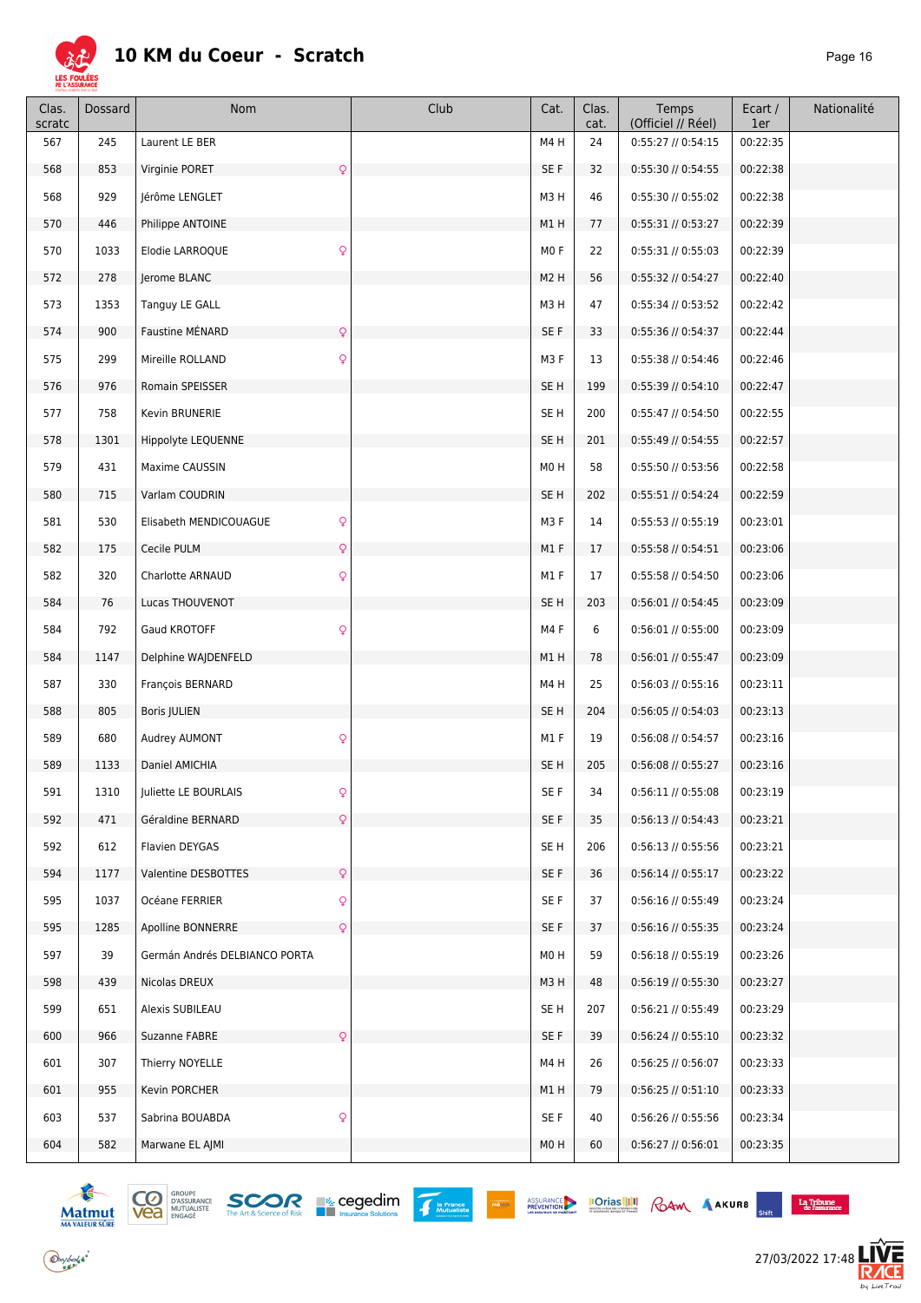

| Clas.<br>scratc | Dossard | Nom                           | Club         | Cat.             | Clas.<br>cat. | Temps<br>(Officiel // Réel) | Ecart /<br>1er | Nationalité |
|-----------------|---------|-------------------------------|--------------|------------------|---------------|-----------------------------|----------------|-------------|
| 567             | 245     | Laurent LE BER                |              | M4H              | 24            | $0:55:27$ // $0:54:15$      | 00:22:35       |             |
| 568             | 853     | Virginie PORET                | Q            | SE F             | 32            | 0:55:30 // 0:54:55          | 00:22:38       |             |
| 568             | 929     | Jérôme LENGLET                |              | M3H              | 46            | 0:55:30 // 0:55:02          | 00:22:38       |             |
| 570             | 446     | Philippe ANTOINE              |              | M1H              | 77            | $0:55:31$ // $0:53:27$      | 00:22:39       |             |
| 570             | 1033    | Elodie LARROQUE               | $\mathsf{Q}$ | MO <sub>F</sub>  | 22            | $0:55:31$ // $0:55:03$      | 00:22:39       |             |
| 572             | 278     | Jerome BLANC                  |              | M <sub>2</sub> H | 56            | 0:55:32 // 0:54:27          | 00:22:40       |             |
| 573             | 1353    | Tanguy LE GALL                |              | M3H              | 47            | 0:55:34 // 0:53:52          | 00:22:42       |             |
| 574             | 900     | Faustine MÉNARD               | $\mathsf{Q}$ | SE F             | 33            | 0:55:36 // 0:54:37          | 00:22:44       |             |
| 575             | 299     | Mireille ROLLAND              | $\mathsf{Q}$ | M3F              | 13            | 0:55:38 // 0:54:46          | 00:22:46       |             |
| 576             | 976     | Romain SPEISSER               |              | SE H             | 199           | $0:55:39$ // $0:54:10$      | 00:22:47       |             |
| 577             | 758     | Kevin BRUNERIE                |              | SE <sub>H</sub>  | 200           | 0:55:47 // 0:54:50          | 00:22:55       |             |
| 578             | 1301    | Hippolyte LEQUENNE            |              | SE <sub>H</sub>  | 201           | 0:55:49 // 0:54:55          | 00:22:57       |             |
| 579             | 431     | Maxime CAUSSIN                |              | M0H              | 58            | 0:55:50 // 0:53:56          | 00:22:58       |             |
| 580             | 715     | Varlam COUDRIN                |              | SE <sub>H</sub>  | 202           | $0:55:51$ // $0:54:24$      | 00:22:59       |             |
| 581             | 530     | Elisabeth MENDICOUAGUE        | $\mathsf{Q}$ | M3F              | 14            | $0:55:53$ // $0:55:19$      | 00:23:01       |             |
| 582             | 175     | Cecile PULM                   | $\mathsf{Q}$ | M1F              | 17            | $0:55:58$ // $0:54:51$      | 00:23:06       |             |
| 582             | 320     | Charlotte ARNAUD              | Q            | M1F              | 17            | 0:55:58 // 0:54:50          | 00:23:06       |             |
| 584             | 76      | Lucas THOUVENOT               |              | SE <sub>H</sub>  | 203           | $0:56:01$ // $0:54:45$      | 00:23:09       |             |
| 584             | 792     | Gaud KROTOFF                  | Q            | M4F              | 6             | $0:56:01$ // $0:55:00$      | 00:23:09       |             |
| 584             | 1147    | Delphine WAJDENFELD           |              | M1H              | 78            | $0:56:01$ // $0:55:47$      | 00:23:09       |             |
| 587             | 330     | François BERNARD              |              | M4H              | 25            | $0:56:03$ // $0:55:16$      | 00:23:11       |             |
| 588             | 805     | Boris JULIEN                  |              | SE <sub>H</sub>  | 204           | $0:56:05$ // $0:54:03$      | 00:23:13       |             |
| 589             | 680     | Audrey AUMONT                 | Q            | M1 F             | 19            | 0:56:08 // 0:54:57          | 00:23:16       |             |
| 589             | 1133    | Daniel AMICHIA                |              | SE <sub>H</sub>  | 205           | 0:56:08 // 0:55:27          | 00:23:16       |             |
| 591             | 1310    | Juliette LE BOURLAIS          |              | $SE$ $F$         | 34            | 0:56:11 // 0:55:08          | 00:23:19       |             |
| 592             | 471     | Géraldine BERNARD             | $\mathsf{Q}$ | SE F             | 35            | $0:56:13$ // $0:54:43$      | 00:23:21       |             |
| 592             | 612     | Flavien DEYGAS                |              | SE <sub>H</sub>  | 206           | 0:56:13 // 0:55:56          | 00:23:21       |             |
| 594             | 1177    | Valentine DESBOTTES           | $\mathsf{Q}$ | SE F             | 36            | 0:56:14 // 0:55:17          | 00:23:22       |             |
| 595             | 1037    | Océane FERRIER                | Q            | SE F             | 37            | $0:56:16$ // $0:55:49$      | 00:23:24       |             |
| 595             | 1285    | Apolline BONNERRE             | $\mathsf{Q}$ | SE F             | 37            | 0:56:16 // 0:55:35          | 00:23:24       |             |
| 597             | 39      | Germán Andrés DELBIANCO PORTA |              | M0H              | 59            | 0:56:18 // 0:55:19          | 00:23:26       |             |
| 598             | 439     | Nicolas DREUX                 |              | M3H              | 48            | $0:56:19$ // $0:55:30$      | 00:23:27       |             |
| 599             | 651     | Alexis SUBILEAU               |              | SE H             | 207           | $0:56:21$ // $0:55:49$      | 00:23:29       |             |
| 600             | 966     | Suzanne FABRE                 | $\mathsf{Q}$ | SE F             | 39            | 0:56:24 // 0:55:10          | 00:23:32       |             |
| 601             | 307     | Thierry NOYELLE               |              | M4H              | 26            | 0:56:25 // 0:56:07          | 00:23:33       |             |
| 601             | 955     | Kevin PORCHER                 |              | M1H              | 79            | $0:56:25$ // $0:51:10$      | 00:23:33       |             |
| 603             | 537     | Sabrina BOUABDA               | $\mathsf{Q}$ | SE F             | 40            | 0:56:26 // 0:55:56          | 00:23:34       |             |
| 604             | 582     | Marwane EL AJMI               |              | M0H              | 60            | $0:56:27$ // $0:56:01$      | 00:23:35       |             |



 $\bigodot$ ybolsk<sup>\*</sup>



ASSURANCE IOTIAS IIII RAM AAKUR8

 $\begin{array}{c} \textbf{La Tribume} \\ \textbf{de l'assurance} \end{array}$  $\mathcal{L}^{\mathcal{L}}$ 

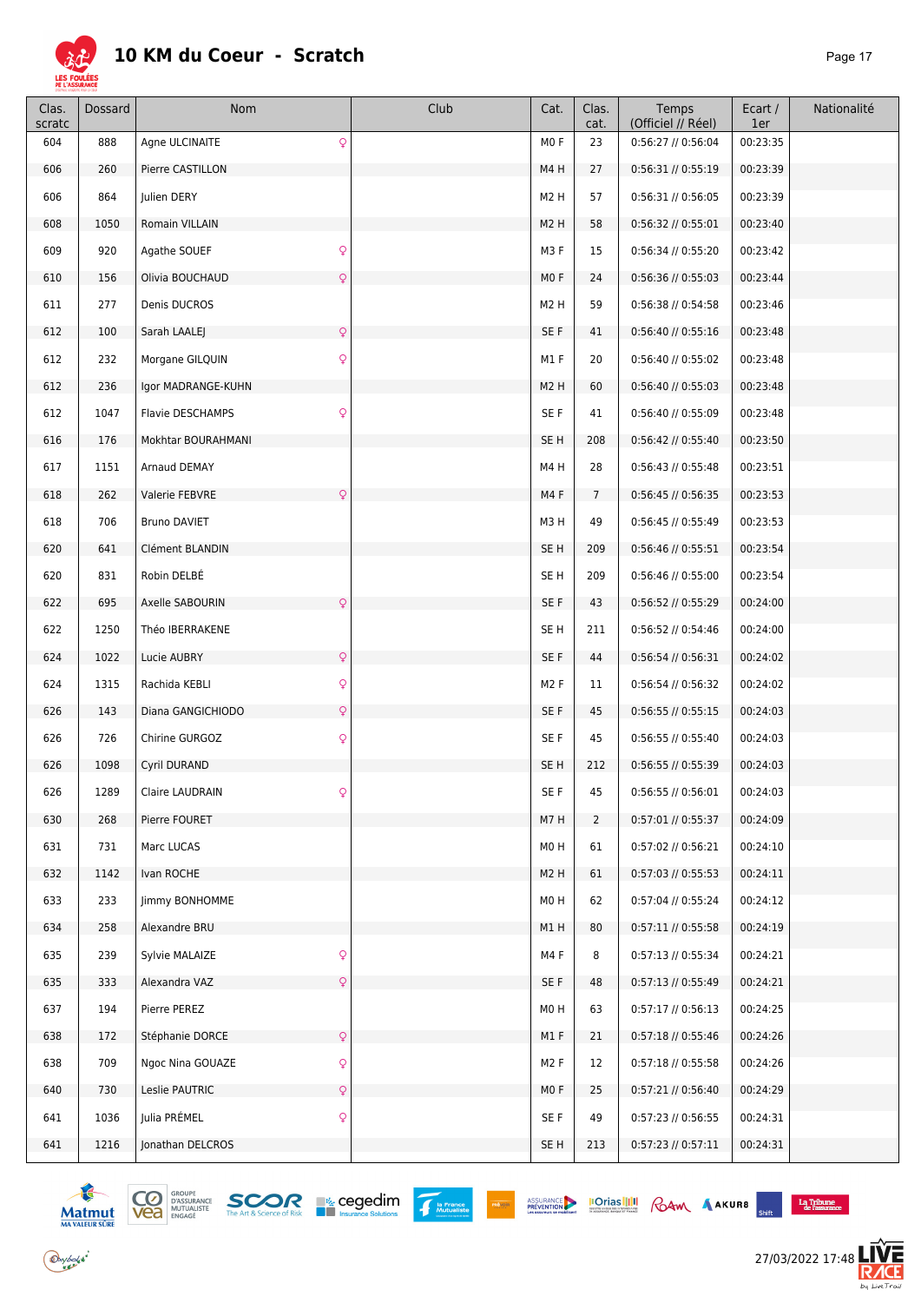

| Clas.<br>scratc | Dossard | Nom                                     | Club | Cat.             | Clas.<br>cat.  | Temps<br>(Officiel // Réel) | Ecart /<br>1er | Nationalité |
|-----------------|---------|-----------------------------------------|------|------------------|----------------|-----------------------------|----------------|-------------|
| 604             | 888     | $\mathsf{Q}$<br>Agne ULCINAITE          |      | M <sub>0</sub> F | 23             | 0:56:27 // 0:56:04          | 00:23:35       |             |
| 606             | 260     | Pierre CASTILLON                        |      | M4H              | 27             | 0:56:31 // 0:55:19          | 00:23:39       |             |
| 606             | 864     | Julien DERY                             |      | M <sub>2</sub> H | 57             | $0:56:31$ // $0:56:05$      | 00:23:39       |             |
| 608             | 1050    | Romain VILLAIN                          |      | M <sub>2</sub> H | 58             | $0:56:32$ // $0:55:01$      | 00:23:40       |             |
| 609             | 920     | $\mathsf{Q}$<br>Agathe SOUEF            |      | M3F              | 15             | 0:56:34 // 0:55:20          | 00:23:42       |             |
| 610             | 156     | $\mathsf{Q}$<br>Olivia BOUCHAUD         |      | M <sub>0</sub> F | 24             | 0:56:36 // 0:55:03          | 00:23:44       |             |
| 611             | 277     | Denis DUCROS                            |      | M <sub>2</sub> H | 59             | $0:56:38$ // $0:54:58$      | 00:23:46       |             |
| 612             | 100     | $\mathsf{Q}$<br>Sarah LAALEJ            |      | SE F             | 41             | $0:56:40$ // $0:55:16$      | 00:23:48       |             |
| 612             | 232     | $\mathsf{Q}$<br>Morgane GILQUIN         |      | M1F              | 20             | 0:56:40 // 0:55:02          | 00:23:48       |             |
| 612             | 236     | Igor MADRANGE-KUHN                      |      | M <sub>2</sub> H | 60             | $0:56:40$ // $0:55:03$      | 00:23:48       |             |
| 612             | 1047    | $\mathsf{Q}$<br><b>Flavie DESCHAMPS</b> |      | SE F             | 41             | 0:56:40 // 0:55:09          | 00:23:48       |             |
| 616             | 176     | Mokhtar BOURAHMANI                      |      | SE <sub>H</sub>  | 208            | 0:56:42 // 0:55:40          | 00:23:50       |             |
| 617             | 1151    | Arnaud DEMAY                            |      | M4H              | 28             | $0:56:43$ // $0:55:48$      | 00:23:51       |             |
| 618             | 262     | Valerie FEBVRE<br>$\mathsf{Q}$          |      | M4F              | $\overline{7}$ | $0:56:45$ // $0:56:35$      | 00:23:53       |             |
| 618             | 706     | <b>Bruno DAVIET</b>                     |      | M3H              | 49             | $0:56:45$ // $0:55:49$      | 00:23:53       |             |
| 620             | 641     | Clément BLANDIN                         |      | SE <sub>H</sub>  | 209            | $0:56:46$ // $0:55:51$      | 00:23:54       |             |
| 620             | 831     | Robin DELBÉ                             |      | SE <sub>H</sub>  | 209            | $0:56:46$ // $0:55:00$      | 00:23:54       |             |
| 622             | 695     | $\mathsf{Q}$<br>Axelle SABOURIN         |      | SE F             | 43             | $0:56:52$ // $0:55:29$      | 00:24:00       |             |
| 622             | 1250    | Théo IBERRAKENE                         |      | SE <sub>H</sub>  | 211            | $0:56:52$ // $0:54:46$      | 00:24:00       |             |
| 624             | 1022    | $\mathsf{Q}$<br>Lucie AUBRY             |      | SE F             | 44             | $0:56:54$ // $0:56:31$      | 00:24:02       |             |
| 624             | 1315    | $\mathsf{Q}$<br>Rachida KEBLI           |      | M <sub>2</sub> F | 11             | $0:56:54$ // $0:56:32$      | 00:24:02       |             |
| 626             | 143     | $\mathsf{Q}$<br>Diana GANGICHIODO       |      | SE F             | 45             | $0:56:55$ // $0:55:15$      | 00:24:03       |             |
| 626             | 726     | Chirine GURGOZ<br>Q                     |      | SE F             | 45             | 0:56:55 // 0:55:40          | 00:24:03       |             |
| 626             | 1098    | Cyril DURAND                            |      | SE <sub>H</sub>  | 212            | 0:56:55 // 0:55:39          | 00:24:03       |             |
| 626             | 1289    | Claire LAUDRAIN                         |      | SE F             | 45             | $0:56:55$ // $0:56:01$      | 00:24:03       |             |
| 630             | 268     | Pierre FOURET                           |      | M7H              | $\overline{2}$ | 0:57:01 // 0:55:37          | 00:24:09       |             |
| 631             | 731     | Marc LUCAS                              |      | M0H              | 61             | 0:57:02 // 0:56:21          | 00:24:10       |             |
| 632             | 1142    | Ivan ROCHE                              |      | M <sub>2</sub> H | 61             | 0:57:03 // 0:55:53          | 00:24:11       |             |
| 633             | 233     | Jimmy BONHOMME                          |      | M0H              | 62             | 0:57:04 // 0:55:24          | 00:24:12       |             |
| 634             | 258     | Alexandre BRU                           |      | M1H              | 80             | 0:57:11 // 0:55:58          | 00:24:19       |             |
| 635             | 239     | $\mathsf{Q}$<br>Sylvie MALAIZE          |      | M4F              | 8              | 0:57:13 // 0:55:34          | 00:24:21       |             |
| 635             | 333     | Alexandra VAZ<br>$\mathsf{Q}$           |      | SE F             | 48             | $0:57:13$ // $0:55:49$      | 00:24:21       |             |
| 637             | 194     | Pierre PEREZ                            |      | M0H              | 63             | $0:57:17$ // $0:56:13$      | 00:24:25       |             |
| 638             | 172     | $\mathsf{Q}$<br>Stéphanie DORCE         |      | M1F              | 21             | 0:57:18 // 0:55:46          | 00:24:26       |             |
| 638             | 709     | Ngoc Nina GOUAZE<br>Q                   |      | M <sub>2</sub> F | 12             | 0:57:18 // 0:55:58          | 00:24:26       |             |
| 640             | 730     | Leslie PAUTRIC<br>Q                     |      | MO F             | 25             | 0:57:21 // 0:56:40          | 00:24:29       |             |
| 641             | 1036    | Julia PRÉMEL<br>$\mathsf{Q}$            |      | SE F             | 49             | 0:57:23 // 0:56:55          | 00:24:31       |             |
| 641             | 1216    | Jonathan DELCROS                        |      | SE <sub>H</sub>  | 213            | $0:57:23$ // $0:57:11$      | 00:24:31       |             |





PRÉVOIR



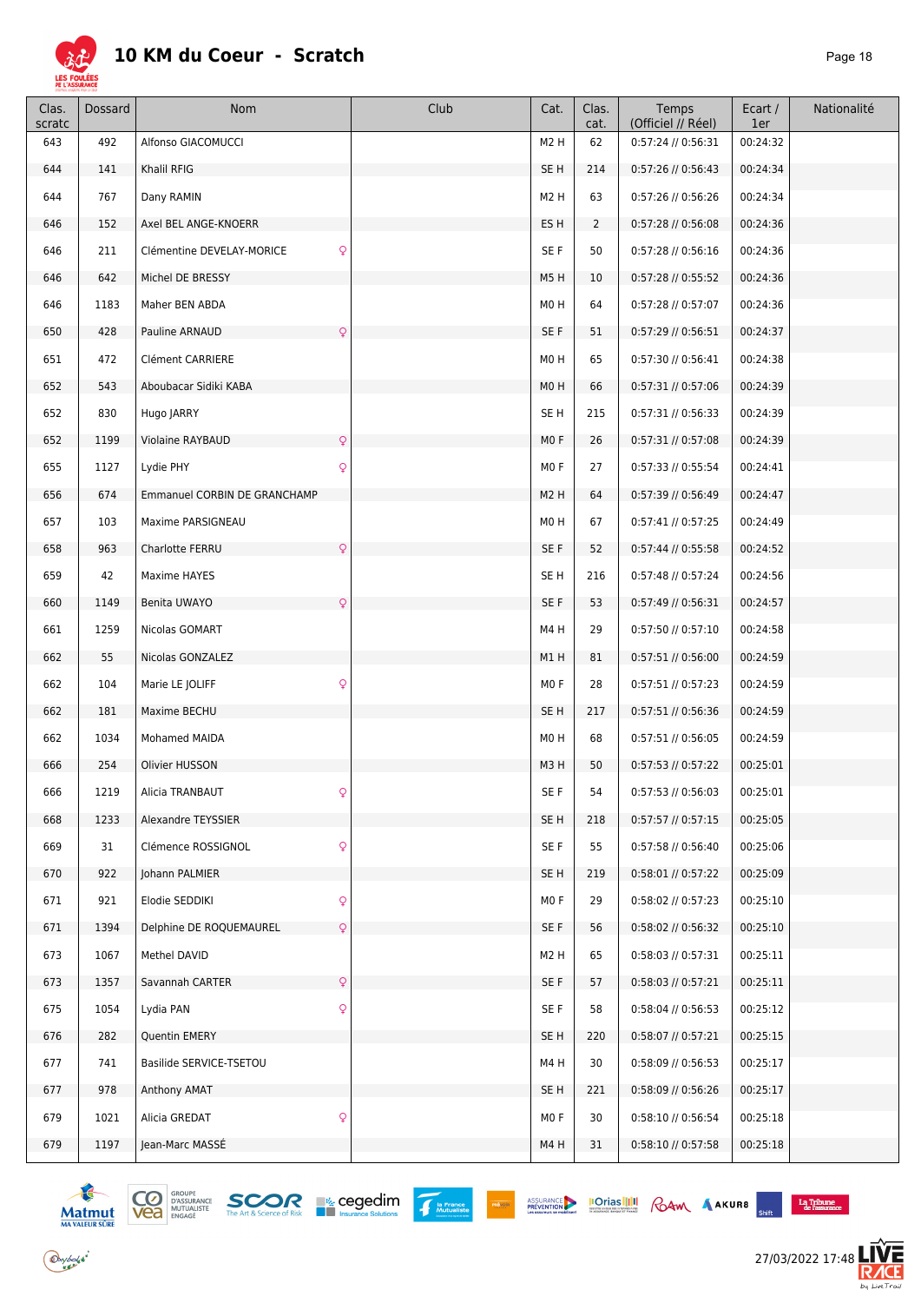

| Clas.<br>scratc | Dossard | <b>Nom</b>                                | Club | Cat.             | Clas.<br>cat.  | Temps<br>(Officiel // Réel) | Ecart /<br>1er | Nationalité |
|-----------------|---------|-------------------------------------------|------|------------------|----------------|-----------------------------|----------------|-------------|
| 643             | 492     | Alfonso GIACOMUCCI                        |      | M <sub>2</sub> H | 62             | $0:57:24$ // $0:56:31$      | 00:24:32       |             |
| 644             | 141     | Khalil RFIG                               |      | SE <sub>H</sub>  | 214            | 0:57:26 // 0:56:43          | 00:24:34       |             |
| 644             | 767     | Dany RAMIN                                |      | M <sub>2</sub> H | 63             | 0:57:26 // 0:56:26          | 00:24:34       |             |
| 646             | 152     | Axel BEL ANGE-KNOERR                      |      | ES <sub>H</sub>  | $\overline{2}$ | $0:57:28$ // $0:56:08$      | 00:24:36       |             |
| 646             | 211     | $\mathsf{Q}$<br>Clémentine DEVELAY-MORICE |      | SE F             | 50             | $0:57:28$ // $0:56:16$      | 00:24:36       |             |
| 646             | 642     | Michel DE BRESSY                          |      | M5H              | 10             | 0:57:28 // 0:55:52          | 00:24:36       |             |
| 646             | 1183    | Maher BEN ABDA                            |      | M0H              | 64             | 0:57:28 // 0:57:07          | 00:24:36       |             |
| 650             | 428     | Pauline ARNAUD<br>$\mathsf{Q}$            |      | SE F             | 51             | 0:57:29 // 0:56:51          | 00:24:37       |             |
| 651             | 472     | Clément CARRIERE                          |      | M0H              | 65             | 0:57:30 // 0:56:41          | 00:24:38       |             |
| 652             | 543     | Aboubacar Sidiki KABA                     |      | M <sub>0</sub> H | 66             | $0:57:31$ // $0:57:06$      | 00:24:39       |             |
| 652             | 830     | Hugo JARRY                                |      | SE <sub>H</sub>  | 215            | $0:57:31$ // $0:56:33$      | 00:24:39       |             |
| 652             | 1199    | Violaine RAYBAUD<br>$\mathsf{Q}$          |      | MO F             | 26             | $0:57:31$ // $0:57:08$      | 00:24:39       |             |
| 655             | 1127    | $\mathsf{Q}$<br>Lydie PHY                 |      | MO F             | 27             | 0:57:33 // 0:55:54          | 00:24:41       |             |
| 656             | 674     | Emmanuel CORBIN DE GRANCHAMP              |      | M <sub>2</sub> H | 64             | 0:57:39 // 0:56:49          | 00:24:47       |             |
| 657             | 103     | Maxime PARSIGNEAU                         |      | M0H              | 67             | 0:57:41 // 0:57:25          | 00:24:49       |             |
| 658             | 963     | $\mathsf{Q}$<br>Charlotte FERRU           |      | SE F             | 52             | 0:57:44 // 0:55:58          | 00:24:52       |             |
| 659             | 42      | Maxime HAYES                              |      | SE <sub>H</sub>  | 216            | 0:57:48 // 0:57:24          | 00:24:56       |             |
| 660             | 1149    | Benita UWAYO<br>$\mathsf{Q}$              |      | SE F             | 53             | $0:57:49$ // $0:56:31$      | 00:24:57       |             |
| 661             | 1259    | Nicolas GOMART                            |      | M4H              | 29             | 0:57:50 // 0:57:10          | 00:24:58       |             |
| 662             | 55      | Nicolas GONZALEZ                          |      | M1H              | 81             | 0:57:51 // 0:56:00          | 00:24:59       |             |
| 662             | 104     | $\mathsf{Q}$<br>Marie LE JOLIFF           |      | MO F             | 28             | $0:57:51$ // $0:57:23$      | 00:24:59       |             |
| 662             | 181     | Maxime BECHU                              |      | SE <sub>H</sub>  | 217            | 0:57:51 // 0:56:36          | 00:24:59       |             |
| 662             | 1034    | Mohamed MAIDA                             |      | M0H              | 68             | $0:57:51$ // $0:56:05$      | 00:24:59       |             |
| 666             | 254     | Olivier HUSSON                            |      | M3H              | 50             | $0:57:53$ // $0:57:22$      | 00:25:01       |             |
| 666             | 1219    | Alicia TRANBAUT<br>$\circ$                |      | SE F             | 54             | 0:57:53 // 0:56:03          | 00:25:01       |             |
| 668             | 1233    | Alexandre TEYSSIER                        |      | SE H             | 218            | $0:57:57$ // $0:57:15$      | 00:25:05       |             |
| 669             | 31      | $\mathsf{Q}$<br>Clémence ROSSIGNOL        |      | SE F             | 55             | 0:57:58 // 0:56:40          | 00:25:06       |             |
| 670             | 922     | Johann PALMIER                            |      | SE <sub>H</sub>  | 219            | 0:58:01 // 0:57:22          | 00:25:09       |             |
| 671             | 921     | $\mathsf{Q}$<br>Elodie SEDDIKI            |      | MO <sub>F</sub>  | 29             | 0:58:02 // 0:57:23          | 00:25:10       |             |
| 671             | 1394    | Delphine DE ROQUEMAUREL<br>$\mathsf{Q}$   |      | SE F             | 56             | 0:58:02 // 0:56:32          | 00:25:10       |             |
| 673             | 1067    | Methel DAVID                              |      | M <sub>2</sub> H | 65             | $0:58:03$ // $0:57:31$      | 00:25:11       |             |
| 673             | 1357    | $\mathsf{Q}$<br>Savannah CARTER           |      | SE F             | 57             | $0:58:03$ // $0:57:21$      | 00:25:11       |             |
| 675             | 1054    | $\mathsf{Q}$<br>Lydia PAN                 |      | SE F             | 58             | 0:58:04 // 0:56:53          | 00:25:12       |             |
| 676             | 282     | Quentin EMERY                             |      | SE H             | 220            | 0:58:07 // 0:57:21          | 00:25:15       |             |
| 677             | 741     | Basilide SERVICE-TSETOU                   |      | M4H              | 30             | 0:58:09 // 0:56:53          | 00:25:17       |             |
| 677             | 978     | Anthony AMAT                              |      | SE <sub>H</sub>  | 221            | $0:58:09$ // $0:56:26$      | 00:25:17       |             |
| 679             | 1021    | $\mathsf{Q}$<br>Alicia GREDAT             |      | MO F             | 30             | 0:58:10 // 0:56:54          | 00:25:18       |             |
| 679             | 1197    | Jean-Marc MASSÉ                           |      | M4H              | 31             | 0:58:10 // 0:57:58          | 00:25:18       |             |



 $\bigodot$ ybolsk<sup>\*</sup>





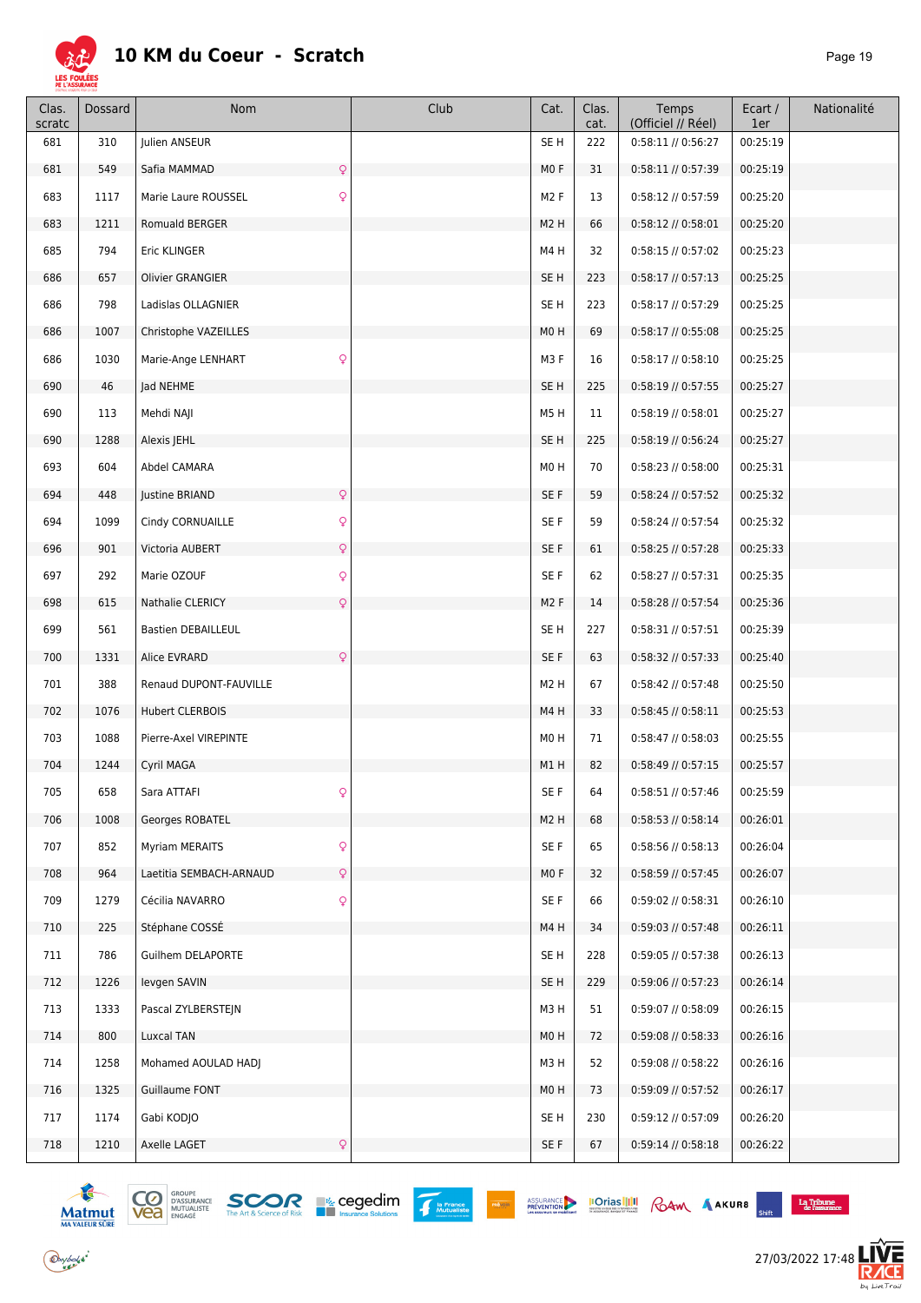

| Clas.<br>scratc | <b>Dossard</b> | Nom                                       | Club | Cat.             | Clas.<br>cat. | Temps<br>(Officiel // Réel) | Ecart /<br>1er | Nationalité |
|-----------------|----------------|-------------------------------------------|------|------------------|---------------|-----------------------------|----------------|-------------|
| 681             | 310            | Julien ANSEUR                             |      | SE <sub>H</sub>  | 222           | 0:58:11 // 0:56:27          | 00:25:19       |             |
| 681             | 549            | $\mathsf{Q}$<br>Safia MAMMAD              |      | MO F             | 31            | 0:58:11 // 0:57:39          | 00:25:19       |             |
| 683             | 1117           | $\mathsf{Q}$<br>Marie Laure ROUSSEL       |      | M <sub>2</sub> F | 13            | 0:58:12 // 0:57:59          | 00:25:20       |             |
| 683             | 1211           | Romuald BERGER                            |      | M <sub>2</sub> H | 66            | $0:58:12$ // $0:58:01$      | 00:25:20       |             |
| 685             | 794            | Eric KLINGER                              |      | M4H              | 32            | $0:58:15$ // $0:57:02$      | 00:25:23       |             |
| 686             | 657            | <b>Olivier GRANGIER</b>                   |      | SE H             | 223           | 0:58:17 // 0:57:13          | 00:25:25       |             |
| 686             | 798            | Ladislas OLLAGNIER                        |      | SE <sub>H</sub>  | 223           | 0:58:17 // 0:57:29          | 00:25:25       |             |
| 686             | 1007           | Christophe VAZEILLES                      |      | M <sub>0</sub> H | 69            | 0:58:17 // 0:55:08          | 00:25:25       |             |
| 686             | 1030           | $\mathsf{Q}$<br>Marie-Ange LENHART        |      | M3F              | 16            | 0:58:17 // 0:58:10          | 00:25:25       |             |
| 690             | 46             | Jad NEHME                                 |      | SE <sub>H</sub>  | 225           | $0:58:19$ // $0:57:55$      | 00:25:27       |             |
| 690             | 113            | Mehdi NAJI                                |      | M5H              | 11            | $0:58:19$ // $0:58:01$      | 00:25:27       |             |
| 690             | 1288           | Alexis JEHL                               |      | SE H             | 225           | $0:58:19$ // $0:56:24$      | 00:25:27       |             |
| 693             | 604            | Abdel CAMARA                              |      | M0H              | 70            | $0:58:23$ // $0:58:00$      | 00:25:31       |             |
| 694             | 448            | $\mathsf{Q}$<br>Justine BRIAND            |      | SE F             | 59            | 0:58:24 // 0:57:52          | 00:25:32       |             |
| 694             | 1099           | Q<br>Cindy CORNUAILLE                     |      | SE F             | 59            | 0:58:24 // 0:57:54          | 00:25:32       |             |
| 696             | 901            | $\mathsf{Q}$<br>Victoria AUBERT           |      | SE F             | 61            | 0:58:25 // 0:57:28          | 00:25:33       |             |
| 697             | 292            | $\mathsf{Q}$<br>Marie OZOUF               |      | SE F             | 62            | $0:58:27$ // $0:57:31$      | 00:25:35       |             |
| 698             | 615            | Nathalie CLERICY<br>$\mathsf{Q}$          |      | M <sub>2</sub> F | 14            | 0:58:28 // 0:57:54          | 00:25:36       |             |
| 699             | 561            | <b>Bastien DEBAILLEUL</b>                 |      | SE H             | 227           | 0:58:31 // 0:57:51          | 00:25:39       |             |
| 700             | 1331           | $\mathsf{Q}$<br>Alice EVRARD              |      | SE F             | 63            | 0:58:32 // 0:57:33          | 00:25:40       |             |
| 701             | 388            | Renaud DUPONT-FAUVILLE                    |      | M <sub>2</sub> H | 67            | 0:58:42 // 0:57:48          | 00:25:50       |             |
| 702             | 1076           | <b>Hubert CLERBOIS</b>                    |      | M4H              | 33            | $0:58:45$ // $0:58:11$      | 00:25:53       |             |
| 703             | 1088           | Pierre-Axel VIREPINTE                     |      | M0H              | 71            | $0:58:47$ // $0:58:03$      | 00:25:55       |             |
| 704             | 1244           | Cyril MAGA                                |      | M1H              | 82            | $0:58:49$ // $0:57:15$      | 00:25:57       |             |
| 705             | 658            | $\circ$<br>Sara ATTAFI                    |      | SE F             | 64            | 0:58:51 // 0:57:46          | 00:25:59       |             |
| 706             | 1008           | Georges ROBATEL                           |      | M <sub>2</sub> H | 68            | $0:58:53$ // $0:58:14$      | 00:26:01       |             |
| 707             | 852            | $\mathsf{Q}$<br>Myriam MERAITS            |      | SE F             | 65            | 0:58:56 // 0:58:13          | 00:26:04       |             |
| 708             | 964            | Laetitia SEMBACH-ARNAUD<br>$\mathsf{Q}$   |      | MOF              | 32            | 0:58:59 // 0:57:45          | 00:26:07       |             |
| 709             | 1279           | Q<br>Cécilia NAVARRO                      |      | SE F             | 66            | $0:59:02$ // $0:58:31$      | 00:26:10       |             |
| 710             | 225            | Stéphane COSSÉ                            |      | M4H              | 34            | 0:59:03 // 0:57:48          | 00:26:11       |             |
| 711             | 786            | Guilhem DELAPORTE                         |      | SE H             | 228           | 0:59:05 // 0:57:38          | 00:26:13       |             |
| 712             | 1226           | levgen SAVIN                              |      | SE H             | 229           | 0:59:06 // 0:57:23          | 00:26:14       |             |
| 713             | 1333           | Pascal ZYLBERSTEJN                        |      | M3H              | 51            | 0:59:07 // 0:58:09          | 00:26:15       |             |
| 714             | 800            | Luxcal TAN                                |      | M <sub>0</sub> H | 72            | 0:59:08 // 0:58:33          | 00:26:16       |             |
| 714             | 1258           | Mohamed AOULAD HADJ                       |      | M3H              | 52            | 0:59:08 // 0:58:22          | 00:26:16       |             |
| 716             | 1325           | Guillaume FONT                            |      | M <sub>0</sub> H | 73            | 0:59:09 // 0:57:52          | 00:26:17       |             |
| 717             | 1174           | Gabi KODJO                                |      | SE H             | 230           | 0:59:12 // 0:57:09          | 00:26:20       |             |
| 718             | 1210           | Axelle LAGET<br>$\hbox{\large\textsf{Q}}$ |      | SE F             | 67            | 0:59:14 // 0:58:18          | 00:26:22       |             |



 $\bigodot$ ybolsk<sup>\*</sup>







ASSURANCE **IOTIAS III** RAM AAKURB

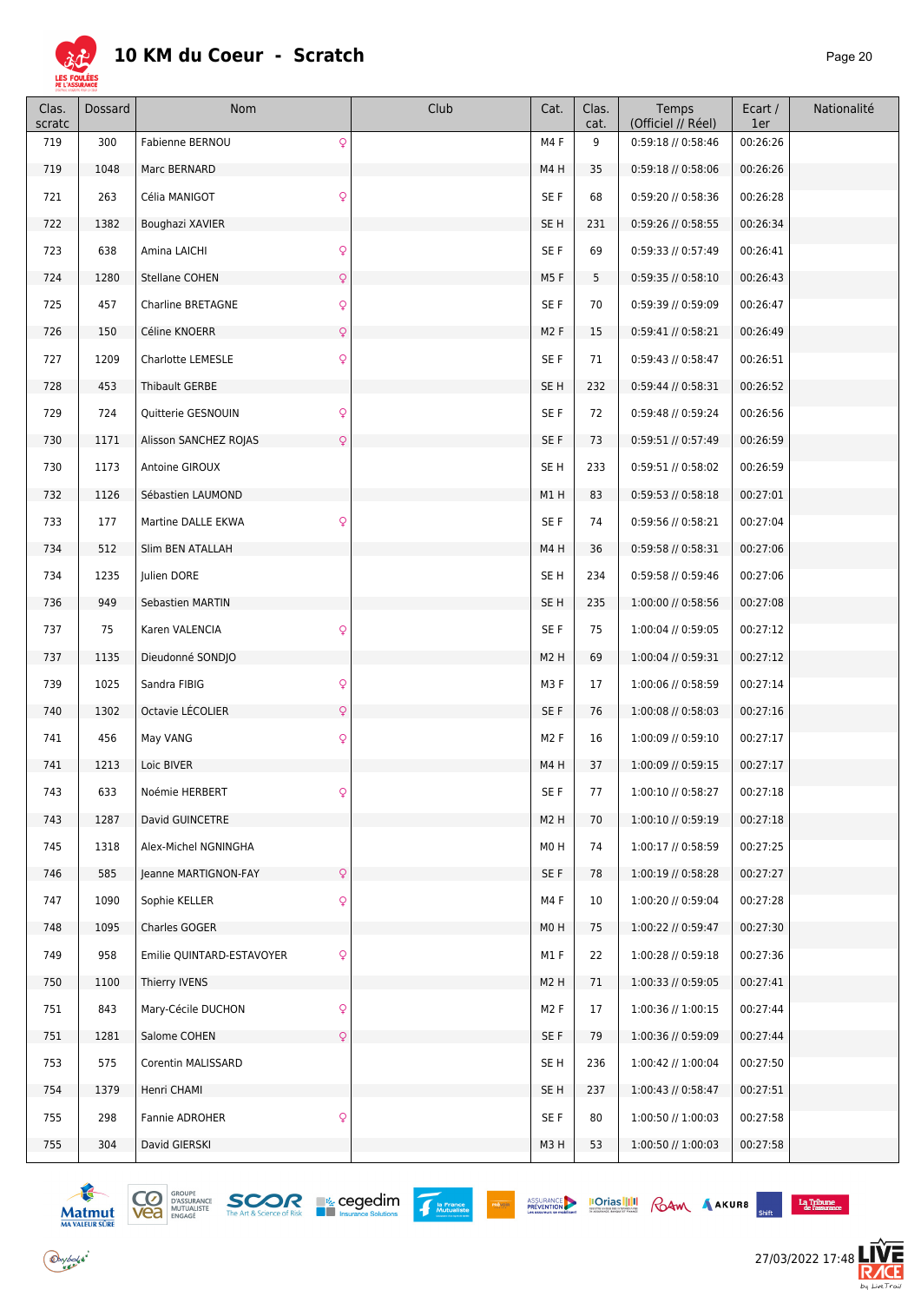

| Clas.<br>scratc | Dossard | Nom                                       | Club | Cat.             | Clas.<br>cat. | Temps<br>(Officiel // Réel) | Ecart /<br>1er | Nationalité |
|-----------------|---------|-------------------------------------------|------|------------------|---------------|-----------------------------|----------------|-------------|
| 719             | 300     | Q<br>Fabienne BERNOU                      |      | M4F              | 9             | 0:59:18 // 0:58:46          | 00:26:26       |             |
| 719             | 1048    | Marc BERNARD                              |      | M4H              | 35            | 0:59:18 // 0:58:06          | 00:26:26       |             |
| 721             | 263     | $\mathsf{Q}$<br>Célia MANIGOT             |      | SE F             | 68            | 0:59:20 // 0:58:36          | 00:26:28       |             |
| 722             | 1382    | Boughazi XAVIER                           |      | SE <sub>H</sub>  | 231           | 0:59:26 // 0:58:55          | 00:26:34       |             |
| 723             | 638     | $\mathsf{Q}$<br>Amina LAICHI              |      | SE F             | 69            | 0:59:33 // 0:57:49          | 00:26:41       |             |
| 724             | 1280    | $\mathsf{Q}$<br>Stellane COHEN            |      | M5F              | 5             | 0:59:35 // 0:58:10          | 00:26:43       |             |
| 725             | 457     | $\mathsf{Q}$<br>Charline BRETAGNE         |      | SE F             | 70            | 0:59:39 // 0:59:09          | 00:26:47       |             |
| 726             | 150     | $\mathsf{Q}$<br>Céline KNOERR             |      | M <sub>2</sub> F | 15            | $0:59:41$ // $0:58:21$      | 00:26:49       |             |
| 727             | 1209    | $\mathsf{Q}$<br><b>Charlotte LEMESLE</b>  |      | SE F             | 71            | $0:59:43$ // $0:58:47$      | 00:26:51       |             |
| 728             | 453     | Thibault GERBE                            |      | SE <sub>H</sub>  | 232           | $0:59:44$ // $0:58:31$      | 00:26:52       |             |
| 729             | 724     | $\mathsf{Q}$<br>Quitterie GESNOUIN        |      | SE F             | 72            | 0:59:48 // 0:59:24          | 00:26:56       |             |
| 730             | 1171    | Alisson SANCHEZ ROJAS<br>Q                |      | SE F             | 73            | 0:59:51 // 0:57:49          | 00:26:59       |             |
| 730             | 1173    | Antoine GIROUX                            |      | SE <sub>H</sub>  | 233           | 0:59:51 // 0:58:02          | 00:26:59       |             |
| 732             | 1126    | Sébastien LAUMOND                         |      | M1H              | 83            | $0:59:53$ // $0:58:18$      | 00:27:01       |             |
| 733             | 177     | Q<br>Martine DALLE EKWA                   |      | SE F             | 74            | $0:59:56$ // $0:58:21$      | 00:27:04       |             |
| 734             | 512     | Slim BEN ATALLAH                          |      | M4H              | 36            | $0:59:58$ // $0:58:31$      | 00:27:06       |             |
| 734             | 1235    | Julien DORE                               |      | SE <sub>H</sub>  | 234           | 0:59:58 // 0:59:46          | 00:27:06       |             |
| 736             | 949     | Sebastien MARTIN                          |      | SE <sub>H</sub>  | 235           | 1:00:00 // 0:58:56          | 00:27:08       |             |
| 737             | 75      | Karen VALENCIA<br>Q                       |      | SE F             | 75            | 1:00:04 // 0:59:05          | 00:27:12       |             |
| 737             | 1135    | Dieudonné SONDJO                          |      | M <sub>2</sub> H | 69            | 1:00:04 // 0:59:31          | 00:27:12       |             |
| 739             | 1025    | Q<br>Sandra FIBIG                         |      | M3F              | 17            | 1:00:06 // 0:58:59          | 00:27:14       |             |
| 740             | 1302    | Octavie LÉCOLIER<br>$\mathsf{Q}$          |      | SE F             | 76            | 1:00:08 // 0:58:03          | 00:27:16       |             |
| 741             | 456     | May VANG<br>Q                             |      | M <sub>2</sub> F | 16            | 1:00:09 // 0:59:10          | 00:27:17       |             |
| 741             | 1213    | Loic BIVER                                |      | M4H              | 37            | 1:00:09 // 0:59:15          | 00:27:17       |             |
| 743             | 633     | Noémie HERBERT                            |      | SE F             | 77            | 1:00:10 // 0:58:27          | 00:27:18       |             |
| 743             | 1287    | David GUINCETRE                           |      | M <sub>2</sub> H | 70            | 1:00:10 // 0:59:19          | 00:27:18       |             |
| 745             | 1318    | Alex-Michel NGNINGHA                      |      | M0H              | 74            | 1:00:17 // 0:58:59          | 00:27:25       |             |
| 746             | 585     | Jeanne MARTIGNON-FAY<br>Q                 |      | SE F             | 78            | 1:00:19 // 0:58:28          | 00:27:27       |             |
| 747             | 1090    | Q<br>Sophie KELLER                        |      | M4F              | 10            | 1:00:20 // 0:59:04          | 00:27:28       |             |
| 748             | 1095    | Charles GOGER                             |      | M <sub>0</sub> H | 75            | 1:00:22 // 0:59:47          | 00:27:30       |             |
| 749             | 958     | $\mathsf{Q}$<br>Emilie QUINTARD-ESTAVOYER |      | M1F              | 22            | 1:00:28 // 0:59:18          | 00:27:36       |             |
| 750             | 1100    | Thierry IVENS                             |      | M <sub>2</sub> H | 71            | 1:00:33 // 0:59:05          | 00:27:41       |             |
| 751             | 843     | $\mathsf{Q}$<br>Mary-Cécile DUCHON        |      | M <sub>2</sub> F | 17            | 1:00:36 // 1:00:15          | 00:27:44       |             |
| 751             | 1281    | Salome COHEN<br>Q                         |      | SE F             | 79            | 1:00:36 // 0:59:09          | 00:27:44       |             |
| 753             | 575     | Corentin MALISSARD                        |      | SE <sub>H</sub>  | 236           | 1:00:42 // 1:00:04          | 00:27:50       |             |
| 754             | 1379    | Henri CHAMI                               |      | SE <sub>H</sub>  | 237           | 1:00:43 // 0:58:47          | 00:27:51       |             |
| 755             | 298     | $\mathsf{Q}$<br>Fannie ADROHER            |      | SE F             | 80            | 1:00:50 // 1:00:03          | 00:27:58       |             |
| 755             | 304     | David GIERSKI                             |      | M3H              | 53            | 1:00:50 // 1:00:03          | 00:27:58       |             |







 $\begin{array}{c} \textbf{La Tribume} \\ \textbf{de l'assurance} \end{array}$  $\mathcal{L}_{\text{max}}$ 

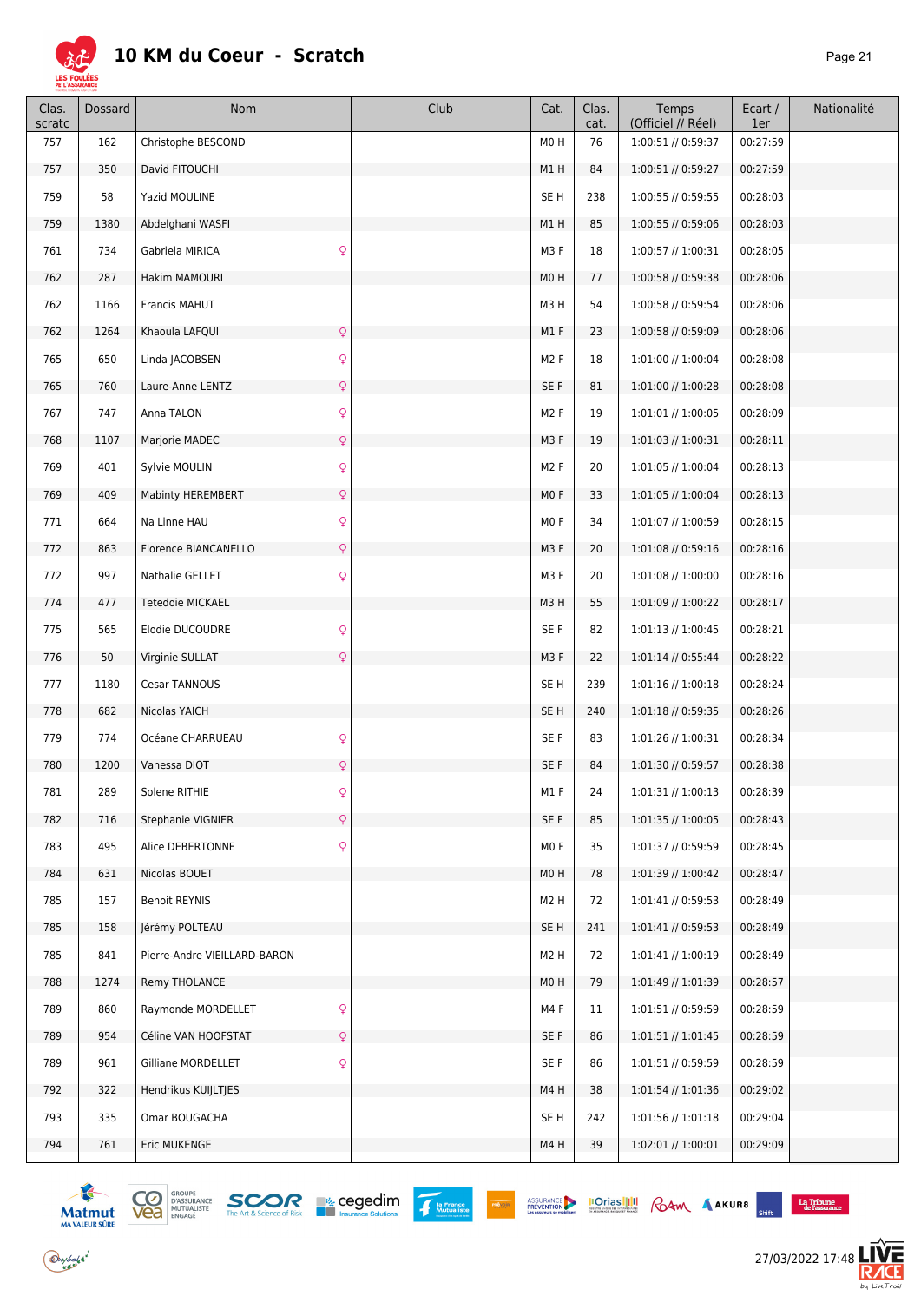

| Clas.<br>scratc | Dossard | Nom                                  | Club | Cat.             | Clas.<br>cat. | Temps<br>(Officiel // Réel) | Ecart /<br>1er | Nationalité |
|-----------------|---------|--------------------------------------|------|------------------|---------------|-----------------------------|----------------|-------------|
| 757             | 162     | Christophe BESCOND                   |      | M0H              | 76            | 1:00:51 // 0:59:37          | 00:27:59       |             |
| 757             | 350     | David FITOUCHI                       |      | M1H              | 84            | 1:00:51 // 0:59:27          | 00:27:59       |             |
| 759             | 58      | Yazid MOULINE                        |      | SE <sub>H</sub>  | 238           | 1:00:55 // 0:59:55          | 00:28:03       |             |
| 759             | 1380    | Abdelghani WASFI                     |      | M1H              | 85            | 1:00:55 // 0:59:06          | 00:28:03       |             |
| 761             | 734     | $\mathsf{Q}$<br>Gabriela MIRICA      |      | M3F              | 18            | 1:00:57 // 1:00:31          | 00:28:05       |             |
| 762             | 287     | Hakim MAMOURI                        |      | M0H              | 77            | 1:00:58 // 0:59:38          | 00:28:06       |             |
| 762             | 1166    | Francis MAHUT                        |      | M3H              | 54            | 1:00:58 // 0:59:54          | 00:28:06       |             |
| 762             | 1264    | $\mathsf{Q}$<br>Khaoula LAFQUI       |      | M1F              | 23            | 1:00:58 // 0:59:09          | 00:28:06       |             |
| 765             | 650     | $\mathsf{Q}$<br>Linda JACOBSEN       |      | M <sub>2</sub> F | 18            | 1:01:00 // 1:00:04          | 00:28:08       |             |
| 765             | 760     | $\mathsf{Q}$<br>Laure-Anne LENTZ     |      | SE F             | 81            | 1:01:00 // 1:00:28          | 00:28:08       |             |
| 767             | 747     | $\mathsf{Q}$<br>Anna TALON           |      | M <sub>2</sub> F | 19            | 1:01:01 // 1:00:05          | 00:28:09       |             |
| 768             | 1107    | $\mathsf{Q}$<br>Marjorie MADEC       |      | M3F              | 19            | $1:01:03$ // $1:00:31$      | 00:28:11       |             |
| 769             | 401     | $\mathsf{Q}$<br>Sylvie MOULIN        |      | M <sub>2</sub> F | 20            | 1:01:05 // 1:00:04          | 00:28:13       |             |
| 769             | 409     | Mabinty HEREMBERT<br>$\mathsf{Q}$    |      | M <sub>0</sub> F | 33            | 1:01:05 // 1:00:04          | 00:28:13       |             |
| 771             | 664     | $\mathsf{Q}$<br>Na Linne HAU         |      | MO F             | 34            | 1:01:07 // 1:00:59          | 00:28:15       |             |
| 772             | 863     | $\mathsf{Q}$<br>Florence BIANCANELLO |      | M3F              | 20            | 1:01:08 // 0:59:16          | 00:28:16       |             |
| 772             | 997     | $\mathsf{Q}$<br>Nathalie GELLET      |      | M3F              | 20            | 1:01:08 // 1:00:00          | 00:28:16       |             |
| 774             | 477     | Tetedoie MICKAEL                     |      | M3H              | 55            | 1:01:09 // 1:00:22          | 00:28:17       |             |
| 775             | 565     | $\mathsf{Q}$<br>Elodie DUCOUDRE      |      | SE F             | 82            | $1:01:13$ // $1:00:45$      | 00:28:21       |             |
| 776             | 50      | $\mathsf{Q}$<br>Virginie SULLAT      |      | M3F              | 22            | 1:01:14 // 0:55:44          | 00:28:22       |             |
| 777             | 1180    | Cesar TANNOUS                        |      | SE <sub>H</sub>  | 239           | $1:01:16$ // $1:00:18$      | 00:28:24       |             |
| 778             | 682     | Nicolas YAICH                        |      | SE <sub>H</sub>  | 240           | 1:01:18 // 0:59:35          | 00:28:26       |             |
| 779             | 774     | $\mathsf{Q}$<br>Océane CHARRUEAU     |      | SE F             | 83            | 1:01:26 // 1:00:31          | 00:28:34       |             |
| 780             | 1200    | Vanessa DIOT<br>Q                    |      | SE F             | 84            | 1:01:30 // 0:59:57          | 00:28:38       |             |
| 781             | 289     | Solene RITHIE                        |      | M1 F             | 24            | 1:01:31 // 1:00:13          | 00:28:39       |             |
| 782             | 716     | $\mathsf{Q}$<br>Stephanie VIGNIER    |      | SE F             | 85            | 1:01:35 // 1:00:05          | 00:28:43       |             |
| 783             | 495     | $\mathsf{Q}$<br>Alice DEBERTONNE     |      | MO F             | 35            | 1:01:37 // 0:59:59          | 00:28:45       |             |
| 784             | 631     | Nicolas BOUET                        |      | MO <sub>H</sub>  | 78            | 1:01:39 // 1:00:42          | 00:28:47       |             |
| 785             | 157     | <b>Benoit REYNIS</b>                 |      | M <sub>2</sub> H | 72            | 1:01:41 // 0:59:53          | 00:28:49       |             |
| 785             | 158     | Jérémy POLTEAU                       |      | SE <sub>H</sub>  | 241           | 1:01:41 // 0:59:53          | 00:28:49       |             |
| 785             | 841     | Pierre-Andre VIEILLARD-BARON         |      | M <sub>2</sub> H | 72            | $1:01:41$ // $1:00:19$      | 00:28:49       |             |
| 788             | 1274    | Remy THOLANCE                        |      | M0H              | 79            | 1:01:49 // 1:01:39          | 00:28:57       |             |
| 789             | 860     | $\mathsf{Q}$<br>Raymonde MORDELLET   |      | M4F              | 11            | 1:01:51 // 0:59:59          | 00:28:59       |             |
| 789             | 954     | $\mathsf{Q}$<br>Céline VAN HOOFSTAT  |      | SE F             | 86            | 1:01:51 // 1:01:45          | 00:28:59       |             |
| 789             | 961     | Gilliane MORDELLET<br>Q              |      | SE F             | 86            | 1:01:51 // 0:59:59          | 00:28:59       |             |
| 792             | 322     | Hendrikus KUIJLTJES                  |      | M4H              | 38            | 1:01:54 // 1:01:36          | 00:29:02       |             |
| 793             | 335     | Omar BOUGACHA                        |      | SE H             | 242           | 1:01:56 // 1:01:18          | 00:29:04       |             |
| 794             | 761     | Eric MUKENGE                         |      | M4H              | 39            | 1:02:01 // 1:00:01          | 00:29:09       |             |





PRÉVOIR

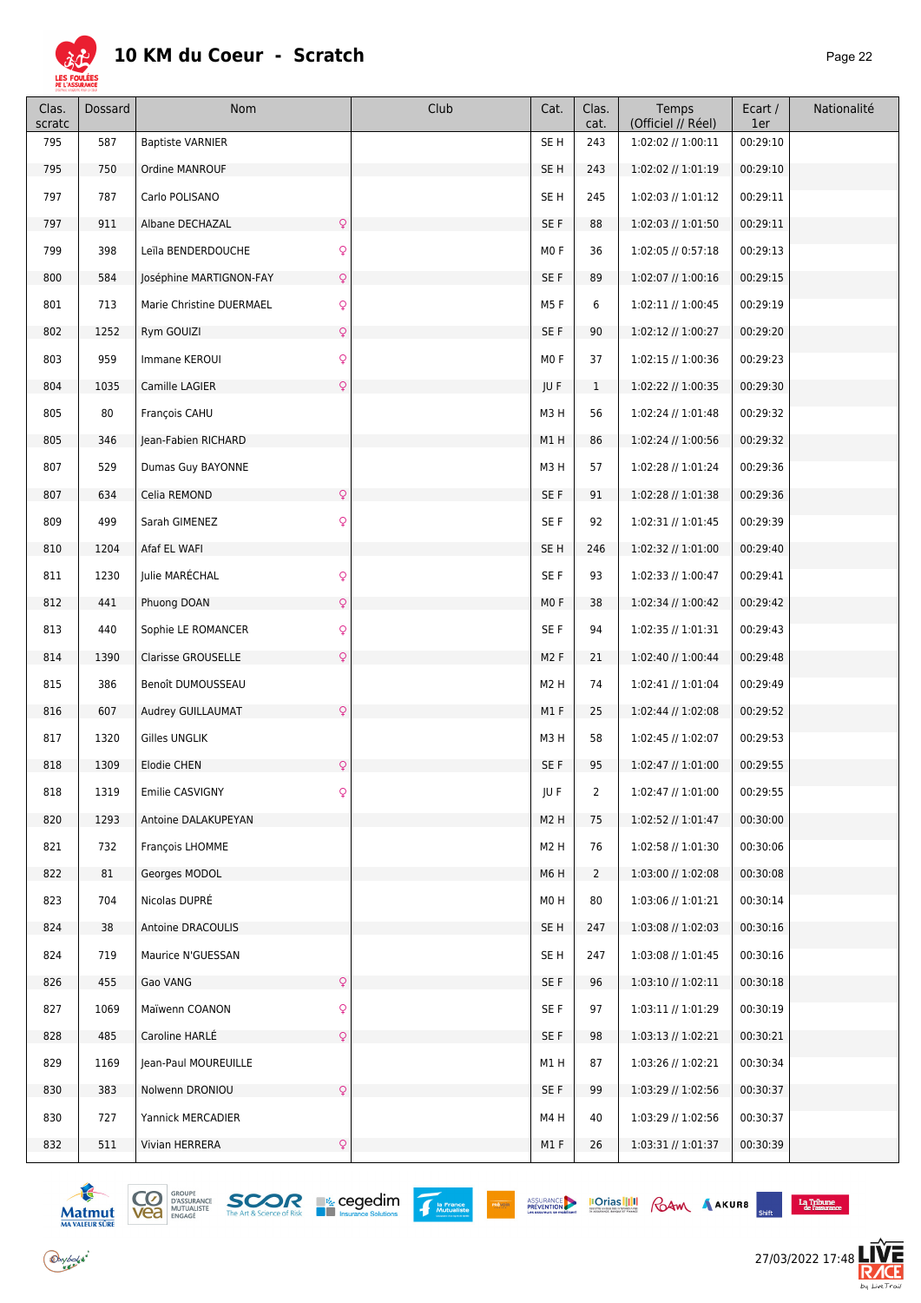

| Clas.<br>scratc | Dossard | Nom                                      | Club | Cat.             | Clas.<br>cat.  | Temps<br>(Officiel // Réel) | Ecart /<br>1er | Nationalité |
|-----------------|---------|------------------------------------------|------|------------------|----------------|-----------------------------|----------------|-------------|
| 795             | 587     | <b>Baptiste VARNIER</b>                  |      | SE <sub>H</sub>  | 243            | 1:02:02 // 1:00:11          | 00:29:10       |             |
| 795             | 750     | Ordine MANROUF                           |      | SE <sub>H</sub>  | 243            | 1:02:02 // 1:01:19          | 00:29:10       |             |
| 797             | 787     | Carlo POLISANO                           |      | SE <sub>H</sub>  | 245            | 1:02:03 // 1:01:12          | 00:29:11       |             |
| 797             | 911     | $\mathsf{Q}$<br>Albane DECHAZAL          |      | SE F             | 88             | 1:02:03 // 1:01:50          | 00:29:11       |             |
| 799             | 398     | $\mathsf{Q}$<br>Leïla BENDERDOUCHE       |      | MO F             | 36             | 1:02:05 // 0:57:18          | 00:29:13       |             |
| 800             | 584     | $\mathsf{Q}$<br>Joséphine MARTIGNON-FAY  |      | SE F             | 89             | 1:02:07 // 1:00:16          | 00:29:15       |             |
| 801             | 713     | $\mathsf{Q}$<br>Marie Christine DUERMAEL |      | M5F              | 6              | 1:02:11 // 1:00:45          | 00:29:19       |             |
| 802             | 1252    | $\mathsf{Q}$<br>Rym GOUIZI               |      | SE F             | 90             | 1:02:12 // 1:00:27          | 00:29:20       |             |
| 803             | 959     | Immane KEROUI<br>$\mathsf{Q}$            |      | MO <sub>F</sub>  | 37             | 1:02:15 // 1:00:36          | 00:29:23       |             |
| 804             | 1035    | $\mathsf{Q}$<br>Camille LAGIER           |      | JU F             | $\mathbf{1}$   | 1:02:22 // 1:00:35          | 00:29:30       |             |
| 805             | 80      | François CAHU                            |      | M3H              | 56             | 1:02:24 // 1:01:48          | 00:29:32       |             |
| 805             | 346     | Jean-Fabien RICHARD                      |      | M1H              | 86             | 1:02:24 // 1:00:56          | 00:29:32       |             |
| 807             | 529     | Dumas Guy BAYONNE                        |      | M3H              | 57             | 1:02:28 // 1:01:24          | 00:29:36       |             |
| 807             | 634     | Celia REMOND<br>$\mathsf{Q}$             |      | SE F             | 91             | 1:02:28 // 1:01:38          | 00:29:36       |             |
| 809             | 499     | $\mathsf{Q}$<br>Sarah GIMENEZ            |      | SE F             | 92             | 1:02:31 // 1:01:45          | 00:29:39       |             |
| 810             | 1204    | Afaf EL WAFI                             |      | SE <sub>H</sub>  | 246            | 1:02:32 // 1:01:00          | 00:29:40       |             |
| 811             | 1230    | $\mathsf{Q}$<br>Julie MARÉCHAL           |      | SE F             | 93             | 1:02:33 // 1:00:47          | 00:29:41       |             |
| 812             | 441     | $\mathsf{Q}$<br>Phuong DOAN              |      | MOF              | 38             | 1:02:34 // 1:00:42          | 00:29:42       |             |
| 813             | 440     | $\mathsf{Q}$<br>Sophie LE ROMANCER       |      | SE F             | 94             | 1:02:35 // 1:01:31          | 00:29:43       |             |
| 814             | 1390    | $\mathsf{Q}$<br>Clarisse GROUSELLE       |      | M <sub>2</sub> F | 21             | 1:02:40 // 1:00:44          | 00:29:48       |             |
| 815             | 386     | Benoît DUMOUSSEAU                        |      | M <sub>2</sub> H | 74             | 1:02:41 // 1:01:04          | 00:29:49       |             |
| 816             | 607     | $\mathsf{Q}$<br>Audrey GUILLAUMAT        |      | M1F              | 25             | 1:02:44 // 1:02:08          | 00:29:52       |             |
| 817             | 1320    | Gilles UNGLIK                            |      | M3H              | 58             | 1:02:45 // 1:02:07          | 00:29:53       |             |
| 818             | 1309    | Elodie CHEN<br>$\mathsf{Q}$              |      | SE F             | 95             | 1:02:47 // 1:01:00          | 00:29:55       |             |
| 818             | 1319    | Emilie CASVIGNY                          |      | JU F             | $\mathbf{Z}$   | 1:02:47 // 1:01:00          | 00:29:55       |             |
| 820             | 1293    | Antoine DALAKUPEYAN                      |      | M <sub>2</sub> H | 75             | 1:02:52 // 1:01:47          | 00:30:00       |             |
| 821             | 732     | François LHOMME                          |      | M <sub>2</sub> H | 76             | 1:02:58 // 1:01:30          | 00:30:06       |             |
| 822             | 81      | Georges MODOL                            |      | M6H              | $\overline{2}$ | 1:03:00 // 1:02:08          | 00:30:08       |             |
| 823             | 704     | Nicolas DUPRÉ                            |      | M0H              | 80             | 1:03:06 // 1:01:21          | 00:30:14       |             |
| 824             | 38      | Antoine DRACOULIS                        |      | SE H             | 247            | 1:03:08 // 1:02:03          | 00:30:16       |             |
| 824             | 719     | Maurice N'GUESSAN                        |      | SE <sub>H</sub>  | 247            | 1:03:08 // 1:01:45          | 00:30:16       |             |
| 826             | 455     | $\mathsf{Q}$<br>Gao VANG                 |      | SE F             | 96             | $1:03:10$ // $1:02:11$      | 00:30:18       |             |
| 827             | 1069    | Q<br>Maïwenn COANON                      |      | SE F             | 97             | 1:03:11 // 1:01:29          | 00:30:19       |             |
| 828             | 485     | Caroline HARLE<br>$\mathsf{Q}$           |      | SE F             | 98             | 1:03:13 // 1:02:21          | 00:30:21       |             |
| 829             | 1169    | Jean-Paul MOUREUILLE                     |      | M1H              | 87             | 1:03:26 // 1:02:21          | 00:30:34       |             |
| 830             | 383     | $\mathsf{Q}$<br>Nolwenn DRONIOU          |      | SE F             | 99             | 1:03:29 // 1:02:56          | 00:30:37       |             |
| 830             | 727     | Yannick MERCADIER                        |      | M4H              | 40             | 1:03:29 // 1:02:56          | 00:30:37       |             |
| 832             | 511     | Vivian HERRERA<br>$\mathsf{Q}$           |      | M1F              | 26             | 1:03:31 // 1:01:37          | 00:30:39       |             |



 $\bigodot$ ybolsk<sup>\*</sup>



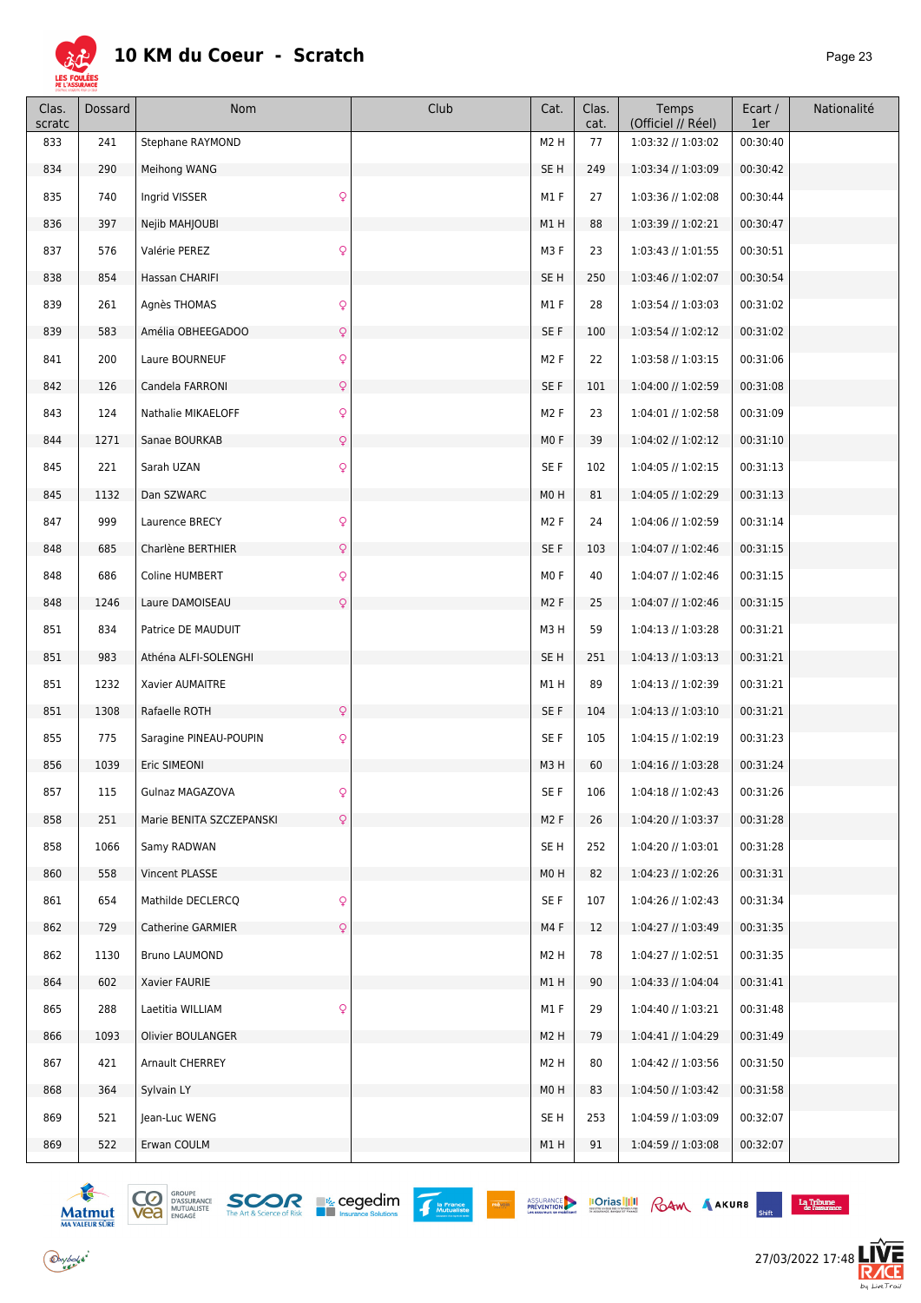

| Clas.<br>scratc | Dossard | Nom                                | Club | Cat.             | Clas.<br>cat. | Temps<br>(Officiel // Réel) | Ecart /<br>1er | Nationalité |
|-----------------|---------|------------------------------------|------|------------------|---------------|-----------------------------|----------------|-------------|
| 833             | 241     | Stephane RAYMOND                   |      | M <sub>2</sub> H | 77            | 1:03:32 // 1:03:02          | 00:30:40       |             |
| 834             | 290     | Meihong WANG                       |      | SE <sub>H</sub>  | 249           | 1:03:34 // 1:03:09          | 00:30:42       |             |
| 835             | 740     | $\mathsf{Q}$<br>Ingrid VISSER      |      | M1F              | 27            | 1:03:36 // 1:02:08          | 00:30:44       |             |
| 836             | 397     | Nejib MAHJOUBI                     |      | M1H              | 88            | 1:03:39 // 1:02:21          | 00:30:47       |             |
| 837             | 576     | $\mathsf{Q}$<br>Valérie PEREZ      |      | M3F              | 23            | 1:03:43 // 1:01:55          | 00:30:51       |             |
| 838             | 854     | Hassan CHARIFI                     |      | SE <sub>H</sub>  | 250           | 1:03:46 // 1:02:07          | 00:30:54       |             |
| 839             | 261     | $\mathsf{Q}$<br>Agnès THOMAS       |      | M1F              | 28            | 1:03:54 // 1:03:03          | 00:31:02       |             |
| 839             | 583     | $\mathsf{Q}$<br>Amélia OBHEEGADOO  |      | SE F             | 100           | 1:03:54 // 1:02:12          | 00:31:02       |             |
| 841             | 200     | $\mathsf{Q}$<br>Laure BOURNEUF     |      | M <sub>2</sub> F | 22            | 1:03:58 // 1:03:15          | 00:31:06       |             |
| 842             | 126     | $\mathsf{Q}$<br>Candela FARRONI    |      | SE F             | 101           | 1:04:00 // 1:02:59          | 00:31:08       |             |
| 843             | 124     | $\mathsf{Q}$<br>Nathalie MIKAELOFF |      | M <sub>2</sub> F | 23            | 1:04:01 // 1:02:58          | 00:31:09       |             |
| 844             | 1271    | Sanae BOURKAB<br>$\mathsf{Q}$      |      | MO F             | 39            | 1:04:02 // 1:02:12          | 00:31:10       |             |
| 845             | 221     | $\mathsf{Q}$<br>Sarah UZAN         |      | SE F             | 102           | 1:04:05 // 1:02:15          | 00:31:13       |             |
| 845             | 1132    | Dan SZWARC                         |      | M <sub>0</sub> H | 81            | 1:04:05 // 1:02:29          | 00:31:13       |             |
| 847             | 999     | $\mathsf{Q}$<br>Laurence BRECY     |      | M <sub>2</sub> F | 24            | 1:04:06 // 1:02:59          | 00:31:14       |             |
| 848             | 685     | $\mathsf{Q}$<br>Charlène BERTHIER  |      | SE F             | 103           | 1:04:07 // 1:02:46          | 00:31:15       |             |
| 848             | 686     | $\mathsf{Q}$<br>Coline HUMBERT     |      | MO <sub>F</sub>  | 40            | 1:04:07 // 1:02:46          | 00:31:15       |             |
| 848             | 1246    | $\mathsf{Q}$<br>Laure DAMOISEAU    |      | M <sub>2</sub> F | 25            | 1:04:07 // 1:02:46          | 00:31:15       |             |
| 851             | 834     | Patrice DE MAUDUIT                 |      | M3H              | 59            | 1:04:13 // 1:03:28          | 00:31:21       |             |
| 851             | 983     | Athéna ALFI-SOLENGHI               |      | SE <sub>H</sub>  | 251           | $1:04:13$ // $1:03:13$      | 00:31:21       |             |
| 851             | 1232    | Xavier AUMAITRE                    |      | M1H              | 89            | 1:04:13 // 1:02:39          | 00:31:21       |             |
| 851             | 1308    | $\mathsf{Q}$<br>Rafaelle ROTH      |      | SE F             | 104           | $1:04:13$ // $1:03:10$      | 00:31:21       |             |
| 855             | 775     | Q<br>Saragine PINEAU-POUPIN        |      | SE F             | 105           | 1:04:15 // 1:02:19          | 00:31:23       |             |
| 856             | 1039    | Eric SIMEONI                       |      | M3H              | 60            | 1:04:16 // 1:03:28          | 00:31:24       |             |
| 857             | 115     | Gulnaz MAGAZOVA                    |      | SE F             | 106           | 1:04:18 // 1:02:43          | 00:31:26       |             |
| 858             | 251     | Marie BENITA SZCZEPANSKI<br>Q      |      | M <sub>2</sub> F | 26            | 1:04:20 // 1:03:37          | 00:31:28       |             |
| 858             | 1066    | Samy RADWAN                        |      | SE <sub>H</sub>  | 252           | 1:04:20 // 1:03:01          | 00:31:28       |             |
| 860             | 558     | Vincent PLASSE                     |      | M <sub>0</sub> H | 82            | 1:04:23 // 1:02:26          | 00:31:31       |             |
| 861             | 654     | $\mathsf{Q}$<br>Mathilde DECLERCQ  |      | SE F             | 107           | 1:04:26 // 1:02:43          | 00:31:34       |             |
| 862             | 729     | $\mathsf{Q}$<br>Catherine GARMIER  |      | M4F              | 12            | 1:04:27 // 1:03:49          | 00:31:35       |             |
| 862             | 1130    | <b>Bruno LAUMOND</b>               |      | M <sub>2</sub> H | 78            | 1:04:27 // 1:02:51          | 00:31:35       |             |
| 864             | 602     | Xavier FAURIE                      |      | M1H              | 90            | 1:04:33 // 1:04:04          | 00:31:41       |             |
| 865             | 288     | Q<br>Laetitia WILLIAM              |      | M1F              | 29            | 1:04:40 // 1:03:21          | 00:31:48       |             |
| 866             | 1093    | Olivier BOULANGER                  |      | M <sub>2</sub> H | 79            | 1:04:41 // 1:04:29          | 00:31:49       |             |
| 867             | 421     | Arnault CHERREY                    |      | M <sub>2</sub> H | 80            | 1:04:42 // 1:03:56          | 00:31:50       |             |
| 868             | 364     | Sylvain LY                         |      | M0H              | 83            | 1:04:50 // 1:03:42          | 00:31:58       |             |
| 869             | 521     | Jean-Luc WENG                      |      | SE H             | 253           | 1:04:59 // 1:03:09          | 00:32:07       |             |
| 869             | 522     | Erwan COULM                        |      | M1H              | 91            | 1:04:59 // 1:03:08          | 00:32:07       |             |











27/03/2022 17:48

**LIVE**<br>RÆ

 $b_4$  Live  $Tr \in i$ 

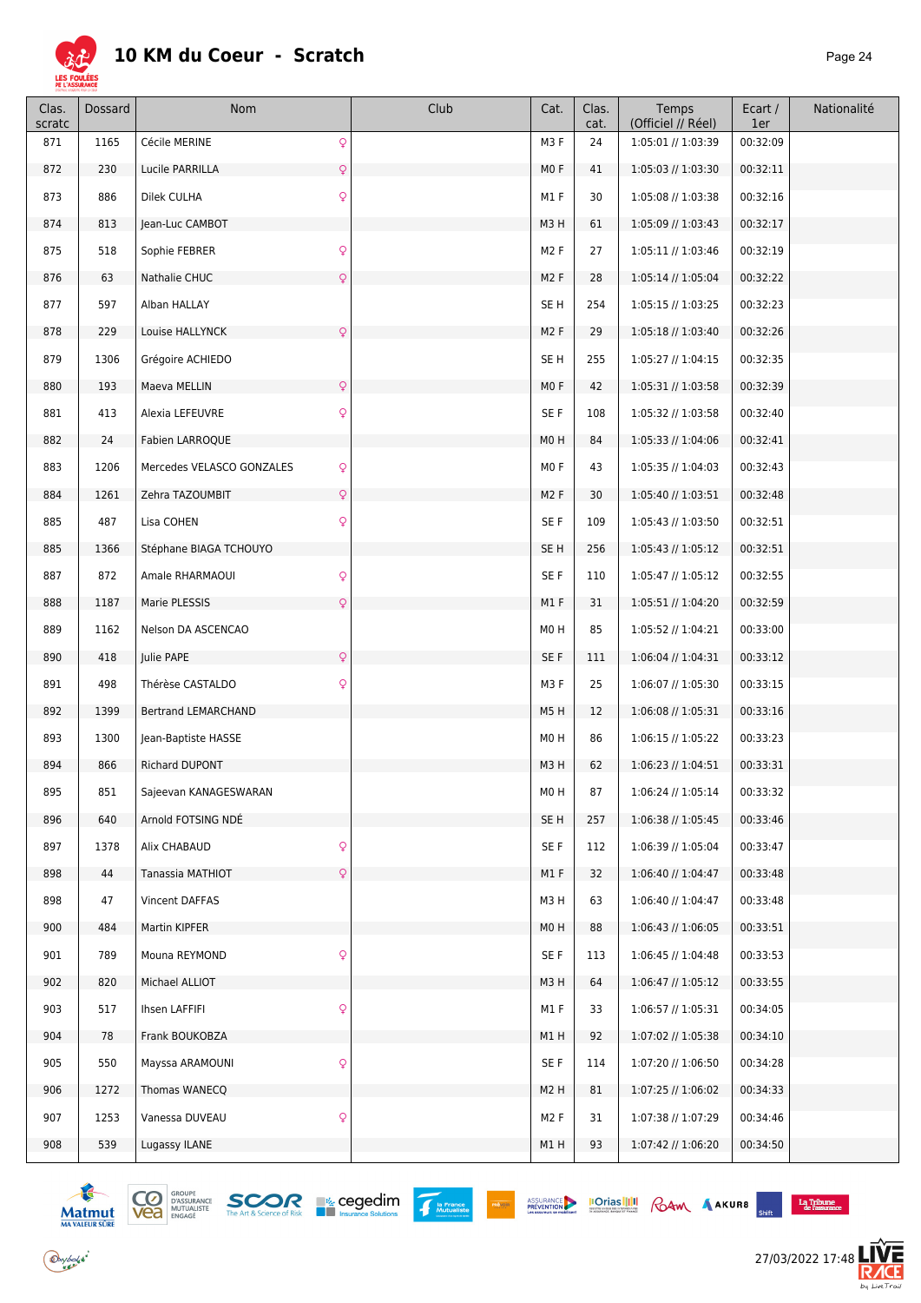

| Clas.<br>scratc | Dossard | Nom                                       | Club | Cat.             | Clas.<br>cat. | Temps<br>(Officiel // Réel) | Ecart /<br>1er | Nationalité |
|-----------------|---------|-------------------------------------------|------|------------------|---------------|-----------------------------|----------------|-------------|
| 871             | 1165    | $\mathsf{Q}$<br>Cécile MERINE             |      | M3F              | 24            | 1:05:01 // 1:03:39          | 00:32:09       |             |
| 872             | 230     | Lucile PARRILLA<br>Q                      |      | MO F             | 41            | 1:05:03 // 1:03:30          | 00:32:11       |             |
| 873             | 886     | $\mathsf{Q}$<br>Dilek CULHA               |      | M1 F             | 30            | 1:05:08 // 1:03:38          | 00:32:16       |             |
| 874             | 813     | Jean-Luc CAMBOT                           |      | M3H              | 61            | 1:05:09 // 1:03:43          | 00:32:17       |             |
| 875             | 518     | Q<br>Sophie FEBRER                        |      | M <sub>2</sub> F | 27            | 1:05:11 // 1:03:46          | 00:32:19       |             |
| 876             | 63      | Q<br>Nathalie CHUC                        |      | M <sub>2</sub> F | 28            | 1:05:14 // 1:05:04          | 00:32:22       |             |
| 877             | 597     | Alban HALLAY                              |      | SE <sub>H</sub>  | 254           | 1:05:15 // 1:03:25          | 00:32:23       |             |
| 878             | 229     | $\mathsf{Q}$<br>Louise HALLYNCK           |      | M <sub>2</sub> F | 29            | 1:05:18 // 1:03:40          | 00:32:26       |             |
| 879             | 1306    | Grégoire ACHIEDO                          |      | SE <sub>H</sub>  | 255           | 1:05:27 // 1:04:15          | 00:32:35       |             |
| 880             | 193     | Q<br>Maeva MELLIN                         |      | MOF              | 42            | 1:05:31 // 1:03:58          | 00:32:39       |             |
| 881             | 413     | Q<br>Alexia LEFEUVRE                      |      | SE F             | 108           | 1:05:32 // 1:03:58          | 00:32:40       |             |
| 882             | 24      | Fabien LARROQUE                           |      | M <sub>0</sub> H | 84            | 1:05:33 // 1:04:06          | 00:32:41       |             |
| 883             | 1206    | $\mathsf{Q}$<br>Mercedes VELASCO GONZALES |      | MO <sub>F</sub>  | 43            | 1:05:35 // 1:04:03          | 00:32:43       |             |
| 884             | 1261    | Zehra TAZOUMBIT<br>Q                      |      | M <sub>2</sub> F | 30            | 1:05:40 // 1:03:51          | 00:32:48       |             |
| 885             | 487     | Q<br>Lisa COHEN                           |      | SE F             | 109           | 1:05:43 // 1:03:50          | 00:32:51       |             |
| 885             | 1366    | Stéphane BIAGA TCHOUYO                    |      | SE <sub>H</sub>  | 256           | 1:05:43 // 1:05:12          | 00:32:51       |             |
| 887             | 872     | Q<br>Amale RHARMAOUI                      |      | SE F             | 110           | 1:05:47 // 1:05:12          | 00:32:55       |             |
| 888             | 1187    | $\overline{Q}$<br>Marie PLESSIS           |      | M1F              | 31            | 1:05:51 // 1:04:20          | 00:32:59       |             |
| 889             | 1162    | Nelson DA ASCENCAO                        |      | MOH              | 85            | 1:05:52 // 1:04:21          | 00:33:00       |             |
| 890             | 418     | Q<br>Julie PAPE                           |      | SE F             | 111           | $1:06:04$ // $1:04:31$      | 00:33:12       |             |
| 891             | 498     | Thérèse CASTALDO<br>Q                     |      | M3F              | 25            | 1:06:07 // 1:05:30          | 00:33:15       |             |
| 892             | 1399    | <b>Bertrand LEMARCHAND</b>                |      | M5H              | 12            | 1:06:08 // 1:05:31          | 00:33:16       |             |
| 893             | 1300    | Jean-Baptiste HASSE                       |      | M <sub>0</sub> H | 86            | 1:06:15 // 1:05:22          | 00:33:23       |             |
| 894             | 866     | <b>Richard DUPONT</b>                     |      | M3H              | 62            | $1:06:23$ // $1:04:51$      | 00:33:31       |             |
| 895             | 851     | Sajeevan KANAGESWARAN                     |      | MO H             | 87            | 1:06:24 // 1:05:14          | 00:33:32       |             |
| 896             | 640     | Arnold FOTSING NDE                        |      | SE H             | 257           | 1:06:38 // 1:05:45          | 00:33:46       |             |
| 897             | 1378    | Q<br>Alix CHABAUD                         |      | SE F             | 112           | 1:06:39 // 1:05:04          | 00:33:47       |             |
| 898             | 44      | Tanassia MATHIOT<br>Q                     |      | M1F              | 32            | 1:06:40 // 1:04:47          | 00:33:48       |             |
| 898             | 47      | Vincent DAFFAS                            |      | M3H              | 63            | 1:06:40 // 1:04:47          | 00:33:48       |             |
| 900             | 484     | Martin KIPFER                             |      | M <sub>0</sub> H | 88            | $1:06:43$ // $1:06:05$      | 00:33:51       |             |
| 901             | 789     | $\mathsf{Q}$<br>Mouna REYMOND             |      | SE F             | 113           | 1:06:45 // 1:04:48          | 00:33:53       |             |
| 902             | 820     | Michael ALLIOT                            |      | M3H              | 64            | 1:06:47 // 1:05:12          | 00:33:55       |             |
| 903             | 517     | Q<br>Ihsen LAFFIFI                        |      | M1F              | 33            | 1:06:57 // 1:05:31          | 00:34:05       |             |
| 904             | 78      | Frank BOUKOBZA                            |      | M1H              | 92            | 1:07:02 // 1:05:38          | 00:34:10       |             |
| 905             | 550     | $\mathsf{Q}$<br>Mayssa ARAMOUNI           |      | SE F             | 114           | 1:07:20 // 1:06:50          | 00:34:28       |             |
| 906             | 1272    | Thomas WANECQ                             |      | M <sub>2</sub> H | 81            | 1:07:25 // 1:06:02          | 00:34:33       |             |
| 907             | 1253    | $\mathsf{Q}$<br>Vanessa DUVEAU            |      | M <sub>2</sub> F | 31            | 1:07:38 // 1:07:29          | 00:34:46       |             |
| 908             | 539     | Lugassy ILANE                             |      | M1H              | 93            | 1:07:42 // 1:06:20          | 00:34:50       |             |



 $\bigodot$ ybolsk<sup>\*</sup>





 $\begin{array}{c} \textbf{La Tribume} \\ \textbf{de l'assurance} \end{array}$  $\mathcal{L}^{\mathcal{L}}$ 

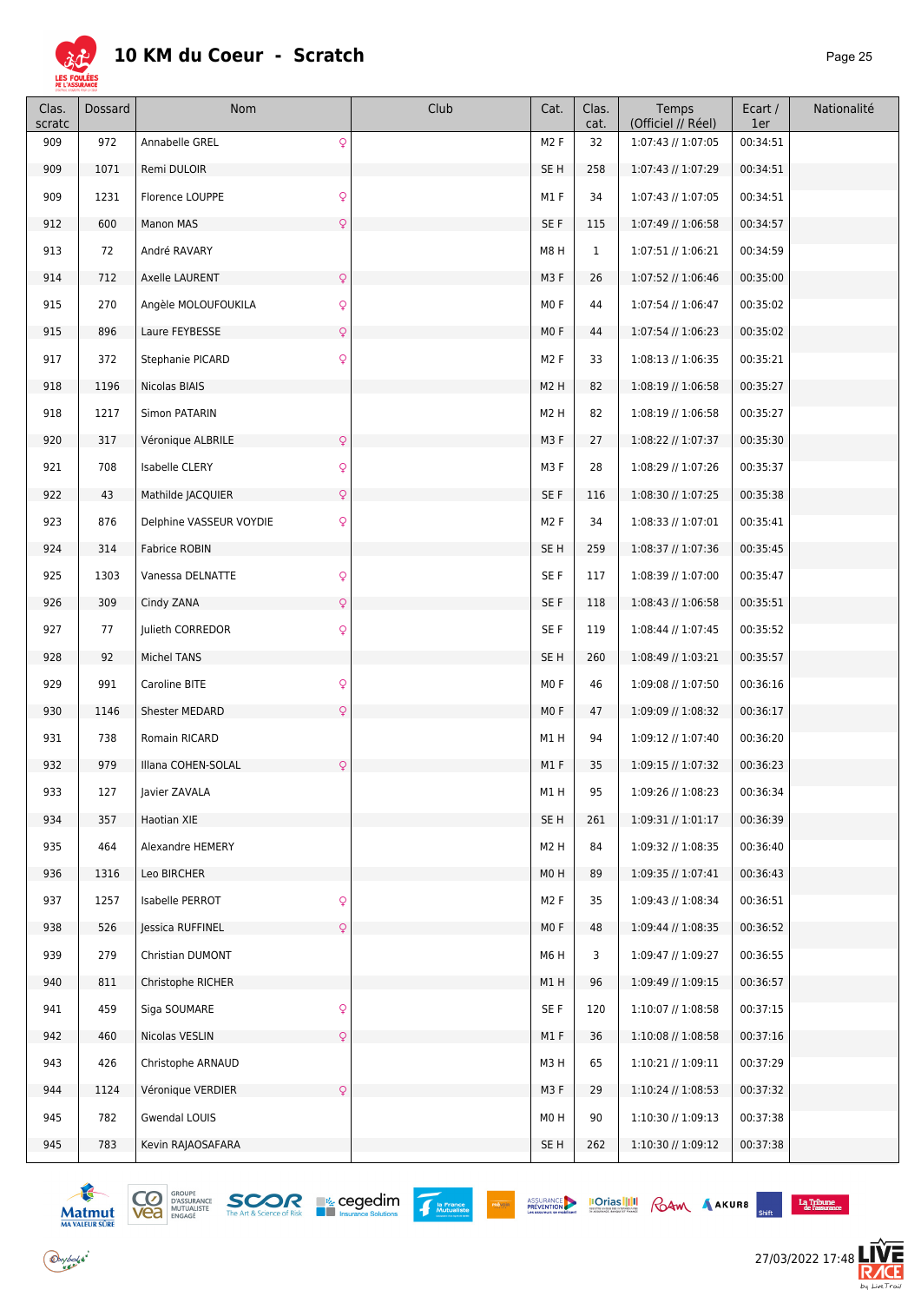

| Clas.<br>scratc | <b>Dossard</b> | Nom                                | Club | Cat.             | Clas.<br>cat. | Temps<br>(Officiel // Réel) | Ecart /<br>1er | Nationalité |
|-----------------|----------------|------------------------------------|------|------------------|---------------|-----------------------------|----------------|-------------|
| 909             | 972            | $\mathsf{Q}$<br>Annabelle GREL     |      | M <sub>2</sub> F | 32            | 1:07:43 // 1:07:05          | 00:34:51       |             |
| 909             | 1071           | Remi DULOIR                        |      | SE H             | 258           | 1:07:43 // 1:07:29          | 00:34:51       |             |
| 909             | 1231           | $\mathsf{Q}$<br>Florence LOUPPE    |      | M1 F             | 34            | 1:07:43 // 1:07:05          | 00:34:51       |             |
| 912             | 600            | $\mathsf{Q}$<br>Manon MAS          |      | SE F             | 115           | 1:07:49 // 1:06:58          | 00:34:57       |             |
| 913             | 72             | André RAVARY                       |      | M8H              | $\mathbf 1$   | 1:07:51 // 1:06:21          | 00:34:59       |             |
| 914             | 712            | Axelle LAURENT<br>$\mathsf{Q}$     |      | M3F              | 26            | 1:07:52 // 1:06:46          | 00:35:00       |             |
| 915             | 270            | Q<br>Angèle MOLOUFOUKILA           |      | MOF              | 44            | 1:07:54 // 1:06:47          | 00:35:02       |             |
| 915             | 896            | Laure FEYBESSE<br>$\mathsf{Q}$     |      | MO F             | 44            | 1:07:54 // 1:06:23          | 00:35:02       |             |
| 917             | 372            | $\mathsf{Q}$<br>Stephanie PICARD   |      | M <sub>2</sub> F | 33            | 1:08:13 // 1:06:35          | 00:35:21       |             |
| 918             | 1196           | Nicolas BIAIS                      |      | M <sub>2</sub> H | 82            | 1:08:19 // 1:06:58          | 00:35:27       |             |
| 918             | 1217           | Simon PATARIN                      |      | M <sub>2</sub> H | 82            | 1:08:19 // 1:06:58          | 00:35:27       |             |
| 920             | 317            | Véronique ALBRILE<br>$\mathsf{Q}$  |      | M3F              | 27            | 1:08:22 // 1:07:37          | 00:35:30       |             |
| 921             | 708            | $\mathsf{Q}$<br>Isabelle CLERY     |      | M3F              | 28            | 1:08:29 // 1:07:26          | 00:35:37       |             |
| 922             | 43             | $\mathsf{Q}$<br>Mathilde JACQUIER  |      | SE F             | 116           | 1:08:30 // 1:07:25          | 00:35:38       |             |
| 923             | 876            | Q<br>Delphine VASSEUR VOYDIE       |      | M <sub>2</sub> F | 34            | 1:08:33 // 1:07:01          | 00:35:41       |             |
| 924             | 314            | <b>Fabrice ROBIN</b>               |      | SE H             | 259           | 1:08:37 // 1:07:36          | 00:35:45       |             |
| 925             | 1303           | $\mathsf{Q}$<br>Vanessa DELNATTE   |      | SE F             | 117           | 1:08:39 // 1:07:00          | 00:35:47       |             |
| 926             | 309            | Cindy ZANA<br>$\mathsf{Q}$         |      | SE F             | 118           | 1:08:43 // 1:06:58          | 00:35:51       |             |
| 927             | 77             | Julieth CORREDOR<br>$\mathsf{Q}$   |      | SE F             | 119           | 1:08:44 // 1:07:45          | 00:35:52       |             |
| 928             | 92             | <b>Michel TANS</b>                 |      | SE <sub>H</sub>  | 260           | 1:08:49 // 1:03:21          | 00:35:57       |             |
| 929             | 991            | $\mathsf{Q}$<br>Caroline BITE      |      | MO F             | 46            | 1:09:08 // 1:07:50          | 00:36:16       |             |
| 930             | 1146           | Shester MEDARD<br>Q                |      | MO F             | 47            | 1:09:09 // 1:08:32          | 00:36:17       |             |
| 931             | 738            | Romain RICARD                      |      | M1H              | 94            | 1:09:12 // 1:07:40          | 00:36:20       |             |
| 932             | 979            | Illana COHEN-SOLAL<br>$\mathsf{Q}$ |      | M1F              | 35            | 1:09:15 // 1:07:32          | 00:36:23       |             |
| 933             | 127            | Javier ZAVALA                      |      | M1H              | 95            | 1:09:26 // 1:08:23          | 00:36:34       |             |
| 934             | 357            | Haotian XIE                        |      | SE H             | 261           | 1:09:31 // 1:01:17          | 00:36:39       |             |
| 935             | 464            | Alexandre HEMERY                   |      | M <sub>2</sub> H | 84            | 1:09:32 // 1:08:35          | 00:36:40       |             |
| 936             | 1316           | Leo BIRCHER                        |      | M0H              | 89            | 1:09:35 // 1:07:41          | 00:36:43       |             |
| 937             | 1257           | $\mathsf{Q}$<br>Isabelle PERROT    |      | M <sub>2</sub> F | 35            | 1:09:43 // 1:08:34          | 00:36:51       |             |
| 938             | 526            | Jessica RUFFINEL<br>$\mathsf{Q}$   |      | MO F             | 48            | 1:09:44 // 1:08:35          | 00:36:52       |             |
| 939             | 279            | Christian DUMONT                   |      | M6H              | 3             | 1:09:47 // 1:09:27          | 00:36:55       |             |
| 940             | 811            | Christophe RICHER                  |      | M1H              | 96            | 1:09:49 // 1:09:15          | 00:36:57       |             |
| 941             | 459            | $\mathsf{Q}$<br>Siga SOUMARE       |      | SE F             | 120           | 1:10:07 // 1:08:58          | 00:37:15       |             |
| 942             | 460            | Nicolas VESLIN<br>Q                |      | M1F              | 36            | 1:10:08 // 1:08:58          | 00:37:16       |             |
| 943             | 426            | Christophe ARNAUD                  |      | M3H              | 65            | 1:10:21 // 1:09:11          | 00:37:29       |             |
| 944             | 1124           | $\mathsf{Q}$<br>Véronique VERDIER  |      | M3F              | 29            | 1:10:24 // 1:08:53          | 00:37:32       |             |
| 945             | 782            | Gwendal LOUIS                      |      | M0H              | 90            | 1:10:30 // 1:09:13          | 00:37:38       |             |
| 945             | 783            | Kevin RAJAOSAFARA                  |      | SE H             | 262           | 1:10:30 // 1:09:12          | 00:37:38       |             |



 $\bigodot$ ybolsk<sup>\*</sup>





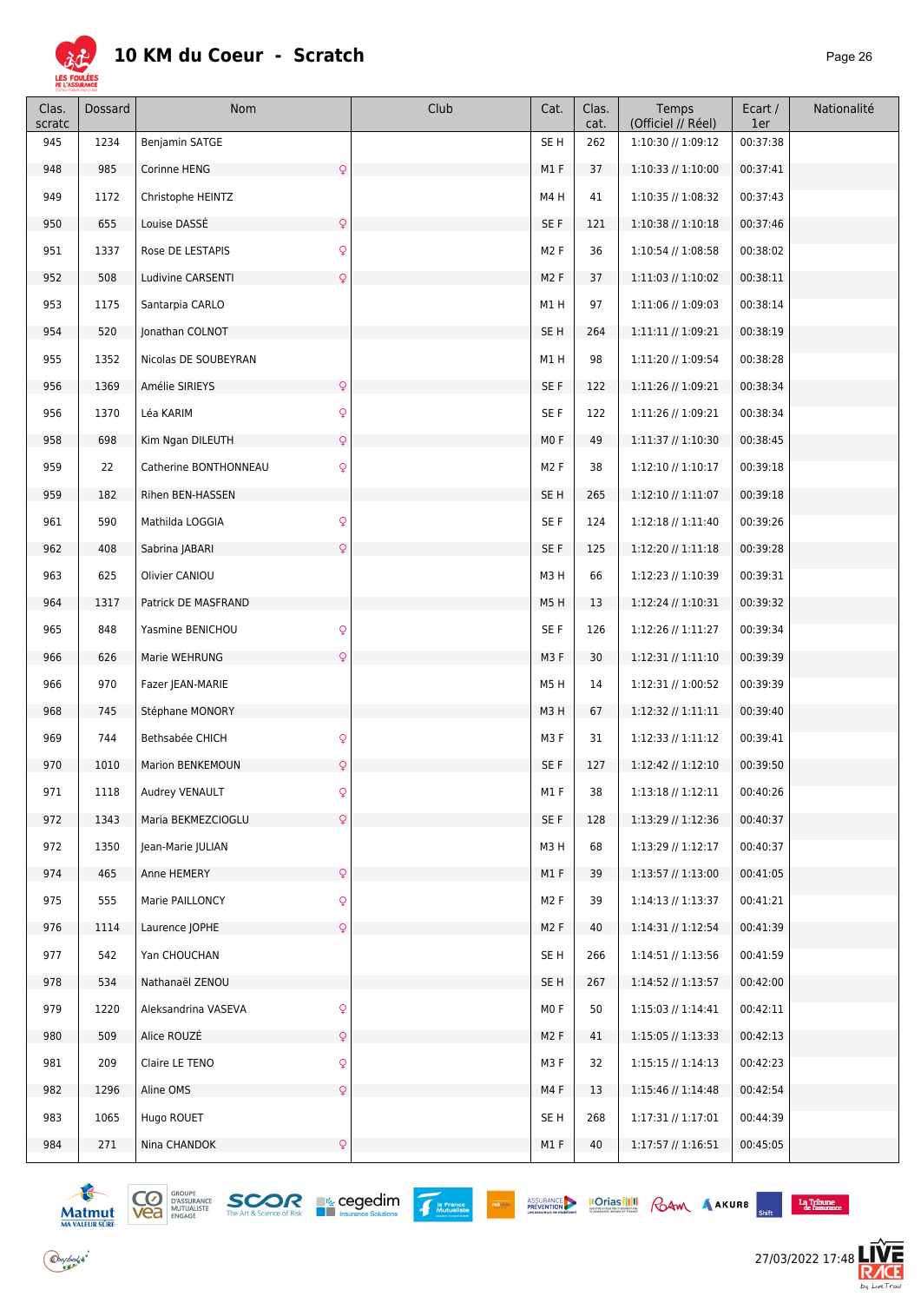

| Clas.<br>scratc | Dossard | Nom                                   | Club | Cat.             | Clas.<br>cat. | Temps<br>(Officiel // Réel) | Ecart /<br>1er | Nationalité |
|-----------------|---------|---------------------------------------|------|------------------|---------------|-----------------------------|----------------|-------------|
| 945             | 1234    | <b>Benjamin SATGE</b>                 |      | SE <sub>H</sub>  | 262           | 1:10:30 // 1:09:12          | 00:37:38       |             |
| 948             | 985     | $\mathsf{Q}$<br>Corinne HENG          |      | M1F              | 37            | 1:10:33 // 1:10:00          | 00:37:41       |             |
| 949             | 1172    | Christophe HEINTZ                     |      | M4H              | 41            | 1:10:35 // 1:08:32          | 00:37:43       |             |
| 950             | 655     | $\mathsf{Q}$<br>Louise DASSÉ          |      | SE F             | 121           | $1:10:38$ // $1:10:18$      | 00:37:46       |             |
| 951             | 1337    | $\mathsf{Q}$<br>Rose DE LESTAPIS      |      | M <sub>2</sub> F | 36            | 1:10:54 // 1:08:58          | 00:38:02       |             |
| 952             | 508     | Ludivine CARSENTI<br>$\mathsf{Q}$     |      | M <sub>2</sub> F | 37            | 1:11:03 // 1:10:02          | 00:38:11       |             |
| 953             | 1175    | Santarpia CARLO                       |      | M1H              | 97            | 1:11:06 // 1:09:03          | 00:38:14       |             |
| 954             | 520     | Jonathan COLNOT                       |      | SE <sub>H</sub>  | 264           | 1:11:11 // 1:09:21          | 00:38:19       |             |
| 955             | 1352    | Nicolas DE SOUBEYRAN                  |      | M1H              | 98            | 1:11:20 // 1:09:54          | 00:38:28       |             |
| 956             | 1369    | $\mathsf{Q}$<br>Amélie SIRIEYS        |      | SE F             | 122           | 1:11:26 // 1:09:21          | 00:38:34       |             |
| 956             | 1370    | Léa KARIM<br>$\mathsf{Q}$             |      | SE F             | 122           | 1:11:26 // 1:09:21          | 00:38:34       |             |
| 958             | 698     | Kim Ngan DILEUTH<br>$\mathsf{Q}$      |      | M <sub>0</sub> F | 49            | 1:11:37 // 1:10:30          | 00:38:45       |             |
| 959             | 22      | $\mathsf{Q}$<br>Catherine BONTHONNEAU |      | M <sub>2</sub> F | 38            | 1:12:10 // 1:10:17          | 00:39:18       |             |
| 959             | 182     | Rihen BEN-HASSEN                      |      | SE <sub>H</sub>  | 265           | 1:12:10 // 1:11:07          | 00:39:18       |             |
| 961             | 590     | $\mathsf{Q}$<br>Mathilda LOGGIA       |      | SE F             | 124           | $1:12:18$ // $1:11:40$      | 00:39:26       |             |
| 962             | 408     | $\mathsf{Q}$<br>Sabrina JABARI        |      | SE F             | 125           | $1:12:20$ // $1:11:18$      | 00:39:28       |             |
| 963             | 625     | Olivier CANIOU                        |      | M3H              | 66            | 1:12:23 // 1:10:39          | 00:39:31       |             |
| 964             | 1317    | Patrick DE MASFRAND                   |      | M5H              | 13            | 1:12:24 // 1:10:31          | 00:39:32       |             |
| 965             | 848     | $\mathsf{Q}$<br>Yasmine BENICHOU      |      | SE F             | 126           | 1:12:26 // 1:11:27          | 00:39:34       |             |
| 966             | 626     | $\mathsf{Q}$<br>Marie WEHRUNG         |      | M3F              | 30            | $1:12:31 \; // \; 1:11:10$  | 00:39:39       |             |
| 966             | 970     | Fazer JEAN-MARIE                      |      | M5H              | 14            | 1:12:31 // 1:00:52          | 00:39:39       |             |
| 968             | 745     | Stéphane MONORY                       |      | M3H              | 67            | $1:12:32 \; // \; 1:11:11$  | 00:39:40       |             |
| 969             | 744     | $\mathsf{Q}$<br>Bethsabée CHICH       |      | M3F              | 31            | $1:12:33$ // $1:11:12$      | 00:39:41       |             |
| 970             | 1010    | Marion BENKEMOUN<br>Q                 |      | SE F             | 127           | $1:12:42$ // $1:12:10$      | 00:39:50       |             |
| 971             | 1118    | Audrey VENAULT<br>Q                   |      | M1F              | 38            | $1:13:18$ // $1:12:11$      | 00:40:26       |             |
| 972             | 1343    | $\mathsf{Q}$<br>Maria BEKMEZCIOGLU    |      | SE F             | 128           | 1:13:29 // 1:12:36          | 00:40:37       |             |
| 972             | 1350    | Jean-Marie JULIAN                     |      | M3H              | 68            | 1:13:29 // 1:12:17          | 00:40:37       |             |
| 974             | 465     | $\mathsf{Q}$<br>Anne HEMERY           |      | M1F              | 39            | 1:13:57 // 1:13:00          | 00:41:05       |             |
| 975             | 555     | $\mathsf{Q}$<br>Marie PAILLONCY       |      | M <sub>2</sub> F | 39            | $1:14:13$ // $1:13:37$      | 00:41:21       |             |
| 976             | 1114    | Laurence JOPHE<br>$\mathsf{Q}$        |      | M <sub>2</sub> F | 40            | 1:14:31 // 1:12:54          | 00:41:39       |             |
| 977             | 542     | Yan CHOUCHAN                          |      | SE H             | 266           | 1:14:51 // 1:13:56          | 00:41:59       |             |
| 978             | 534     | Nathanaël ZENOU                       |      | SE H             | 267           | $1:14:52$ // $1:13:57$      | 00:42:00       |             |
| 979             | 1220    | $\mathsf{Q}$<br>Aleksandrina VASEVA   |      | MO F             | 50            | $1:15:03$ // $1:14:41$      | 00:42:11       |             |
| 980             | 509     | Alice ROUZÉ<br>Q                      |      | M <sub>2</sub> F | 41            | 1:15:05 // 1:13:33          | 00:42:13       |             |
| 981             | 209     | Claire LE TENO<br>$\mathsf{Q}$        |      | M3F              | 32            | $1:15:15$ // $1:14:13$      | 00:42:23       |             |
| 982             | 1296    | Aline OMS<br>$\mathsf{Q}$             |      | M4F              | 13            | 1:15:46 // 1:14:48          | 00:42:54       |             |
| 983             | 1065    | Hugo ROUET                            |      | SE H             | 268           | $1:17:31$ // $1:17:01$      | 00:44:39       |             |
| 984             | 271     | $\mathsf{Q}$<br>Nina CHANDOK          |      | M1F              | 40            | $1:17:57$ // $1:16:51$      | 00:45:05       |             |



 $\bigodot$ ybolsk<sup>\*</sup>



ASSURANCE **IOTIAS ||1|4|** GAM AAKURS SHIP LATER LATER